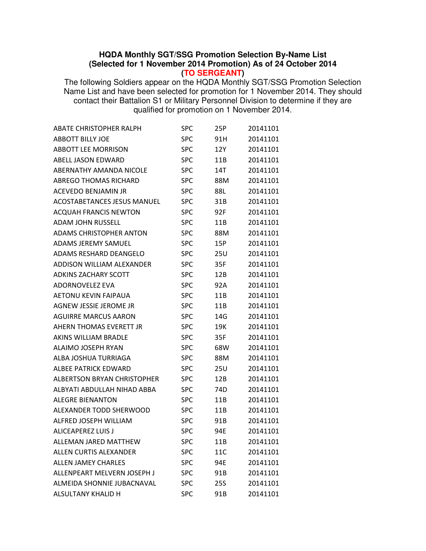## **HQDA Monthly SGT/SSG Promotion Selection By-Name List (Selected for 1 November 2014 Promotion) As of 24 October 2014 (TO SERGEANT)**

The following Soldiers appear on the HQDA Monthly SGT/SSG Promotion Selection Name List and have been selected for promotion for 1 November 2014. They should contact their Battalion S1 or Military Personnel Division to determine if they are qualified for promotion on 1 November 2014.

| <b>ABATE CHRISTOPHER RALPH</b> | SPC        | 25P        | 20141101 |
|--------------------------------|------------|------------|----------|
| <b>ABBOTT BILLY JOE</b>        | <b>SPC</b> | 91H        | 20141101 |
| <b>ABBOTT LEE MORRISON</b>     | <b>SPC</b> | 12Y        | 20141101 |
| <b>ABELL JASON EDWARD</b>      | <b>SPC</b> | 11B        | 20141101 |
| ABERNATHY AMANDA NICOLE        | <b>SPC</b> | 14T        | 20141101 |
| <b>ABREGO THOMAS RICHARD</b>   | <b>SPC</b> | 88M        | 20141101 |
| <b>ACEVEDO BENJAMIN JR</b>     | <b>SPC</b> | 88L        | 20141101 |
| ACOSTABETANCES JESUS MANUEL    | <b>SPC</b> | 31B        | 20141101 |
| <b>ACQUAH FRANCIS NEWTON</b>   | <b>SPC</b> | 92F        | 20141101 |
| <b>ADAM JOHN RUSSELL</b>       | <b>SPC</b> | 11B        | 20141101 |
| <b>ADAMS CHRISTOPHER ANTON</b> | <b>SPC</b> | 88M        | 20141101 |
| <b>ADAMS JEREMY SAMUEL</b>     | <b>SPC</b> | 15P        | 20141101 |
| ADAMS RESHARD DEANGELO         | <b>SPC</b> | 25U        | 20141101 |
| ADDISON WILLIAM ALEXANDER      | <b>SPC</b> | 35F        | 20141101 |
| <b>ADKINS ZACHARY SCOTT</b>    | <b>SPC</b> | 12B        | 20141101 |
| ADORNOVELEZ EVA                | <b>SPC</b> | 92A        | 20141101 |
| AETONU KEVIN FAIPAUA           | <b>SPC</b> | 11B        | 20141101 |
| AGNEW JESSIE JEROME JR         | <b>SPC</b> | 11B        | 20141101 |
| <b>AGUIRRE MARCUS AARON</b>    | <b>SPC</b> | 14G        | 20141101 |
| AHERN THOMAS EVERETT JR        | <b>SPC</b> | 19K        | 20141101 |
| AKINS WILLIAM BRADLE           | <b>SPC</b> | 35F        | 20141101 |
| ALAIMO JOSEPH RYAN             | <b>SPC</b> | 68W        | 20141101 |
| ALBA JOSHUA TURRIAGA           | <b>SPC</b> | 88M        | 20141101 |
| ALBEE PATRICK EDWARD           | <b>SPC</b> | 25U        | 20141101 |
| ALBERTSON BRYAN CHRISTOPHER    | <b>SPC</b> | 12B        | 20141101 |
| ALBYATI ABDULLAH NIHAD ABBA    | <b>SPC</b> | 74D        | 20141101 |
| <b>ALEGRE BIENANTON</b>        | <b>SPC</b> | 11B        | 20141101 |
| ALEXANDER TODD SHERWOOD        | <b>SPC</b> | 11B        | 20141101 |
| ALFRED JOSEPH WILLIAM          | <b>SPC</b> | 91B        | 20141101 |
| <b>ALICEAPEREZ LUIS J</b>      | <b>SPC</b> | 94E        | 20141101 |
| ALLEMAN JARED MATTHEW          | <b>SPC</b> | 11B        | 20141101 |
| ALLEN CURTIS ALEXANDER         | <b>SPC</b> | 11C        | 20141101 |
| <b>ALLEN JAMEY CHARLES</b>     | <b>SPC</b> | 94E        | 20141101 |
| ALLENPEART MELVERN JOSEPH J    | <b>SPC</b> | 91B        | 20141101 |
| ALMEIDA SHONNIE JUBACNAVAL     | <b>SPC</b> | <b>25S</b> | 20141101 |
| ALSULTANY KHALID H             | <b>SPC</b> | 91B        | 20141101 |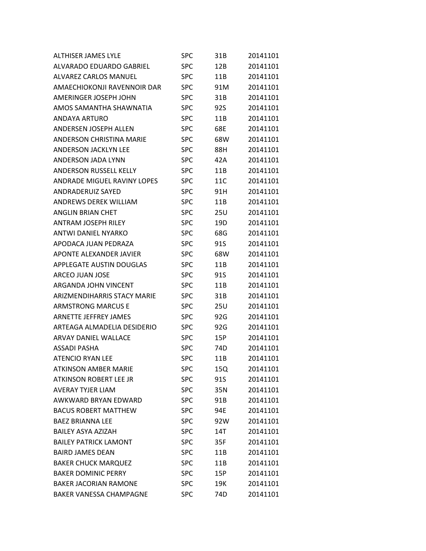| <b>ALTHISER JAMES LYLE</b>     | SPC        | 31B | 20141101 |
|--------------------------------|------------|-----|----------|
| ALVARADO EDUARDO GABRIEL       | <b>SPC</b> | 12B | 20141101 |
| <b>ALVAREZ CARLOS MANUEL</b>   | <b>SPC</b> | 11B | 20141101 |
| AMAECHIOKONJI RAVENNOIR DAR    | <b>SPC</b> | 91M | 20141101 |
| AMERINGER JOSEPH JOHN          | <b>SPC</b> | 31B | 20141101 |
| AMOS SAMANTHA SHAWNATIA        | <b>SPC</b> | 92S | 20141101 |
| ANDAYA ARTURO                  | <b>SPC</b> | 11B | 20141101 |
| ANDERSEN JOSEPH ALLEN          | <b>SPC</b> | 68E | 20141101 |
| ANDERSON CHRISTINA MARIE       | <b>SPC</b> | 68W | 20141101 |
| <b>ANDERSON JACKLYN LEE</b>    | <b>SPC</b> | 88H | 20141101 |
| ANDERSON JADA LYNN             | <b>SPC</b> | 42A | 20141101 |
| <b>ANDERSON RUSSELL KELLY</b>  | <b>SPC</b> | 11B | 20141101 |
| ANDRADE MIGUEL RAVINY LOPES    | <b>SPC</b> | 11C | 20141101 |
| ANDRADERUIZ SAYED              | <b>SPC</b> | 91H | 20141101 |
| <b>ANDREWS DEREK WILLIAM</b>   | <b>SPC</b> | 11B | 20141101 |
| ANGLIN BRIAN CHET              | <b>SPC</b> | 25U | 20141101 |
| ANTRAM JOSEPH RILEY            | <b>SPC</b> | 19D | 20141101 |
| <b>ANTWI DANIEL NYARKO</b>     | <b>SPC</b> | 68G | 20141101 |
| APODACA JUAN PEDRAZA           | <b>SPC</b> | 91S | 20141101 |
| APONTE ALEXANDER JAVIER        | <b>SPC</b> | 68W | 20141101 |
| APPLEGATE AUSTIN DOUGLAS       | <b>SPC</b> | 11B | 20141101 |
| ARCEO JUAN JOSE                | <b>SPC</b> | 91S | 20141101 |
| ARGANDA JOHN VINCENT           | <b>SPC</b> | 11B | 20141101 |
| ARIZMENDIHARRIS STACY MARIE    | <b>SPC</b> | 31B | 20141101 |
| <b>ARMSTRONG MARCUS E</b>      | <b>SPC</b> | 25U | 20141101 |
| ARNETTE JEFFREY JAMES          | <b>SPC</b> | 92G | 20141101 |
| ARTEAGA ALMADELIA DESIDERIO    | <b>SPC</b> | 92G | 20141101 |
| ARVAY DANIEL WALLACE           | <b>SPC</b> | 15P | 20141101 |
| ASSADI PASHA                   | <b>SPC</b> | 74D | 20141101 |
| <b>ATENCIO RYAN LEE</b>        | <b>SPC</b> | 11B | 20141101 |
| <b>ATKINSON AMBER MARIE</b>    | SPC        | 15Q | 20141101 |
| ATKINSON ROBERT LEE JR         | <b>SPC</b> | 91S | 20141101 |
| <b>AVERAY TYJER LIAM</b>       | <b>SPC</b> | 35N | 20141101 |
| AWKWARD BRYAN EDWARD           | <b>SPC</b> | 91B | 20141101 |
| <b>BACUS ROBERT MATTHEW</b>    | <b>SPC</b> | 94E | 20141101 |
| <b>BAEZ BRIANNA LEE</b>        | <b>SPC</b> | 92W | 20141101 |
| <b>BAILEY ASYA AZIZAH</b>      | <b>SPC</b> | 14T | 20141101 |
| <b>BAILEY PATRICK LAMONT</b>   | <b>SPC</b> | 35F | 20141101 |
| <b>BAIRD JAMES DEAN</b>        | <b>SPC</b> | 11B | 20141101 |
| <b>BAKER CHUCK MARQUEZ</b>     | <b>SPC</b> | 11B | 20141101 |
| <b>BAKER DOMINIC PERRY</b>     | <b>SPC</b> | 15P | 20141101 |
| <b>BAKER JACORIAN RAMONE</b>   | <b>SPC</b> | 19K | 20141101 |
| <b>BAKER VANESSA CHAMPAGNE</b> | <b>SPC</b> | 74D | 20141101 |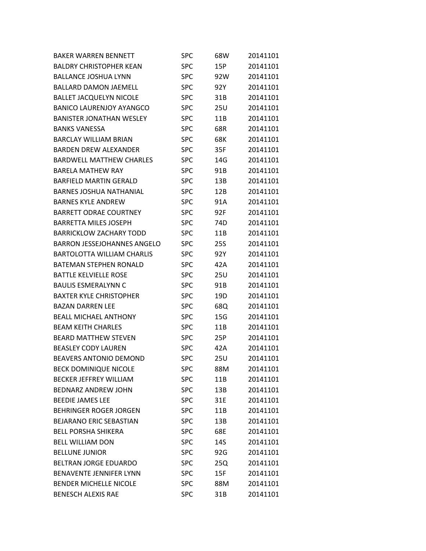| <b>BAKER WARREN BENNETT</b>        | SPC        | 68W        | 20141101 |
|------------------------------------|------------|------------|----------|
| <b>BALDRY CHRISTOPHER KEAN</b>     | <b>SPC</b> | 15P        | 20141101 |
| <b>BALLANCE JOSHUA LYNN</b>        | <b>SPC</b> | 92W        | 20141101 |
| <b>BALLARD DAMON JAEMELL</b>       | <b>SPC</b> | 92Y        | 20141101 |
| <b>BALLET JACQUELYN NICOLE</b>     | <b>SPC</b> | 31B        | 20141101 |
| <b>BANICO LAURENJOY AYANGCO</b>    | <b>SPC</b> | 25U        | 20141101 |
| <b>BANISTER JONATHAN WESLEY</b>    | <b>SPC</b> | 11B        | 20141101 |
| <b>BANKS VANESSA</b>               | <b>SPC</b> | 68R        | 20141101 |
| BARCLAY WILLIAM BRIAN              | <b>SPC</b> | 68K        | 20141101 |
| <b>BARDEN DREW ALEXANDER</b>       | <b>SPC</b> | 35F        | 20141101 |
| <b>BARDWELL MATTHEW CHARLES</b>    | <b>SPC</b> | 14G        | 20141101 |
| <b>BARELA MATHEW RAY</b>           | <b>SPC</b> | 91B        | 20141101 |
| <b>BARFIELD MARTIN GERALD</b>      | <b>SPC</b> | 13B        | 20141101 |
| <b>BARNES JOSHUA NATHANIAL</b>     | <b>SPC</b> | 12B        | 20141101 |
| <b>BARNES KYLE ANDREW</b>          | <b>SPC</b> | 91A        | 20141101 |
| <b>BARRETT ODRAE COURTNEY</b>      | <b>SPC</b> | 92F        | 20141101 |
| <b>BARRETTA MILES JOSEPH</b>       | <b>SPC</b> | 74D        | 20141101 |
| <b>BARRICKLOW ZACHARY TODD</b>     | <b>SPC</b> | 11B        | 20141101 |
| <b>BARRON JESSEJOHANNES ANGELO</b> | <b>SPC</b> | <b>25S</b> | 20141101 |
| <b>BARTOLOTTA WILLIAM CHARLIS</b>  | <b>SPC</b> | 92Y        | 20141101 |
| <b>BATEMAN STEPHEN RONALD</b>      | <b>SPC</b> | 42A        | 20141101 |
| <b>BATTLE KELVIELLE ROSE</b>       | <b>SPC</b> | 25U        | 20141101 |
| <b>BAULIS ESMERALYNN C</b>         | <b>SPC</b> | 91B        | 20141101 |
| <b>BAXTER KYLE CHRISTOPHER</b>     | <b>SPC</b> | 19D        | 20141101 |
| <b>BAZAN DARREN LEE</b>            | <b>SPC</b> | 68Q        | 20141101 |
| <b>BEALL MICHAEL ANTHONY</b>       | <b>SPC</b> | 15G        | 20141101 |
| <b>BEAM KEITH CHARLES</b>          | <b>SPC</b> | 11B        | 20141101 |
| <b>BEARD MATTHEW STEVEN</b>        | <b>SPC</b> | 25P        | 20141101 |
| <b>BEASLEY CODY LAUREN</b>         | <b>SPC</b> | 42A        | 20141101 |
| <b>BEAVERS ANTONIO DEMOND</b>      | <b>SPC</b> | 25U        | 20141101 |
| <b>BECK DOMINIQUE NICOLE</b>       | <b>SPC</b> | 88M        | 20141101 |
| <b>BECKER JEFFREY WILLIAM</b>      | <b>SPC</b> | 11B        | 20141101 |
| <b>BEDNARZ ANDREW JOHN</b>         | <b>SPC</b> | 13B        | 20141101 |
| <b>BEEDIE JAMES LEE</b>            | <b>SPC</b> | 31E        | 20141101 |
| <b>BEHRINGER ROGER JORGEN</b>      | <b>SPC</b> | 11B        | 20141101 |
| BEJARANO ERIC SEBASTIAN            | <b>SPC</b> | 13B        | 20141101 |
| <b>BELL PORSHA SHIKERA</b>         | <b>SPC</b> | 68E        | 20141101 |
| <b>BELL WILLIAM DON</b>            | <b>SPC</b> | 14S        | 20141101 |
| <b>BELLUNE JUNIOR</b>              | <b>SPC</b> | 92G        | 20141101 |
| <b>BELTRAN JORGE EDUARDO</b>       | <b>SPC</b> | 25Q        | 20141101 |
| <b>BENAVENTE JENNIFER LYNN</b>     | <b>SPC</b> | 15F        | 20141101 |
| <b>BENDER MICHELLE NICOLE</b>      | <b>SPC</b> | 88M        | 20141101 |
| <b>BENESCH ALEXIS RAE</b>          | <b>SPC</b> | 31B        | 20141101 |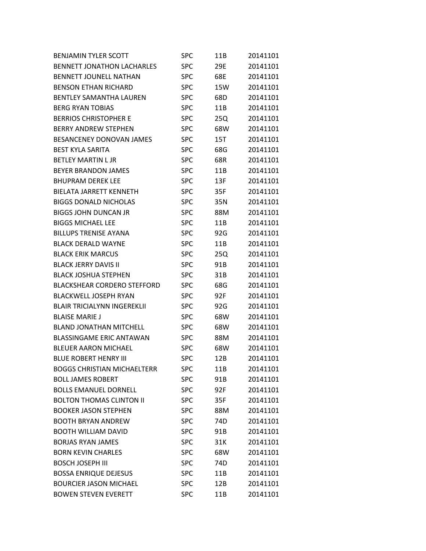| <b>BENJAMIN TYLER SCOTT</b>        | SPC        | 11B | 20141101 |
|------------------------------------|------------|-----|----------|
| <b>BENNETT JONATHON LACHARLES</b>  | <b>SPC</b> | 29E | 20141101 |
| <b>BENNETT JOUNELL NATHAN</b>      | <b>SPC</b> | 68E | 20141101 |
| <b>BENSON ETHAN RICHARD</b>        | <b>SPC</b> | 15W | 20141101 |
| <b>BENTLEY SAMANTHA LAUREN</b>     | <b>SPC</b> | 68D | 20141101 |
| <b>BERG RYAN TOBIAS</b>            | <b>SPC</b> | 11B | 20141101 |
| <b>BERRIOS CHRISTOPHER E</b>       | <b>SPC</b> | 25Q | 20141101 |
| <b>BERRY ANDREW STEPHEN</b>        | <b>SPC</b> | 68W | 20141101 |
| <b>BESANCENEY DONOVAN JAMES</b>    | <b>SPC</b> | 15T | 20141101 |
| <b>BEST KYLA SARITA</b>            | <b>SPC</b> | 68G | 20141101 |
| <b>BETLEY MARTIN L JR</b>          | <b>SPC</b> | 68R | 20141101 |
| <b>BEYER BRANDON JAMES</b>         | <b>SPC</b> | 11B | 20141101 |
| <b>BHUPRAM DEREK LEE</b>           | <b>SPC</b> | 13F | 20141101 |
| <b>BIELATA JARRETT KENNETH</b>     | <b>SPC</b> | 35F | 20141101 |
| <b>BIGGS DONALD NICHOLAS</b>       | <b>SPC</b> | 35N | 20141101 |
| <b>BIGGS JOHN DUNCAN JR</b>        | <b>SPC</b> | 88M | 20141101 |
| <b>BIGGS MICHAEL LEE</b>           | <b>SPC</b> | 11B | 20141101 |
| <b>BILLUPS TRENISE AYANA</b>       | <b>SPC</b> | 92G | 20141101 |
| <b>BLACK DERALD WAYNE</b>          | <b>SPC</b> | 11B | 20141101 |
| <b>BLACK ERIK MARCUS</b>           | <b>SPC</b> | 25Q | 20141101 |
| <b>BLACK JERRY DAVIS II</b>        | <b>SPC</b> | 91B | 20141101 |
| <b>BLACK JOSHUA STEPHEN</b>        | <b>SPC</b> | 31B | 20141101 |
| <b>BLACKSHEAR CORDERO STEFFORD</b> | <b>SPC</b> | 68G | 20141101 |
| <b>BLACKWELL JOSEPH RYAN</b>       | <b>SPC</b> | 92F | 20141101 |
| <b>BLAIR TRICIALYNN INGEREKLII</b> | <b>SPC</b> | 92G | 20141101 |
| <b>BLAISE MARIE J</b>              | <b>SPC</b> | 68W | 20141101 |
| <b>BLAND JONATHAN MITCHELL</b>     | <b>SPC</b> | 68W | 20141101 |
| <b>BLASSINGAME ERIC ANTAWAN</b>    | <b>SPC</b> | 88M | 20141101 |
| <b>BLEUER AARON MICHAEL</b>        | <b>SPC</b> | 68W | 20141101 |
| <b>BLUE ROBERT HENRY III</b>       | <b>SPC</b> | 12B | 20141101 |
| <b>BOGGS CHRISTIAN MICHAELTERR</b> | <b>SPC</b> | 11B | 20141101 |
| <b>BOLL JAMES ROBERT</b>           | <b>SPC</b> | 91B | 20141101 |
| <b>BOLLS EMANUEL DORNELL</b>       | <b>SPC</b> | 92F | 20141101 |
| <b>BOLTON THOMAS CLINTON II</b>    | <b>SPC</b> | 35F | 20141101 |
| <b>BOOKER JASON STEPHEN</b>        | <b>SPC</b> | 88M | 20141101 |
| <b>BOOTH BRYAN ANDREW</b>          | <b>SPC</b> | 74D | 20141101 |
| <b>BOOTH WILLIAM DAVID</b>         | <b>SPC</b> | 91B | 20141101 |
| <b>BORJAS RYAN JAMES</b>           | <b>SPC</b> | 31K | 20141101 |
| <b>BORN KEVIN CHARLES</b>          | <b>SPC</b> | 68W | 20141101 |
| <b>BOSCH JOSEPH III</b>            | <b>SPC</b> | 74D | 20141101 |
| <b>BOSSA ENRIQUE DEJESUS</b>       | <b>SPC</b> | 11B | 20141101 |
| <b>BOURCIER JASON MICHAEL</b>      | <b>SPC</b> | 12B | 20141101 |
| <b>BOWEN STEVEN EVERETT</b>        | <b>SPC</b> | 11B | 20141101 |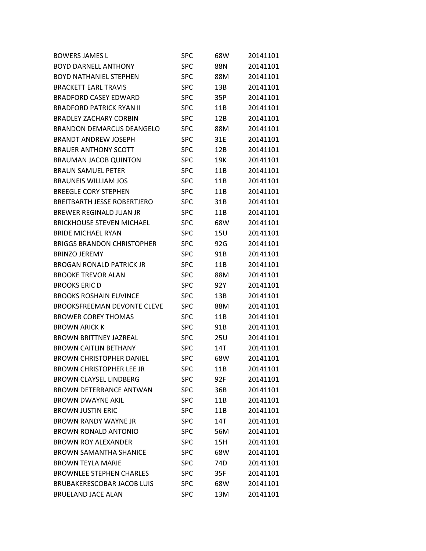| <b>BOWERS JAMES L</b>              | SPC        | 68W | 20141101 |
|------------------------------------|------------|-----|----------|
| <b>BOYD DARNELL ANTHONY</b>        | SPC        | 88N | 20141101 |
| <b>BOYD NATHANIEL STEPHEN</b>      | SPC        | 88M | 20141101 |
| <b>BRACKETT EARL TRAVIS</b>        | SPC        | 13B | 20141101 |
| <b>BRADFORD CASEY EDWARD</b>       | SPC        | 35P | 20141101 |
| <b>BRADFORD PATRICK RYAN II</b>    | SPC        | 11B | 20141101 |
| <b>BRADLEY ZACHARY CORBIN</b>      | <b>SPC</b> | 12B | 20141101 |
| <b>BRANDON DEMARCUS DEANGELO</b>   | SPC        | 88M | 20141101 |
| <b>BRANDT ANDREW JOSEPH</b>        | SPC        | 31E | 20141101 |
| <b>BRAUER ANTHONY SCOTT</b>        | SPC        | 12B | 20141101 |
| <b>BRAUMAN JACOB QUINTON</b>       | SPC        | 19K | 20141101 |
| <b>BRAUN SAMUEL PETER</b>          | SPC        | 11B | 20141101 |
| <b>BRAUNEIS WILLIAM JOS</b>        | SPC        | 11B | 20141101 |
| <b>BREEGLE CORY STEPHEN</b>        | SPC        | 11B | 20141101 |
| <b>BREITBARTH JESSE ROBERTJERO</b> | <b>SPC</b> | 31B | 20141101 |
| BREWER REGINALD JUAN JR            | SPC        | 11B | 20141101 |
| <b>BRICKHOUSE STEVEN MICHAEL</b>   | SPC        | 68W | 20141101 |
| <b>BRIDE MICHAEL RYAN</b>          | SPC        | 15U | 20141101 |
| <b>BRIGGS BRANDON CHRISTOPHER</b>  | <b>SPC</b> | 92G | 20141101 |
| <b>BRINZO JEREMY</b>               | SPC        | 91B | 20141101 |
| <b>BROGAN RONALD PATRICK JR</b>    | SPC        | 11B | 20141101 |
| <b>BROOKE TREVOR ALAN</b>          | SPC        | 88M | 20141101 |
| <b>BROOKS ERIC D</b>               | <b>SPC</b> | 92Y | 20141101 |
| <b>BROOKS ROSHAIN EUVINCE</b>      | SPC        | 13B | 20141101 |
| <b>BROOKSFREEMAN DEVONTE CLEVE</b> | SPC        | 88M | 20141101 |
| <b>BROWER COREY THOMAS</b>         | SPC        | 11B | 20141101 |
| <b>BROWN ARICK K</b>               | SPC        | 91B | 20141101 |
| <b>BROWN BRITTNEY JAZREAL</b>      | SPC        | 25U | 20141101 |
| <b>BROWN CAITLIN BETHANY</b>       | <b>SPC</b> | 14T | 20141101 |
| <b>BROWN CHRISTOPHER DANIEL</b>    | <b>SPC</b> | 68W | 20141101 |
| <b>BROWN CHRISTOPHER LEE JR</b>    | SPC        | 11B | 20141101 |
| <b>BROWN CLAYSEL LINDBERG</b>      | <b>SPC</b> | 92F | 20141101 |
| <b>BROWN DETERRANCE ANTWAN</b>     | <b>SPC</b> | 36B | 20141101 |
| <b>BROWN DWAYNE AKIL</b>           | <b>SPC</b> | 11B | 20141101 |
| <b>BROWN JUSTIN ERIC</b>           | <b>SPC</b> | 11B | 20141101 |
| <b>BROWN RANDY WAYNE JR</b>        | <b>SPC</b> | 14T | 20141101 |
| <b>BROWN RONALD ANTONIO</b>        | <b>SPC</b> | 56M | 20141101 |
| <b>BROWN ROY ALEXANDER</b>         | <b>SPC</b> | 15H | 20141101 |
| <b>BROWN SAMANTHA SHANICE</b>      | <b>SPC</b> | 68W | 20141101 |
| <b>BROWN TEYLA MARIE</b>           | <b>SPC</b> | 74D | 20141101 |
| <b>BROWNLEE STEPHEN CHARLES</b>    | <b>SPC</b> | 35F | 20141101 |
| <b>BRUBAKERESCOBAR JACOB LUIS</b>  | <b>SPC</b> | 68W | 20141101 |
| <b>BRUELAND JACE ALAN</b>          | <b>SPC</b> | 13M | 20141101 |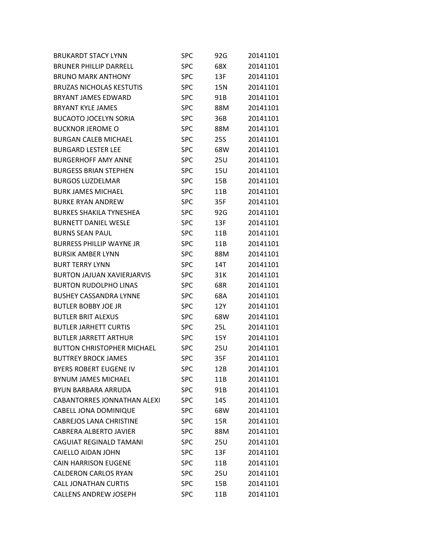| <b>BRUKARDT STACY LYNN</b>         | SPC        | 92G        | 20141101 |
|------------------------------------|------------|------------|----------|
| <b>BRUNER PHILLIP DARRELL</b>      | <b>SPC</b> | 68X        | 20141101 |
| <b>BRUNO MARK ANTHONY</b>          | <b>SPC</b> | 13F        | 20141101 |
| <b>BRUZAS NICHOLAS KESTUTIS</b>    | <b>SPC</b> | 15N        | 20141101 |
| <b>BRYANT JAMES EDWARD</b>         | <b>SPC</b> | 91B        | 20141101 |
| <b>BRYANT KYLE JAMES</b>           | <b>SPC</b> | 88M        | 20141101 |
| <b>BUCAOTO JOCELYN SORIA</b>       | <b>SPC</b> | 36B        | 20141101 |
| <b>BUCKNOR JEROME O</b>            | <b>SPC</b> | 88M        | 20141101 |
| <b>BURGAN CALEB MICHAEL</b>        | <b>SPC</b> | <b>25S</b> | 20141101 |
| <b>BURGARD LESTER LEE</b>          | <b>SPC</b> | 68W        | 20141101 |
| <b>BURGERHOFF AMY ANNE</b>         | <b>SPC</b> | <b>25U</b> | 20141101 |
| <b>BURGESS BRIAN STEPHEN</b>       | <b>SPC</b> | 15U        | 20141101 |
| <b>BURGOS LUZDELMAR</b>            | <b>SPC</b> | 15B        | 20141101 |
| <b>BURK JAMES MICHAEL</b>          | <b>SPC</b> | 11B        | 20141101 |
| <b>BURKE RYAN ANDREW</b>           | <b>SPC</b> | 35F        | 20141101 |
| <b>BURKES SHAKILA TYNESHEA</b>     | <b>SPC</b> | 92G        | 20141101 |
| <b>BURNETT DANIEL WESLE</b>        | <b>SPC</b> | 13F        | 20141101 |
| <b>BURNS SEAN PAUL</b>             | <b>SPC</b> | 11B        | 20141101 |
| <b>BURRESS PHILLIP WAYNE JR</b>    | <b>SPC</b> | 11B        | 20141101 |
| <b>BURSIK AMBER LYNN</b>           | <b>SPC</b> | 88M        | 20141101 |
| <b>BURT TERRY LYNN</b>             | <b>SPC</b> | 14T        | 20141101 |
| <b>BURTON JAJUAN XAVIERJARVIS</b>  | <b>SPC</b> | 31K        | 20141101 |
| <b>BURTON RUDOLPHO LINAS</b>       | <b>SPC</b> | 68R        | 20141101 |
| <b>BUSHEY CASSANDRA LYNNE</b>      | <b>SPC</b> | 68A        | 20141101 |
| <b>BUTLER BOBBY JOE JR</b>         | <b>SPC</b> | 12Y        | 20141101 |
| <b>BUTLER BRIT ALEXUS</b>          | <b>SPC</b> | 68W        | 20141101 |
| <b>BUTLER JARHETT CURTIS</b>       | <b>SPC</b> | 25L        | 20141101 |
| <b>BUTLER JARRETT ARTHUR</b>       | <b>SPC</b> | 15Y        | 20141101 |
| <b>BUTTON CHRISTOPHER MICHAEL</b>  | <b>SPC</b> | 25U        | 20141101 |
| <b>BUTTREY BROCK JAMES</b>         | <b>SPC</b> | 35F        | 20141101 |
| <b>BYERS ROBERT EUGENE IV</b>      | <b>SPC</b> | 12B        | 20141101 |
| <b>BYNUM JAMES MICHAEL</b>         | <b>SPC</b> | 11B        | 20141101 |
| <b>BYUN BARBARA ARRUDA</b>         | <b>SPC</b> | 91B        | 20141101 |
| <b>CABANTORRES JONNATHAN ALEXI</b> | <b>SPC</b> | 14S        | 20141101 |
| <b>CABELL JONA DOMINIQUE</b>       | <b>SPC</b> | 68W        | 20141101 |
| <b>CABREJOS LANA CHRISTINE</b>     | <b>SPC</b> | 15R        | 20141101 |
| <b>CABRERA ALBERTO JAVIER</b>      | <b>SPC</b> | 88M        | 20141101 |
| <b>CAGUIAT REGINALD TAMANI</b>     | <b>SPC</b> | 25U        | 20141101 |
| CAIELLO AIDAN JOHN                 | <b>SPC</b> | 13F        | 20141101 |
| <b>CAIN HARRISON EUGENE</b>        | <b>SPC</b> | 11B        | 20141101 |
| <b>CALDERON CARLOS RYAN</b>        | <b>SPC</b> | 25U        | 20141101 |
| <b>CALL JONATHAN CURTIS</b>        | <b>SPC</b> | 15B        | 20141101 |
| <b>CALLENS ANDREW JOSEPH</b>       | <b>SPC</b> | 11B        | 20141101 |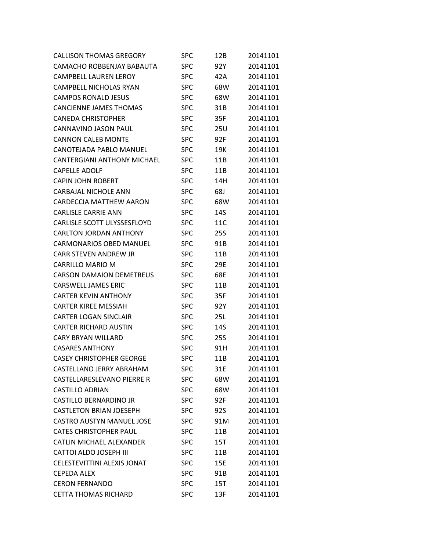| <b>CALLISON THOMAS GREGORY</b>     | <b>SPC</b> | 12B | 20141101 |
|------------------------------------|------------|-----|----------|
| CAMACHO ROBBENJAY BABAUTA          | <b>SPC</b> | 92Y | 20141101 |
| <b>CAMPBELL LAUREN LEROY</b>       | <b>SPC</b> | 42A | 20141101 |
| <b>CAMPBELL NICHOLAS RYAN</b>      | <b>SPC</b> | 68W | 20141101 |
| <b>CAMPOS RONALD JESUS</b>         | <b>SPC</b> | 68W | 20141101 |
| <b>CANCIENNE JAMES THOMAS</b>      | <b>SPC</b> | 31B | 20141101 |
| <b>CANEDA CHRISTOPHER</b>          | <b>SPC</b> | 35F | 20141101 |
| CANNAVINO JASON PAUL               | <b>SPC</b> | 25U | 20141101 |
| <b>CANNON CALEB MONTE</b>          | <b>SPC</b> | 92F | 20141101 |
| CANOTEJADA PABLO MANUEL            | <b>SPC</b> | 19K | 20141101 |
| <b>CANTERGIANI ANTHONY MICHAEL</b> | <b>SPC</b> | 11B | 20141101 |
| <b>CAPELLE ADOLF</b>               | <b>SPC</b> | 11B | 20141101 |
| <b>CAPIN JOHN ROBERT</b>           | <b>SPC</b> | 14H | 20141101 |
| <b>CARBAJAL NICHOLE ANN</b>        | <b>SPC</b> | 68J | 20141101 |
| CARDECCIA MATTHEW AARON            | <b>SPC</b> | 68W | 20141101 |
| <b>CARLISLE CARRIE ANN</b>         | <b>SPC</b> | 14S | 20141101 |
| CARLISLE SCOTT ULYSSESFLOYD        | <b>SPC</b> | 11C | 20141101 |
| <b>CARLTON JORDAN ANTHONY</b>      | <b>SPC</b> | 25S | 20141101 |
| <b>CARMONARIOS OBED MANUEL</b>     | <b>SPC</b> | 91B | 20141101 |
| <b>CARR STEVEN ANDREW JR</b>       | <b>SPC</b> | 11B | 20141101 |
| <b>CARRILLO MARIO M</b>            | <b>SPC</b> | 29E | 20141101 |
| <b>CARSON DAMAION DEMETREUS</b>    | <b>SPC</b> | 68E | 20141101 |
| <b>CARSWELL JAMES ERIC</b>         | <b>SPC</b> | 11B | 20141101 |
| <b>CARTER KEVIN ANTHONY</b>        | <b>SPC</b> | 35F | 20141101 |
| <b>CARTER KIREE MESSIAH</b>        | <b>SPC</b> | 92Y | 20141101 |
| <b>CARTER LOGAN SINCLAIR</b>       | <b>SPC</b> | 25L | 20141101 |
| <b>CARTER RICHARD AUSTIN</b>       | <b>SPC</b> | 14S | 20141101 |
| <b>CARY BRYAN WILLARD</b>          | <b>SPC</b> | 25S | 20141101 |
| <b>CASARES ANTHONY</b>             | <b>SPC</b> | 91H | 20141101 |
| <b>CASEY CHRISTOPHER GEORGE</b>    | <b>SPC</b> | 11B | 20141101 |
| CASTELLANO JERRY ABRAHAM           | <b>SPC</b> | 31E | 20141101 |
| CASTELLARESLEVANO PIERRE R         | <b>SPC</b> | 68W | 20141101 |
| <b>CASTILLO ADRIAN</b>             | <b>SPC</b> | 68W | 20141101 |
| <b>CASTILLO BERNARDINO JR</b>      | <b>SPC</b> | 92F | 20141101 |
| <b>CASTLETON BRIAN JOESEPH</b>     | <b>SPC</b> | 92S | 20141101 |
| <b>CASTRO AUSTYN MANUEL JOSE</b>   | <b>SPC</b> | 91M | 20141101 |
| <b>CATES CHRISTOPHER PAUL</b>      | <b>SPC</b> | 11B | 20141101 |
| <b>CATLIN MICHAEL ALEXANDER</b>    | <b>SPC</b> | 15T | 20141101 |
| <b>CATTOI ALDO JOSEPH III</b>      | <b>SPC</b> | 11B | 20141101 |
| <b>CELESTEVITTINI ALEXIS JONAT</b> | <b>SPC</b> | 15E | 20141101 |
| <b>CEPEDA ALEX</b>                 | <b>SPC</b> | 91B | 20141101 |
| <b>CERON FERNANDO</b>              | <b>SPC</b> | 15T | 20141101 |
| <b>CETTA THOMAS RICHARD</b>        | <b>SPC</b> | 13F | 20141101 |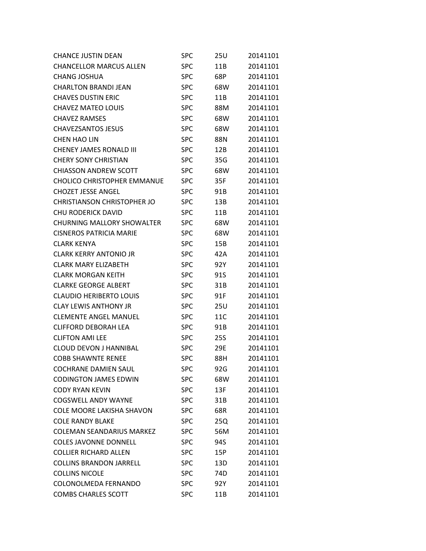| <b>CHANCE JUSTIN DEAN</b>          | <b>SPC</b> | 25U | 20141101 |
|------------------------------------|------------|-----|----------|
| <b>CHANCELLOR MARCUS ALLEN</b>     | <b>SPC</b> | 11B | 20141101 |
| <b>CHANG JOSHUA</b>                | <b>SPC</b> | 68P | 20141101 |
| <b>CHARLTON BRANDI JEAN</b>        | <b>SPC</b> | 68W | 20141101 |
| <b>CHAVES DUSTIN ERIC</b>          | <b>SPC</b> | 11B | 20141101 |
| <b>CHAVEZ MATEO LOUIS</b>          | <b>SPC</b> | 88M | 20141101 |
| <b>CHAVEZ RAMSES</b>               | <b>SPC</b> | 68W | 20141101 |
| <b>CHAVEZSANTOS JESUS</b>          | <b>SPC</b> | 68W | 20141101 |
| <b>CHEN HAO LIN</b>                | <b>SPC</b> | 88N | 20141101 |
| CHENEY JAMES RONALD III            | <b>SPC</b> | 12B | 20141101 |
| <b>CHERY SONY CHRISTIAN</b>        | <b>SPC</b> | 35G | 20141101 |
| <b>CHIASSON ANDREW SCOTT</b>       | <b>SPC</b> | 68W | 20141101 |
| <b>CHOLICO CHRISTOPHER EMMANUE</b> | <b>SPC</b> | 35F | 20141101 |
| <b>CHOZET JESSE ANGEL</b>          | <b>SPC</b> | 91B | 20141101 |
| <b>CHRISTIANSON CHRISTOPHER JO</b> | <b>SPC</b> | 13B | 20141101 |
| <b>CHU RODERICK DAVID</b>          | <b>SPC</b> | 11B | 20141101 |
| <b>CHURNING MALLORY SHOWALTER</b>  | <b>SPC</b> | 68W | 20141101 |
| <b>CISNEROS PATRICIA MARIE</b>     | <b>SPC</b> | 68W | 20141101 |
| <b>CLARK KENYA</b>                 | <b>SPC</b> | 15B | 20141101 |
| <b>CLARK KERRY ANTONIO JR</b>      | <b>SPC</b> | 42A | 20141101 |
| <b>CLARK MARY ELIZABETH</b>        | <b>SPC</b> | 92Y | 20141101 |
| <b>CLARK MORGAN KEITH</b>          | <b>SPC</b> | 91S | 20141101 |
| <b>CLARKE GEORGE ALBERT</b>        | <b>SPC</b> | 31B | 20141101 |
| <b>CLAUDIO HERIBERTO LOUIS</b>     | <b>SPC</b> | 91F | 20141101 |
| <b>CLAY LEWIS ANTHONY JR</b>       | <b>SPC</b> | 25U | 20141101 |
| <b>CLEMENTE ANGEL MANUEL</b>       | <b>SPC</b> | 11C | 20141101 |
| <b>CLIFFORD DEBORAH LEA</b>        | <b>SPC</b> | 91B | 20141101 |
| <b>CLIFTON AMILLEE</b>             | <b>SPC</b> | 25S | 20141101 |
| <b>CLOUD DEVON J HANNIBAL</b>      | <b>SPC</b> | 29E | 20141101 |
| <b>COBB SHAWNTE RENEE</b>          | <b>SPC</b> | 88H | 20141101 |
| <b>COCHRANE DAMIEN SAUL</b>        | <b>SPC</b> | 92G | 20141101 |
| <b>CODINGTON JAMES EDWIN</b>       | <b>SPC</b> | 68W | 20141101 |
| <b>CODY RYAN KEVIN</b>             | <b>SPC</b> | 13F | 20141101 |
| <b>COGSWELL ANDY WAYNE</b>         | <b>SPC</b> | 31B | 20141101 |
| <b>COLE MOORE LAKISHA SHAVON</b>   | <b>SPC</b> | 68R | 20141101 |
| <b>COLE RANDY BLAKE</b>            | <b>SPC</b> | 25Q | 20141101 |
| <b>COLEMAN SEANDARIUS MARKEZ</b>   | <b>SPC</b> | 56M | 20141101 |
| <b>COLES JAVONNE DONNELL</b>       | <b>SPC</b> | 94S | 20141101 |
| <b>COLLIER RICHARD ALLEN</b>       | <b>SPC</b> | 15P | 20141101 |
| <b>COLLINS BRANDON JARRELL</b>     | <b>SPC</b> | 13D | 20141101 |
| <b>COLLINS NICOLE</b>              | <b>SPC</b> | 74D | 20141101 |
| COLONOLMEDA FERNANDO               | <b>SPC</b> | 92Y | 20141101 |
| <b>COMBS CHARLES SCOTT</b>         | <b>SPC</b> | 11B | 20141101 |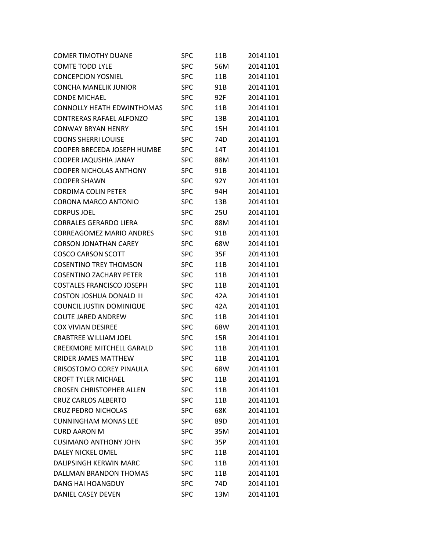| <b>COMER TIMOTHY DUANE</b>        | SPC        | 11B | 20141101 |
|-----------------------------------|------------|-----|----------|
| <b>COMTE TODD LYLE</b>            | <b>SPC</b> | 56M | 20141101 |
| <b>CONCEPCION YOSNIEL</b>         | <b>SPC</b> | 11B | 20141101 |
| <b>CONCHA MANELIK JUNIOR</b>      | <b>SPC</b> | 91B | 20141101 |
| <b>CONDE MICHAEL</b>              | <b>SPC</b> | 92F | 20141101 |
| <b>CONNOLLY HEATH EDWINTHOMAS</b> | <b>SPC</b> | 11B | 20141101 |
| <b>CONTRERAS RAFAEL ALFONZO</b>   | <b>SPC</b> | 13B | 20141101 |
| <b>CONWAY BRYAN HENRY</b>         | <b>SPC</b> | 15H | 20141101 |
| <b>COONS SHERRI LOUISE</b>        | <b>SPC</b> | 74D | 20141101 |
| COOPER BRECEDA JOSEPH HUMBE       | <b>SPC</b> | 14T | 20141101 |
| COOPER JAQUSHIA JANAY             | <b>SPC</b> | 88M | 20141101 |
| <b>COOPER NICHOLAS ANTHONY</b>    | <b>SPC</b> | 91B | 20141101 |
| <b>COOPER SHAWN</b>               | <b>SPC</b> | 92Y | 20141101 |
| <b>CORDIMA COLIN PETER</b>        | <b>SPC</b> | 94H | 20141101 |
| <b>CORONA MARCO ANTONIO</b>       | <b>SPC</b> | 13B | 20141101 |
| <b>CORPUS JOEL</b>                | <b>SPC</b> | 25U | 20141101 |
| <b>CORRALES GERARDO LIERA</b>     | <b>SPC</b> | 88M | 20141101 |
| <b>CORREAGOMEZ MARIO ANDRES</b>   | <b>SPC</b> | 91B | 20141101 |
| <b>CORSON JONATHAN CAREY</b>      | <b>SPC</b> | 68W | 20141101 |
| <b>COSCO CARSON SCOTT</b>         | <b>SPC</b> | 35F | 20141101 |
| <b>COSENTINO TREY THOMSON</b>     | <b>SPC</b> | 11B | 20141101 |
| <b>COSENTINO ZACHARY PETER</b>    | <b>SPC</b> | 11B | 20141101 |
| <b>COSTALES FRANCISCO JOSEPH</b>  | <b>SPC</b> | 11B | 20141101 |
| <b>COSTON JOSHUA DONALD III</b>   | <b>SPC</b> | 42A | 20141101 |
| COUNCIL JUSTIN DOMINIQUE          | <b>SPC</b> | 42A | 20141101 |
| <b>COUTE JARED ANDREW</b>         | <b>SPC</b> | 11B | 20141101 |
| <b>COX VIVIAN DESIREE</b>         | <b>SPC</b> | 68W | 20141101 |
| <b>CRABTREE WILLIAM JOEL</b>      | <b>SPC</b> | 15R | 20141101 |
| <b>CREEKMORE MITCHELL GARALD</b>  | <b>SPC</b> | 11B | 20141101 |
| <b>CRIDER JAMES MATTHEW</b>       | <b>SPC</b> | 11B | 20141101 |
| <b>CRISOSTOMO COREY PINAULA</b>   | <b>SPC</b> | 68W | 20141101 |
| <b>CROFT TYLER MICHAEL</b>        | <b>SPC</b> | 11B | 20141101 |
| <b>CROSEN CHRISTOPHER ALLEN</b>   | <b>SPC</b> | 11B | 20141101 |
| <b>CRUZ CARLOS ALBERTO</b>        | <b>SPC</b> | 11B | 20141101 |
| <b>CRUZ PEDRO NICHOLAS</b>        | <b>SPC</b> | 68K | 20141101 |
| <b>CUNNINGHAM MONAS LEE</b>       | <b>SPC</b> | 89D | 20141101 |
| <b>CURD AARON M</b>               | <b>SPC</b> | 35M | 20141101 |
| <b>CUSIMANO ANTHONY JOHN</b>      | <b>SPC</b> | 35P | 20141101 |
| <b>DALEY NICKEL OMEL</b>          | <b>SPC</b> | 11B | 20141101 |
| DALIPSINGH KERWIN MARC            | <b>SPC</b> | 11B | 20141101 |
| DALLMAN BRANDON THOMAS            | <b>SPC</b> | 11B | 20141101 |
| DANG HAI HOANGDUY                 | <b>SPC</b> | 74D | 20141101 |
| DANIEL CASEY DEVEN                | <b>SPC</b> | 13M | 20141101 |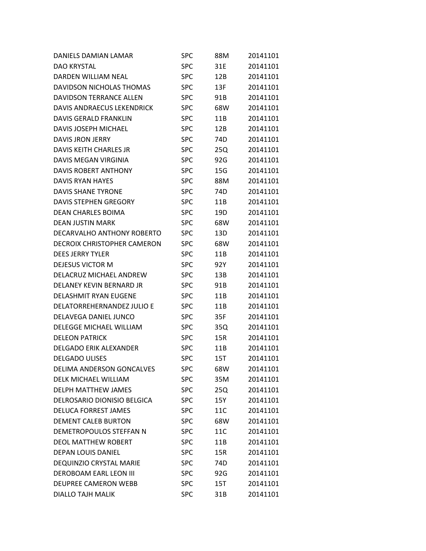| DANIELS DAMIAN LAMAR               | SPC        | 88M | 20141101 |
|------------------------------------|------------|-----|----------|
| DAO KRYSTAL                        | <b>SPC</b> | 31E | 20141101 |
| <b>DARDEN WILLIAM NEAL</b>         | <b>SPC</b> | 12B | 20141101 |
| DAVIDSON NICHOLAS THOMAS           | <b>SPC</b> | 13F | 20141101 |
| DAVIDSON TERRANCE ALLEN            | <b>SPC</b> | 91B | 20141101 |
| DAVIS ANDRAECUS LEKENDRICK         | <b>SPC</b> | 68W | 20141101 |
| <b>DAVIS GERALD FRANKLIN</b>       | <b>SPC</b> | 11B | 20141101 |
| <b>DAVIS JOSEPH MICHAEL</b>        | <b>SPC</b> | 12B | 20141101 |
| DAVIS JRON JERRY                   | <b>SPC</b> | 74D | 20141101 |
| DAVIS KEITH CHARLES JR             | <b>SPC</b> | 25Q | 20141101 |
| DAVIS MEGAN VIRGINIA               | <b>SPC</b> | 92G | 20141101 |
| <b>DAVIS ROBERT ANTHONY</b>        | <b>SPC</b> | 15G | 20141101 |
| DAVIS RYAN HAYES                   | <b>SPC</b> | 88M | 20141101 |
| DAVIS SHANE TYRONE                 | <b>SPC</b> | 74D | 20141101 |
| <b>DAVIS STEPHEN GREGORY</b>       | <b>SPC</b> | 11B | 20141101 |
| <b>DEAN CHARLES BOIMA</b>          | <b>SPC</b> | 19D | 20141101 |
| <b>DEAN JUSTIN MARK</b>            | <b>SPC</b> | 68W | 20141101 |
| DECARVALHO ANTHONY ROBERTO         | <b>SPC</b> | 13D | 20141101 |
| <b>DECROIX CHRISTOPHER CAMERON</b> | <b>SPC</b> | 68W | 20141101 |
| <b>DEES JERRY TYLER</b>            | <b>SPC</b> | 11B | 20141101 |
| <b>DEJESUS VICTOR M</b>            | <b>SPC</b> | 92Y | 20141101 |
| DELACRUZ MICHAEL ANDREW            | <b>SPC</b> | 13B | 20141101 |
| DELANEY KEVIN BERNARD JR           | <b>SPC</b> | 91B | 20141101 |
| <b>DELASHMIT RYAN EUGENE</b>       | <b>SPC</b> | 11B | 20141101 |
| DELATORREHERNANDEZ JULIO E         | <b>SPC</b> | 11B | 20141101 |
| DELAVEGA DANIEL JUNCO              | <b>SPC</b> | 35F | 20141101 |
| <b>DELEGGE MICHAEL WILLIAM</b>     | <b>SPC</b> | 35Q | 20141101 |
| <b>DELEON PATRICK</b>              | <b>SPC</b> | 15R | 20141101 |
| <b>DELGADO ERIK ALEXANDER</b>      | <b>SPC</b> | 11B | 20141101 |
| <b>DELGADO ULISES</b>              | <b>SPC</b> | 15T | 20141101 |
| <b>DELIMA ANDERSON GONCALVES</b>   | <b>SPC</b> | 68W | 20141101 |
| <b>DELK MICHAEL WILLIAM</b>        | <b>SPC</b> | 35M | 20141101 |
| <b>DELPH MATTHEW JAMES</b>         | <b>SPC</b> | 25Q | 20141101 |
| DELROSARIO DIONISIO BELGICA        | <b>SPC</b> | 15Y | 20141101 |
| <b>DELUCA FORREST JAMES</b>        | <b>SPC</b> | 11C | 20141101 |
| <b>DEMENT CALEB BURTON</b>         | <b>SPC</b> | 68W | 20141101 |
| DEMETROPOULOS STEFFAN N            | <b>SPC</b> | 11C | 20141101 |
| <b>DEOL MATTHEW ROBERT</b>         | <b>SPC</b> | 11B | 20141101 |
| <b>DEPAN LOUIS DANIEL</b>          | <b>SPC</b> | 15R | 20141101 |
| <b>DEQUINZIO CRYSTAL MARIE</b>     | <b>SPC</b> | 74D | 20141101 |
| <b>DEROBOAM EARL LEON III</b>      | <b>SPC</b> | 92G | 20141101 |
| <b>DEUPREE CAMERON WEBB</b>        | <b>SPC</b> | 15T | 20141101 |
| <b>DIALLO TAJH MALIK</b>           | <b>SPC</b> | 31B | 20141101 |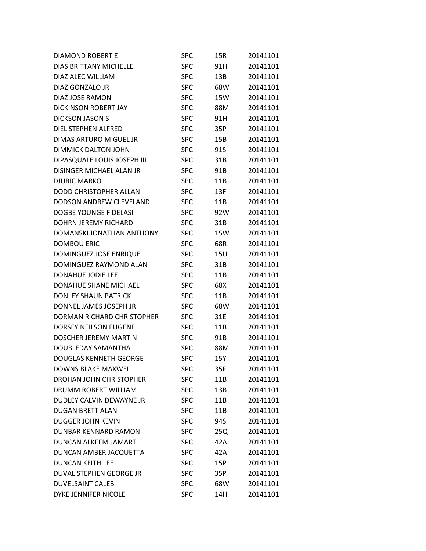| DIAMOND ROBERT E              | SPC        | 15R | 20141101 |
|-------------------------------|------------|-----|----------|
| <b>DIAS BRITTANY MICHELLE</b> | <b>SPC</b> | 91H | 20141101 |
| DIAZ ALEC WILLIAM             | <b>SPC</b> | 13B | 20141101 |
| DIAZ GONZALO JR               | <b>SPC</b> | 68W | 20141101 |
| DIAZ JOSE RAMON               | <b>SPC</b> | 15W | 20141101 |
| DICKINSON ROBERT JAY          | <b>SPC</b> | 88M | 20141101 |
| <b>DICKSON JASON S</b>        | <b>SPC</b> | 91H | 20141101 |
| DIEL STEPHEN ALFRED           | <b>SPC</b> | 35P | 20141101 |
| DIMAS ARTURO MIGUEL JR        | <b>SPC</b> | 15B | 20141101 |
| <b>DIMMICK DALTON JOHN</b>    | <b>SPC</b> | 91S | 20141101 |
| DIPASQUALE LOUIS JOSEPH III   | <b>SPC</b> | 31B | 20141101 |
| DISINGER MICHAEL ALAN JR      | <b>SPC</b> | 91B | 20141101 |
| <b>DJURIC MARKO</b>           | <b>SPC</b> | 11B | 20141101 |
| DODD CHRISTOPHER ALLAN        | <b>SPC</b> | 13F | 20141101 |
| DODSON ANDREW CLEVELAND       | <b>SPC</b> | 11B | 20141101 |
| DOGBE YOUNGE F DELASI         | <b>SPC</b> | 92W | 20141101 |
| <b>DOHRN JEREMY RICHARD</b>   | <b>SPC</b> | 31B | 20141101 |
| DOMANSKI JONATHAN ANTHONY     | <b>SPC</b> | 15W | 20141101 |
| <b>DOMBOU ERIC</b>            | <b>SPC</b> | 68R | 20141101 |
| DOMINGUEZ JOSE ENRIQUE        | <b>SPC</b> | 15U | 20141101 |
| DOMINGUEZ RAYMOND ALAN        | <b>SPC</b> | 31B | 20141101 |
| <b>DONAHUE JODIE LEE</b>      | <b>SPC</b> | 11B | 20141101 |
| <b>DONAHUE SHANE MICHAEL</b>  | <b>SPC</b> | 68X | 20141101 |
| <b>DONLEY SHAUN PATRICK</b>   | <b>SPC</b> | 11B | 20141101 |
| DONNEL JAMES JOSEPH JR        | SPC        | 68W | 20141101 |
| DORMAN RICHARD CHRISTOPHER    | <b>SPC</b> | 31E | 20141101 |
| <b>DORSEY NEILSON EUGENE</b>  | <b>SPC</b> | 11B | 20141101 |
| <b>DOSCHER JEREMY MARTIN</b>  | <b>SPC</b> | 91B | 20141101 |
| DOUBLEDAY SAMANTHA            | <b>SPC</b> | 88M | 20141101 |
| <b>DOUGLAS KENNETH GEORGE</b> | <b>SPC</b> | 15Y | 20141101 |
| <b>DOWNS BLAKE MAXWELL</b>    | <b>SPC</b> | 35F | 20141101 |
| DROHAN JOHN CHRISTOPHER       | <b>SPC</b> | 11B | 20141101 |
| DRUMM ROBERT WILLIAM          | <b>SPC</b> | 13B | 20141101 |
| DUDLEY CALVIN DEWAYNE JR      | <b>SPC</b> | 11B | 20141101 |
| <b>DUGAN BRETT ALAN</b>       | <b>SPC</b> | 11B | 20141101 |
| <b>DUGGER JOHN KEVIN</b>      | <b>SPC</b> | 94S | 20141101 |
| DUNBAR KENNARD RAMON          | <b>SPC</b> | 25Q | 20141101 |
| <b>DUNCAN ALKEEM JAMART</b>   | <b>SPC</b> | 42A | 20141101 |
| DUNCAN AMBER JACQUETTA        | <b>SPC</b> | 42A | 20141101 |
| <b>DUNCAN KEITH LEE</b>       | <b>SPC</b> | 15P | 20141101 |
| DUVAL STEPHEN GEORGE JR       | <b>SPC</b> | 35P | 20141101 |
| <b>DUVELSAINT CALEB</b>       | <b>SPC</b> | 68W | 20141101 |
| DYKE JENNIFER NICOLE          | <b>SPC</b> | 14H | 20141101 |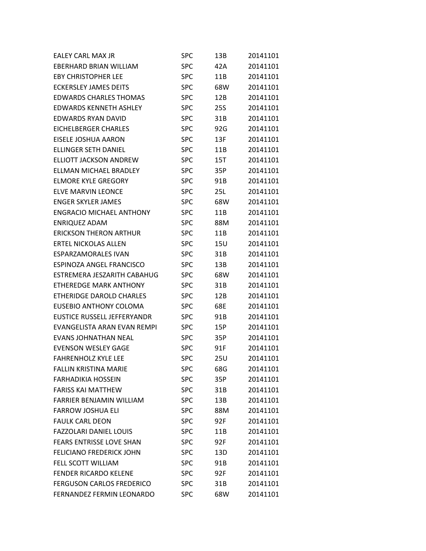| <b>EALEY CARL MAX JR</b>         | <b>SPC</b> | 13B        | 20141101 |
|----------------------------------|------------|------------|----------|
| EBERHARD BRIAN WILLIAM           | <b>SPC</b> | 42A        | 20141101 |
| <b>EBY CHRISTOPHER LEE</b>       | <b>SPC</b> | 11B        | 20141101 |
| <b>ECKERSLEY JAMES DEITS</b>     | <b>SPC</b> | 68W        | 20141101 |
| <b>EDWARDS CHARLES THOMAS</b>    | <b>SPC</b> | 12B        | 20141101 |
| <b>EDWARDS KENNETH ASHLEY</b>    | <b>SPC</b> | <b>25S</b> | 20141101 |
| <b>EDWARDS RYAN DAVID</b>        | <b>SPC</b> | 31B        | 20141101 |
| <b>EICHELBERGER CHARLES</b>      | <b>SPC</b> | 92G        | 20141101 |
| EISELE JOSHUA AARON              | <b>SPC</b> | 13F        | 20141101 |
| <b>ELLINGER SETH DANIEL</b>      | <b>SPC</b> | 11B        | 20141101 |
| <b>ELLIOTT JACKSON ANDREW</b>    | <b>SPC</b> | 15T        | 20141101 |
| ELLMAN MICHAEL BRADLEY           | <b>SPC</b> | 35P        | 20141101 |
| <b>ELMORE KYLE GREGORY</b>       | <b>SPC</b> | 91B        | 20141101 |
| <b>ELVE MARVIN LEONCE</b>        | <b>SPC</b> | 25L        | 20141101 |
| <b>ENGER SKYLER JAMES</b>        | <b>SPC</b> | 68W        | 20141101 |
| <b>ENGRACIO MICHAEL ANTHONY</b>  | <b>SPC</b> | 11B        | 20141101 |
| <b>ENRIQUEZ ADAM</b>             | <b>SPC</b> | 88M        | 20141101 |
| <b>ERICKSON THERON ARTHUR</b>    | <b>SPC</b> | 11B        | 20141101 |
| <b>ERTEL NICKOLAS ALLEN</b>      | <b>SPC</b> | 15U        | 20141101 |
| <b>ESPARZAMORALES IVAN</b>       | <b>SPC</b> | 31B        | 20141101 |
| ESPINOZA ANGEL FRANCISCO         | <b>SPC</b> | 13B        | 20141101 |
| ESTREMERA JESZARITH CABAHUG      | <b>SPC</b> | 68W        | 20141101 |
| <b>ETHEREDGE MARK ANTHONY</b>    | <b>SPC</b> | 31B        | 20141101 |
| <b>ETHERIDGE DAROLD CHARLES</b>  | <b>SPC</b> | 12B        | 20141101 |
| EUSEBIO ANTHONY COLOMA           | <b>SPC</b> | 68E        | 20141101 |
| EUSTICE RUSSELL JEFFERYANDR      | <b>SPC</b> | 91B        | 20141101 |
| EVANGELISTA ARAN EVAN REMPI      | <b>SPC</b> | 15P        | 20141101 |
| EVANS JOHNATHAN NEAL             | <b>SPC</b> | 35P        | 20141101 |
| <b>EVENSON WESLEY GAGE</b>       | <b>SPC</b> | 91F        | 20141101 |
| <b>FAHRENHOLZ KYLE LEE</b>       | <b>SPC</b> | 25U        | 20141101 |
| <b>FALLIN KRISTINA MARIE</b>     | <b>SPC</b> | 68G        | 20141101 |
| <b>FARHADIKIA HOSSEIN</b>        | <b>SPC</b> | 35P        | 20141101 |
| <b>FARISS KAI MATTHEW</b>        | <b>SPC</b> | 31B        | 20141101 |
| <b>FARRIER BENJAMIN WILLIAM</b>  | <b>SPC</b> | 13B        | 20141101 |
| <b>FARROW JOSHUA ELI</b>         | <b>SPC</b> | 88M        | 20141101 |
| <b>FAULK CARL DEON</b>           | <b>SPC</b> | 92F        | 20141101 |
| <b>FAZZOLARI DANIEL LOUIS</b>    | <b>SPC</b> | 11B        | 20141101 |
| <b>FEARS ENTRISSE LOVE SHAN</b>  | <b>SPC</b> | 92F        | 20141101 |
| <b>FELICIANO FREDERICK JOHN</b>  | <b>SPC</b> | 13D        | 20141101 |
| FELL SCOTT WILLIAM               | <b>SPC</b> | 91B        | 20141101 |
| <b>FENDER RICARDO KELENE</b>     | <b>SPC</b> | 92F        | 20141101 |
| <b>FERGUSON CARLOS FREDERICO</b> | <b>SPC</b> | 31B        | 20141101 |
| FERNANDEZ FERMIN LEONARDO        | <b>SPC</b> | 68W        | 20141101 |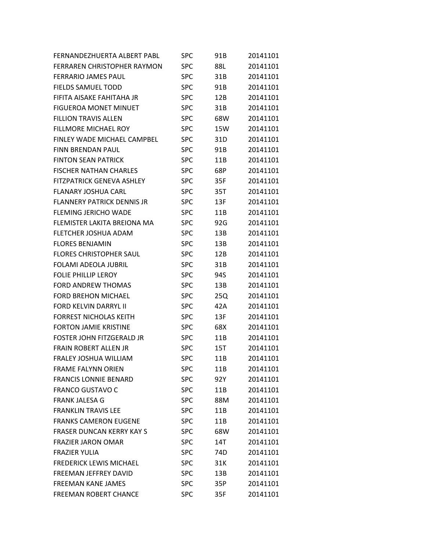| FERNANDEZHUERTA ALBERT PABL        | <b>SPC</b> | 91B | 20141101 |
|------------------------------------|------------|-----|----------|
| <b>FERRAREN CHRISTOPHER RAYMON</b> | <b>SPC</b> | 88L | 20141101 |
| <b>FERRARIO JAMES PAUL</b>         | <b>SPC</b> | 31B | 20141101 |
| <b>FIELDS SAMUEL TODD</b>          | <b>SPC</b> | 91B | 20141101 |
| FIFITA AISAKE FAHITAHA JR          | <b>SPC</b> | 12B | 20141101 |
| <b>FIGUEROA MONET MINUET</b>       | <b>SPC</b> | 31B | 20141101 |
| <b>FILLION TRAVIS ALLEN</b>        | <b>SPC</b> | 68W | 20141101 |
| FILLMORE MICHAEL ROY               | SPC        | 15W | 20141101 |
| <b>FINLEY WADE MICHAEL CAMPBEL</b> | <b>SPC</b> | 31D | 20141101 |
| <b>FINN BRENDAN PAUL</b>           | <b>SPC</b> | 91B | 20141101 |
| <b>FINTON SEAN PATRICK</b>         | <b>SPC</b> | 11B | 20141101 |
| <b>FISCHER NATHAN CHARLES</b>      | SPC        | 68P | 20141101 |
| <b>FITZPATRICK GENEVA ASHLEY</b>   | <b>SPC</b> | 35F | 20141101 |
| <b>FLANARY JOSHUA CARL</b>         | <b>SPC</b> | 35T | 20141101 |
| <b>FLANNERY PATRICK DENNIS JR</b>  | <b>SPC</b> | 13F | 20141101 |
| <b>FLEMING JERICHO WADE</b>        | <b>SPC</b> | 11B | 20141101 |
| FLEMISTER LAKITA BREIONA MA        | <b>SPC</b> | 92G | 20141101 |
| FLETCHER JOSHUA ADAM               | <b>SPC</b> | 13B | 20141101 |
| <b>FLORES BENJAMIN</b>             | <b>SPC</b> | 13B | 20141101 |
| <b>FLORES CHRISTOPHER SAUL</b>     | <b>SPC</b> | 12B | 20141101 |
| <b>FOLAMI ADEOLA JUBRIL</b>        | <b>SPC</b> | 31B | 20141101 |
| <b>FOLIE PHILLIP LEROY</b>         | <b>SPC</b> | 94S | 20141101 |
| <b>FORD ANDREW THOMAS</b>          | <b>SPC</b> | 13B | 20141101 |
| <b>FORD BREHON MICHAEL</b>         | <b>SPC</b> | 25Q | 20141101 |
| <b>FORD KELVIN DARRYL II</b>       | <b>SPC</b> | 42A | 20141101 |
| <b>FORREST NICHOLAS KEITH</b>      | <b>SPC</b> | 13F | 20141101 |
| <b>FORTON JAMIE KRISTINE</b>       | <b>SPC</b> | 68X | 20141101 |
| FOSTER JOHN FITZGERALD JR          | <b>SPC</b> | 11B | 20141101 |
| FRAIN ROBERT ALLEN JR              | <b>SPC</b> | 15T | 20141101 |
| <b>FRALEY JOSHUA WILLIAM</b>       | <b>SPC</b> | 11B | 20141101 |
| <b>FRAME FALYNN ORIEN</b>          | <b>SPC</b> | 11B | 20141101 |
| <b>FRANCIS LONNIE BENARD</b>       | <b>SPC</b> | 92Y | 20141101 |
| <b>FRANCO GUSTAVO C</b>            | <b>SPC</b> | 11B | 20141101 |
| <b>FRANK JALESA G</b>              | <b>SPC</b> | 88M | 20141101 |
| <b>FRANKLIN TRAVIS LEE</b>         | <b>SPC</b> | 11B | 20141101 |
| <b>FRANKS CAMERON EUGENE</b>       | <b>SPC</b> | 11B | 20141101 |
| <b>FRASER DUNCAN KERRY KAY S</b>   | <b>SPC</b> | 68W | 20141101 |
| <b>FRAZIER JARON OMAR</b>          | <b>SPC</b> | 14T | 20141101 |
| <b>FRAZIER YULIA</b>               | <b>SPC</b> | 74D | 20141101 |
| <b>FREDERICK LEWIS MICHAEL</b>     | <b>SPC</b> | 31K | 20141101 |
| FREEMAN JEFFREY DAVID              | <b>SPC</b> | 13B | 20141101 |
| <b>FREEMAN KANE JAMES</b>          | <b>SPC</b> | 35P | 20141101 |
| <b>FREEMAN ROBERT CHANCE</b>       | <b>SPC</b> | 35F | 20141101 |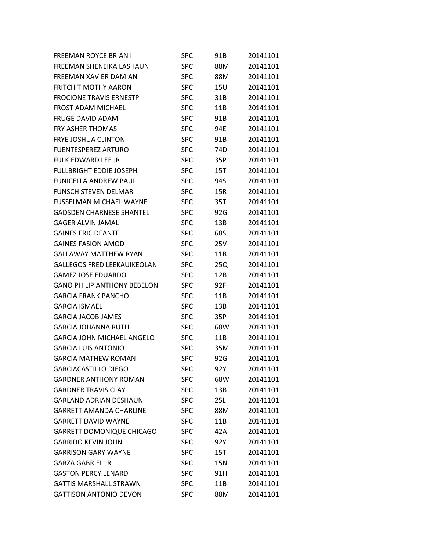| <b>FREEMAN ROYCE BRIAN II</b>      | <b>SPC</b> | 91B | 20141101 |
|------------------------------------|------------|-----|----------|
| FREEMAN SHENEIKA LASHAUN           | <b>SPC</b> | 88M | 20141101 |
| FREEMAN XAVIER DAMIAN              | <b>SPC</b> | 88M | 20141101 |
| <b>FRITCH TIMOTHY AARON</b>        | <b>SPC</b> | 15U | 20141101 |
| <b>FROCIONE TRAVIS ERNESTP</b>     | <b>SPC</b> | 31B | 20141101 |
| <b>FROST ADAM MICHAEL</b>          | <b>SPC</b> | 11B | 20141101 |
| <b>FRUGE DAVID ADAM</b>            | <b>SPC</b> | 91B | 20141101 |
| <b>FRY ASHER THOMAS</b>            | <b>SPC</b> | 94E | 20141101 |
| <b>FRYE JOSHUA CLINTON</b>         | <b>SPC</b> | 91B | 20141101 |
| <b>FUENTESPEREZ ARTURO</b>         | <b>SPC</b> | 74D | 20141101 |
| <b>FULK EDWARD LEE JR</b>          | <b>SPC</b> | 35P | 20141101 |
| <b>FULLBRIGHT EDDIE JOSEPH</b>     | <b>SPC</b> | 15T | 20141101 |
| <b>FUNICELLA ANDREW PAUL</b>       | <b>SPC</b> | 94S | 20141101 |
| <b>FUNSCH STEVEN DELMAR</b>        | <b>SPC</b> | 15R | 20141101 |
| <b>FUSSELMAN MICHAEL WAYNE</b>     | <b>SPC</b> | 35T | 20141101 |
| <b>GADSDEN CHARNESE SHANTEL</b>    | <b>SPC</b> | 92G | 20141101 |
| <b>GAGER ALVIN JAMAL</b>           | <b>SPC</b> | 13B | 20141101 |
| <b>GAINES ERIC DEANTE</b>          | <b>SPC</b> | 68S | 20141101 |
| <b>GAINES FASION AMOD</b>          | <b>SPC</b> | 25V | 20141101 |
| <b>GALLAWAY MATTHEW RYAN</b>       | <b>SPC</b> | 11B | 20141101 |
| <b>GALLEGOS FRED LEEKAUIKEOLAN</b> | <b>SPC</b> | 25Q | 20141101 |
| <b>GAMEZ JOSE EDUARDO</b>          | <b>SPC</b> | 12B | 20141101 |
| <b>GANO PHILIP ANTHONY BEBELON</b> | <b>SPC</b> | 92F | 20141101 |
| <b>GARCIA FRANK PANCHO</b>         | <b>SPC</b> | 11B | 20141101 |
| <b>GARCIA ISMAEL</b>               | <b>SPC</b> | 13B | 20141101 |
| <b>GARCIA JACOB JAMES</b>          | <b>SPC</b> | 35P | 20141101 |
| <b>GARCIA JOHANNA RUTH</b>         | <b>SPC</b> | 68W | 20141101 |
| <b>GARCIA JOHN MICHAEL ANGELO</b>  | <b>SPC</b> | 11B | 20141101 |
| <b>GARCIA LUIS ANTONIO</b>         | <b>SPC</b> | 35M | 20141101 |
| <b>GARCIA MATHEW ROMAN</b>         | <b>SPC</b> | 92G | 20141101 |
| <b>GARCIACASTILLO DIEGO</b>        | <b>SPC</b> | 92Y | 20141101 |
| <b>GARDNER ANTHONY ROMAN</b>       | <b>SPC</b> | 68W | 20141101 |
| <b>GARDNER TRAVIS CLAY</b>         | <b>SPC</b> | 13B | 20141101 |
| <b>GARLAND ADRIAN DESHAUN</b>      | <b>SPC</b> | 25L | 20141101 |
| <b>GARRETT AMANDA CHARLINE</b>     | <b>SPC</b> | 88M | 20141101 |
| <b>GARRETT DAVID WAYNE</b>         | <b>SPC</b> | 11B | 20141101 |
| <b>GARRETT DOMONIQUE CHICAGO</b>   | <b>SPC</b> | 42A | 20141101 |
| <b>GARRIDO KEVIN JOHN</b>          | <b>SPC</b> | 92Y | 20141101 |
| <b>GARRISON GARY WAYNE</b>         | <b>SPC</b> | 15T | 20141101 |
| <b>GARZA GABRIEL JR</b>            | <b>SPC</b> | 15N | 20141101 |
| <b>GASTON PERCY LENARD</b>         | <b>SPC</b> | 91H | 20141101 |
| <b>GATTIS MARSHALL STRAWN</b>      | <b>SPC</b> | 11B | 20141101 |
| <b>GATTISON ANTONIO DEVON</b>      | <b>SPC</b> | 88M | 20141101 |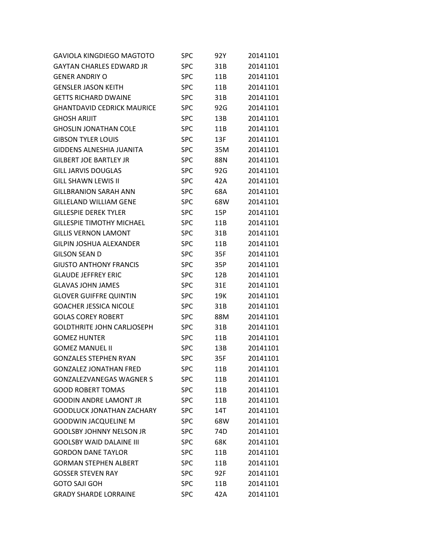| <b>GAVIOLA KINGDIEGO MAGTOTO</b>  | <b>SPC</b> | 92Y | 20141101 |
|-----------------------------------|------------|-----|----------|
| <b>GAYTAN CHARLES EDWARD JR</b>   | <b>SPC</b> | 31B | 20141101 |
| <b>GENER ANDRIY O</b>             | <b>SPC</b> | 11B | 20141101 |
| <b>GENSLER JASON KEITH</b>        | <b>SPC</b> | 11B | 20141101 |
| <b>GETTS RICHARD DWAINE</b>       | <b>SPC</b> | 31B | 20141101 |
| <b>GHANTDAVID CEDRICK MAURICE</b> | <b>SPC</b> | 92G | 20141101 |
| <b>GHOSH ARIJIT</b>               | <b>SPC</b> | 13B | 20141101 |
| <b>GHOSLIN JONATHAN COLE</b>      | <b>SPC</b> | 11B | 20141101 |
| <b>GIBSON TYLER LOUIS</b>         | <b>SPC</b> | 13F | 20141101 |
| <b>GIDDENS ALNESHIA JUANITA</b>   | <b>SPC</b> | 35M | 20141101 |
| <b>GILBERT JOE BARTLEY JR</b>     | <b>SPC</b> | 88N | 20141101 |
| <b>GILL JARVIS DOUGLAS</b>        | <b>SPC</b> | 92G | 20141101 |
| <b>GILL SHAWN LEWIS II</b>        | <b>SPC</b> | 42A | 20141101 |
| <b>GILLBRANION SARAH ANN</b>      | <b>SPC</b> | 68A | 20141101 |
| <b>GILLELAND WILLIAM GENE</b>     | <b>SPC</b> | 68W | 20141101 |
| <b>GILLESPIE DEREK TYLER</b>      | <b>SPC</b> | 15P | 20141101 |
| <b>GILLESPIE TIMOTHY MICHAEL</b>  | <b>SPC</b> | 11B | 20141101 |
| <b>GILLIS VERNON LAMONT</b>       | <b>SPC</b> | 31B | 20141101 |
| <b>GILPIN JOSHUA ALEXANDER</b>    | <b>SPC</b> | 11B | 20141101 |
| <b>GILSON SEAN D</b>              | <b>SPC</b> | 35F | 20141101 |
| <b>GIUSTO ANTHONY FRANCIS</b>     | <b>SPC</b> | 35P | 20141101 |
| <b>GLAUDE JEFFREY ERIC</b>        | <b>SPC</b> | 12B | 20141101 |
| <b>GLAVAS JOHN JAMES</b>          | <b>SPC</b> | 31E | 20141101 |
| <b>GLOVER GUIFFRE QUINTIN</b>     | <b>SPC</b> | 19K | 20141101 |
| <b>GOACHER JESSICA NICOLE</b>     | <b>SPC</b> | 31B | 20141101 |
| <b>GOLAS COREY ROBERT</b>         | <b>SPC</b> | 88M | 20141101 |
| <b>GOLDTHRITE JOHN CARLJOSEPH</b> | <b>SPC</b> | 31B | 20141101 |
| <b>GOMEZ HUNTER</b>               | <b>SPC</b> | 11B | 20141101 |
| <b>GOMEZ MANUEL II</b>            | <b>SPC</b> | 13B | 20141101 |
| <b>GONZALES STEPHEN RYAN</b>      | <b>SPC</b> | 35F | 20141101 |
| <b>GONZALEZ JONATHAN FRED</b>     | <b>SPC</b> | 11B | 20141101 |
| <b>GONZALEZVANEGAS WAGNER S</b>   | <b>SPC</b> | 11B | 20141101 |
| <b>GOOD ROBERT TOMAS</b>          | <b>SPC</b> | 11B | 20141101 |
| <b>GOODIN ANDRE LAMONT JR</b>     | <b>SPC</b> | 11B | 20141101 |
| <b>GOODLUCK JONATHAN ZACHARY</b>  | <b>SPC</b> | 14T | 20141101 |
| <b>GOODWIN JACQUELINE M</b>       | <b>SPC</b> | 68W | 20141101 |
| <b>GOOLSBY JOHNNY NELSON JR</b>   | <b>SPC</b> | 74D | 20141101 |
| <b>GOOLSBY WAID DALAINE III</b>   | <b>SPC</b> | 68K | 20141101 |
| <b>GORDON DANE TAYLOR</b>         | <b>SPC</b> | 11B | 20141101 |
| <b>GORMAN STEPHEN ALBERT</b>      | <b>SPC</b> | 11B | 20141101 |
| <b>GOSSER STEVEN RAY</b>          | <b>SPC</b> | 92F | 20141101 |
| <b>GOTO SAJI GOH</b>              | <b>SPC</b> | 11B | 20141101 |
| <b>GRADY SHARDE LORRAINE</b>      | <b>SPC</b> | 42A | 20141101 |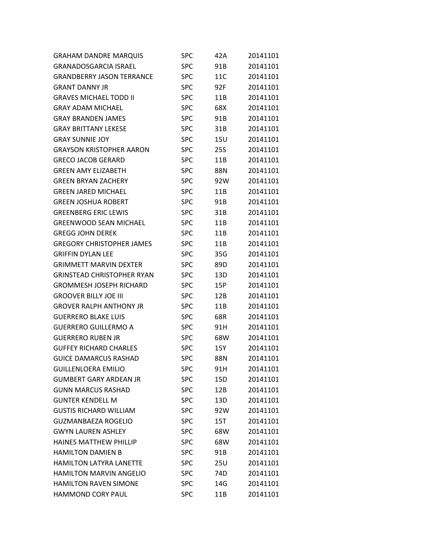| <b>GRAHAM DANDRE MARQUIS</b>      | SPC        | 42A | 20141101 |
|-----------------------------------|------------|-----|----------|
| <b>GRANADOSGARCIA ISRAEL</b>      | <b>SPC</b> | 91B | 20141101 |
| <b>GRANDBERRY JASON TERRANCE</b>  | <b>SPC</b> | 11C | 20141101 |
| <b>GRANT DANNY JR</b>             | SPC        | 92F | 20141101 |
| <b>GRAVES MICHAEL TODD II</b>     | <b>SPC</b> | 11B | 20141101 |
| <b>GRAY ADAM MICHAEL</b>          | <b>SPC</b> | 68X | 20141101 |
| <b>GRAY BRANDEN JAMES</b>         | <b>SPC</b> | 91B | 20141101 |
| <b>GRAY BRITTANY LEKESE</b>       | SPC        | 31B | 20141101 |
| <b>GRAY SUNNIE JOY</b>            | <b>SPC</b> | 15U | 20141101 |
| <b>GRAYSON KRISTOPHER AARON</b>   | <b>SPC</b> | 25S | 20141101 |
| <b>GRECO JACOB GERARD</b>         | <b>SPC</b> | 11B | 20141101 |
| <b>GREEN AMY ELIZABETH</b>        | SPC        | 88N | 20141101 |
| <b>GREEN BRYAN ZACHERY</b>        | <b>SPC</b> | 92W | 20141101 |
| <b>GREEN JARED MICHAEL</b>        | <b>SPC</b> | 11B | 20141101 |
| <b>GREEN JOSHUA ROBERT</b>        | <b>SPC</b> | 91B | 20141101 |
| <b>GREENBERG ERIC LEWIS</b>       | SPC        | 31B | 20141101 |
| <b>GREENWOOD SEAN MICHAEL</b>     | <b>SPC</b> | 11B | 20141101 |
| <b>GREGG JOHN DEREK</b>           | <b>SPC</b> | 11B | 20141101 |
| <b>GREGORY CHRISTOPHER JAMES</b>  | <b>SPC</b> | 11B | 20141101 |
| <b>GRIFFIN DYLAN LEE</b>          | SPC        | 35G | 20141101 |
| <b>GRIMMETT MARVIN DEXTER</b>     | <b>SPC</b> | 89D | 20141101 |
| <b>GRINSTEAD CHRISTOPHER RYAN</b> | <b>SPC</b> | 13D | 20141101 |
| <b>GROMMESH JOSEPH RICHARD</b>    | <b>SPC</b> | 15P | 20141101 |
| <b>GROOVER BILLY JOE III</b>      | SPC        | 12B | 20141101 |
| <b>GROVER RALPH ANTHONY JR</b>    | <b>SPC</b> | 11B | 20141101 |
| <b>GUERRERO BLAKE LUIS</b>        | <b>SPC</b> | 68R | 20141101 |
| <b>GUERRERO GUILLERMO A</b>       | <b>SPC</b> | 91H | 20141101 |
| <b>GUERRERO RUBEN JR</b>          | <b>SPC</b> | 68W | 20141101 |
| <b>GUFFEY RICHARD CHARLES</b>     | <b>SPC</b> | 15Y | 20141101 |
| <b>GUICE DAMARCUS RASHAD</b>      | <b>SPC</b> | 88N | 20141101 |
| <b>GUILLENLOERA EMILIO</b>        | <b>SPC</b> | 91H | 20141101 |
| <b>GUMBERT GARY ARDEAN JR</b>     | <b>SPC</b> | 15D | 20141101 |
| <b>GUNN MARCUS RASHAD</b>         | <b>SPC</b> | 12B | 20141101 |
| <b>GUNTER KENDELL M</b>           | <b>SPC</b> | 13D | 20141101 |
| <b>GUSTIS RICHARD WILLIAM</b>     | <b>SPC</b> | 92W | 20141101 |
| <b>GUZMANBAEZA ROGELIO</b>        | <b>SPC</b> | 15T | 20141101 |
| <b>GWYN LAUREN ASHLEY</b>         | <b>SPC</b> | 68W | 20141101 |
| HAINES MATTHEW PHILLIP            | <b>SPC</b> | 68W | 20141101 |
| <b>HAMILTON DAMIEN B</b>          | <b>SPC</b> | 91B | 20141101 |
| HAMILTON LATYRA LANETTE           | <b>SPC</b> | 25U | 20141101 |
| <b>HAMILTON MARVIN ANGELIO</b>    | <b>SPC</b> | 74D | 20141101 |
| <b>HAMILTON RAVEN SIMONE</b>      | <b>SPC</b> | 14G | 20141101 |
| HAMMOND CORY PAUL                 | <b>SPC</b> | 11B | 20141101 |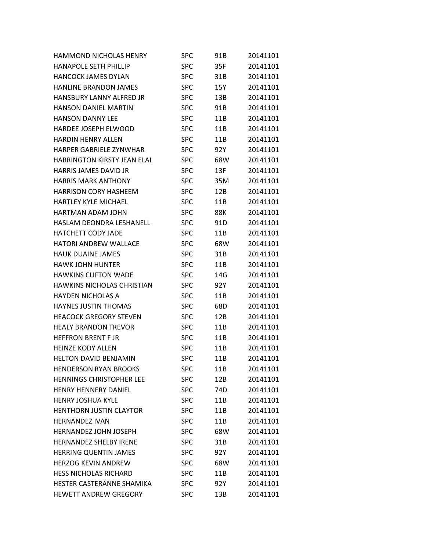| HAMMOND NICHOLAS HENRY             | <b>SPC</b> | 91B        | 20141101 |
|------------------------------------|------------|------------|----------|
| <b>HANAPOLE SETH PHILLIP</b>       | <b>SPC</b> | 35F        | 20141101 |
| <b>HANCOCK JAMES DYLAN</b>         | <b>SPC</b> | 31B        | 20141101 |
| <b>HANLINE BRANDON JAMES</b>       | <b>SPC</b> | 15Y        | 20141101 |
| <b>HANSBURY LANNY ALFRED JR</b>    | <b>SPC</b> | 13B        | 20141101 |
| <b>HANSON DANIEL MARTIN</b>        | <b>SPC</b> | 91B        | 20141101 |
| <b>HANSON DANNY LEE</b>            | <b>SPC</b> | 11B        | 20141101 |
| HARDEE JOSEPH ELWOOD               | <b>SPC</b> | 11B        | 20141101 |
| <b>HARDIN HENRY ALLEN</b>          | <b>SPC</b> | 11B        | 20141101 |
| HARPER GABRIELE ZYNWHAR            | <b>SPC</b> | 92Y        | 20141101 |
| <b>HARRINGTON KIRSTY JEAN ELAI</b> | <b>SPC</b> | 68W        | 20141101 |
| <b>HARRIS JAMES DAVID JR</b>       | <b>SPC</b> | 13F        | 20141101 |
| <b>HARRIS MARK ANTHONY</b>         | <b>SPC</b> | 35M        | 20141101 |
| <b>HARRISON CORY HASHEEM</b>       | <b>SPC</b> | 12B        | 20141101 |
| <b>HARTLEY KYLE MICHAEL</b>        | <b>SPC</b> | 11B        | 20141101 |
| HARTMAN ADAM JOHN                  | <b>SPC</b> | <b>88K</b> | 20141101 |
| HASLAM DEONDRA LESHANELL           | <b>SPC</b> | 91D        | 20141101 |
| <b>HATCHETT CODY JADE</b>          | <b>SPC</b> | 11B        | 20141101 |
| <b>HATORI ANDREW WALLACE</b>       | <b>SPC</b> | 68W        | 20141101 |
| <b>HAUK DUAINE JAMES</b>           | <b>SPC</b> | 31B        | 20141101 |
| <b>HAWK JOHN HUNTER</b>            | <b>SPC</b> | 11B        | 20141101 |
| <b>HAWKINS CLIFTON WADE</b>        | <b>SPC</b> | 14G        | 20141101 |
| HAWKINS NICHOLAS CHRISTIAN         | <b>SPC</b> | 92Y        | 20141101 |
| <b>HAYDEN NICHOLAS A</b>           | <b>SPC</b> | 11B        | 20141101 |
| <b>HAYNES JUSTIN THOMAS</b>        | <b>SPC</b> | 68D        | 20141101 |
| <b>HEACOCK GREGORY STEVEN</b>      | <b>SPC</b> | 12B        | 20141101 |
| <b>HEALY BRANDON TREVOR</b>        | <b>SPC</b> | 11B        | 20141101 |
| <b>HEFFRON BRENT F JR</b>          | <b>SPC</b> | 11B        | 20141101 |
| <b>HEINZE KODY ALLEN</b>           | <b>SPC</b> | 11B        | 20141101 |
| <b>HELTON DAVID BENJAMIN</b>       | <b>SPC</b> | 11B        | 20141101 |
| <b>HENDERSON RYAN BROOKS</b>       | <b>SPC</b> | 11B        | 20141101 |
| <b>HENNINGS CHRISTOPHER LEE</b>    | <b>SPC</b> | 12B        | 20141101 |
| <b>HENRY HENNERY DANIEL</b>        | <b>SPC</b> | 74D        | 20141101 |
| <b>HENRY JOSHUA KYLE</b>           | <b>SPC</b> | 11B        | 20141101 |
| <b>HENTHORN JUSTIN CLAYTOR</b>     | <b>SPC</b> | 11B        | 20141101 |
| <b>HERNANDEZ IVAN</b>              | <b>SPC</b> | 11B        | 20141101 |
| <b>HERNANDEZ JOHN JOSEPH</b>       | <b>SPC</b> | 68W        | 20141101 |
| <b>HERNANDEZ SHELBY IRENE</b>      | <b>SPC</b> | 31B        | 20141101 |
| <b>HERRING QUENTIN JAMES</b>       | <b>SPC</b> | 92Y        | 20141101 |
| <b>HERZOG KEVIN ANDREW</b>         | <b>SPC</b> | 68W        | 20141101 |
| <b>HESS NICHOLAS RICHARD</b>       | <b>SPC</b> | 11B        | 20141101 |
| HESTER CASTERANNE SHAMIKA          | <b>SPC</b> | 92Y        | 20141101 |
| <b>HEWETT ANDREW GREGORY</b>       | <b>SPC</b> | 13B        | 20141101 |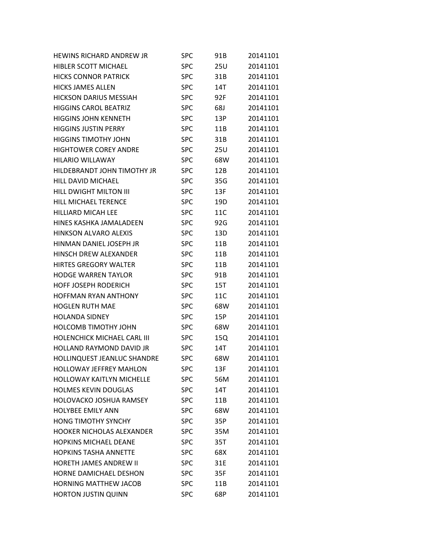| HEWINS RICHARD ANDREW JR         | <b>SPC</b> | 91B        | 20141101 |
|----------------------------------|------------|------------|----------|
| HIBLER SCOTT MICHAEL             | <b>SPC</b> | <b>25U</b> | 20141101 |
| <b>HICKS CONNOR PATRICK</b>      | <b>SPC</b> | 31B        | 20141101 |
| <b>HICKS JAMES ALLEN</b>         | <b>SPC</b> | 14T        | 20141101 |
| <b>HICKSON DARIUS MESSIAH</b>    | <b>SPC</b> | 92F        | 20141101 |
| <b>HIGGINS CAROL BEATRIZ</b>     | <b>SPC</b> | 68J        | 20141101 |
| <b>HIGGINS JOHN KENNETH</b>      | <b>SPC</b> | 13P        | 20141101 |
| <b>HIGGINS JUSTIN PERRY</b>      | <b>SPC</b> | 11B        | 20141101 |
| <b>HIGGINS TIMOTHY JOHN</b>      | <b>SPC</b> | 31B        | 20141101 |
| <b>HIGHTOWER COREY ANDRE</b>     | <b>SPC</b> | 25U        | 20141101 |
| <b>HILARIO WILLAWAY</b>          | <b>SPC</b> | 68W        | 20141101 |
| HILDEBRANDT JOHN TIMOTHY JR      | <b>SPC</b> | 12B        | 20141101 |
| HILL DAVID MICHAEL               | <b>SPC</b> | 35G        | 20141101 |
| <b>HILL DWIGHT MILTON III</b>    | <b>SPC</b> | 13F        | 20141101 |
| <b>HILL MICHAEL TERENCE</b>      | <b>SPC</b> | 19D        | 20141101 |
| <b>HILLIARD MICAH LEE</b>        | <b>SPC</b> | 11C        | 20141101 |
| HINES KASHKA JAMALADEEN          | <b>SPC</b> | 92G        | 20141101 |
| <b>HINKSON ALVARO ALEXIS</b>     | <b>SPC</b> | 13D        | 20141101 |
| HINMAN DANIEL JOSEPH JR          | <b>SPC</b> | 11B        | 20141101 |
| HINSCH DREW ALEXANDER            | <b>SPC</b> | 11B        | 20141101 |
| <b>HIRTES GREGORY WALTER</b>     | <b>SPC</b> | 11B        | 20141101 |
| <b>HODGE WARREN TAYLOR</b>       | <b>SPC</b> | 91B        | 20141101 |
| <b>HOFF JOSEPH RODERICH</b>      | <b>SPC</b> | 15T        | 20141101 |
| <b>HOFFMAN RYAN ANTHONY</b>      | <b>SPC</b> | 11C        | 20141101 |
| <b>HOGLEN RUTH MAE</b>           | <b>SPC</b> | 68W        | 20141101 |
| <b>HOLANDA SIDNEY</b>            | <b>SPC</b> | 15P        | 20141101 |
| <b>HOLCOMB TIMOTHY JOHN</b>      | <b>SPC</b> | 68W        | 20141101 |
| HOLENCHICK MICHAEL CARL III      | <b>SPC</b> | 15Q        | 20141101 |
| <b>HOLLAND RAYMOND DAVID JR</b>  | <b>SPC</b> | 14T        | 20141101 |
| HOLLINQUEST JEANLUC SHANDRE      | <b>SPC</b> | 68W        | 20141101 |
| <b>HOLLOWAY JEFFREY MAHLON</b>   | <b>SPC</b> | 13F        | 20141101 |
| <b>HOLLOWAY KAITLYN MICHELLE</b> | <b>SPC</b> | 56M        | 20141101 |
| <b>HOLMES KEVIN DOUGLAS</b>      | <b>SPC</b> | 14T        | 20141101 |
| HOLOVACKO JOSHUA RAMSEY          | <b>SPC</b> | 11B        | 20141101 |
| <b>HOLYBEE EMILY ANN</b>         | <b>SPC</b> | 68W        | 20141101 |
| <b>HONG TIMOTHY SYNCHY</b>       | <b>SPC</b> | 35P        | 20141101 |
| <b>HOOKER NICHOLAS ALEXANDER</b> | <b>SPC</b> | 35M        | 20141101 |
| <b>HOPKINS MICHAEL DEANE</b>     | <b>SPC</b> | 35T        | 20141101 |
| <b>HOPKINS TASHA ANNETTE</b>     | <b>SPC</b> | 68X        | 20141101 |
| <b>HORETH JAMES ANDREW II</b>    | <b>SPC</b> | 31E        | 20141101 |
| HORNE DAMICHAEL DESHON           | <b>SPC</b> | 35F        | 20141101 |
| <b>HORNING MATTHEW JACOB</b>     | <b>SPC</b> | 11B        | 20141101 |
| <b>HORTON JUSTIN QUINN</b>       | <b>SPC</b> | 68P        | 20141101 |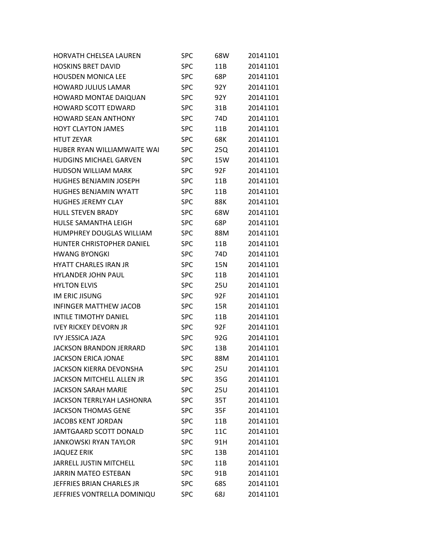| <b>HORVATH CHELSEA LAUREN</b>    | <b>SPC</b> | 68W        | 20141101 |
|----------------------------------|------------|------------|----------|
| <b>HOSKINS BRET DAVID</b>        | <b>SPC</b> | 11B        | 20141101 |
| <b>HOUSDEN MONICA LEE</b>        | <b>SPC</b> | 68P        | 20141101 |
| <b>HOWARD JULIUS LAMAR</b>       | <b>SPC</b> | 92Y        | 20141101 |
| <b>HOWARD MONTAE DAIQUAN</b>     | <b>SPC</b> | 92Y        | 20141101 |
| <b>HOWARD SCOTT EDWARD</b>       | <b>SPC</b> | 31B        | 20141101 |
| <b>HOWARD SEAN ANTHONY</b>       | <b>SPC</b> | 74D        | 20141101 |
| <b>HOYT CLAYTON JAMES</b>        | <b>SPC</b> | 11B        | 20141101 |
| <b>HTUT ZEYAR</b>                | <b>SPC</b> | 68K        | 20141101 |
| HUBER RYAN WILLIAMWAITE WAI      | <b>SPC</b> | 25Q        | 20141101 |
| <b>HUDGINS MICHAEL GARVEN</b>    | <b>SPC</b> | 15W        | 20141101 |
| <b>HUDSON WILLIAM MARK</b>       | <b>SPC</b> | 92F        | 20141101 |
| <b>HUGHES BENJAMIN JOSEPH</b>    | <b>SPC</b> | 11B        | 20141101 |
| <b>HUGHES BENJAMIN WYATT</b>     | <b>SPC</b> | 11B        | 20141101 |
| <b>HUGHES JEREMY CLAY</b>        | <b>SPC</b> | 88K        | 20141101 |
| <b>HULL STEVEN BRADY</b>         | <b>SPC</b> | 68W        | 20141101 |
| HULSE SAMANTHA LEIGH             | <b>SPC</b> | 68P        | 20141101 |
| HUMPHREY DOUGLAS WILLIAM         | <b>SPC</b> | 88M        | 20141101 |
| <b>HUNTER CHRISTOPHER DANIEL</b> | <b>SPC</b> | 11B        | 20141101 |
| <b>HWANG BYONGKI</b>             | <b>SPC</b> | 74D        | 20141101 |
| <b>HYATT CHARLES IRAN JR</b>     | <b>SPC</b> | 15N        | 20141101 |
| <b>HYLANDER JOHN PAUL</b>        | <b>SPC</b> | 11B        | 20141101 |
| <b>HYLTON ELVIS</b>              | <b>SPC</b> | <b>25U</b> | 20141101 |
| IM ERIC JISUNG                   | <b>SPC</b> | 92F        | 20141101 |
| <b>INFINGER MATTHEW JACOB</b>    | <b>SPC</b> | 15R        | 20141101 |
| <b>INTILE TIMOTHY DANIEL</b>     | <b>SPC</b> | 11B        | 20141101 |
| <b>IVEY RICKEY DEVORN JR</b>     | <b>SPC</b> | 92F        | 20141101 |
| <b>IVY JESSICA JAZA</b>          | <b>SPC</b> | 92G        | 20141101 |
| <b>JACKSON BRANDON JERRARD</b>   | <b>SPC</b> | 13B        | 20141101 |
| <b>JACKSON ERICA JONAE</b>       | <b>SPC</b> | 88M        | 20141101 |
| <b>JACKSON KIERRA DEVONSHA</b>   | <b>SPC</b> | 25U        | 20141101 |
| <b>JACKSON MITCHELL ALLEN JR</b> | <b>SPC</b> | 35G        | 20141101 |
| <b>JACKSON SARAH MARIE</b>       | <b>SPC</b> | <b>25U</b> | 20141101 |
| JACKSON TERRLYAH LASHONRA        | <b>SPC</b> | 35T        | 20141101 |
| <b>JACKSON THOMAS GENE</b>       | <b>SPC</b> | 35F        | 20141101 |
| <b>JACOBS KENT JORDAN</b>        | <b>SPC</b> | 11B        | 20141101 |
| JAMTGAARD SCOTT DONALD           | <b>SPC</b> | 11C        | 20141101 |
| <b>JANKOWSKI RYAN TAYLOR</b>     | <b>SPC</b> | 91H        | 20141101 |
| <b>JAQUEZ ERIK</b>               | <b>SPC</b> | 13B        | 20141101 |
| <b>JARRELL JUSTIN MITCHELL</b>   | <b>SPC</b> | 11B        | 20141101 |
| <b>JARRIN MATEO ESTEBAN</b>      | <b>SPC</b> | 91B        | 20141101 |
| JEFFRIES BRIAN CHARLES JR        | <b>SPC</b> | 68S        | 20141101 |
| JEFFRIES VONTRELLA DOMINIQU      | <b>SPC</b> | 68J        | 20141101 |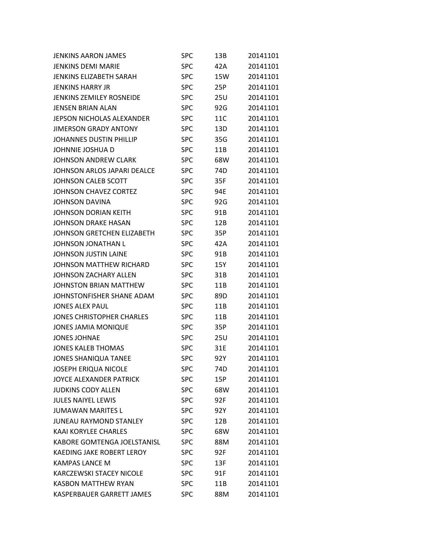| <b>JENKINS AARON JAMES</b>       | SPC        | 13B | 20141101 |
|----------------------------------|------------|-----|----------|
| <b>JENKINS DEMI MARIE</b>        | <b>SPC</b> | 42A | 20141101 |
| <b>JENKINS ELIZABETH SARAH</b>   | <b>SPC</b> | 15W | 20141101 |
| <b>JENKINS HARRY JR</b>          | <b>SPC</b> | 25P | 20141101 |
| <b>JENKINS ZEMILEY ROSNEIDE</b>  | <b>SPC</b> | 25U | 20141101 |
| <b>JENSEN BRIAN ALAN</b>         | <b>SPC</b> | 92G | 20141101 |
| JEPSON NICHOLAS ALEXANDER        | <b>SPC</b> | 11C | 20141101 |
| <b>JIMERSON GRADY ANTONY</b>     | <b>SPC</b> | 13D | 20141101 |
| JOHANNES DUSTIN PHILLIP          | <b>SPC</b> | 35G | 20141101 |
| JOHNNIE JOSHUA D                 | <b>SPC</b> | 11B | 20141101 |
| <b>JOHNSON ANDREW CLARK</b>      | <b>SPC</b> | 68W | 20141101 |
| JOHNSON ARLOS JAPARI DEALCE      | SPC        | 74D | 20141101 |
| JOHNSON CALEB SCOTT              | <b>SPC</b> | 35F | 20141101 |
| JOHNSON CHAVEZ CORTEZ            | <b>SPC</b> | 94E | 20141101 |
| <b>JOHNSON DAVINA</b>            | <b>SPC</b> | 92G | 20141101 |
| JOHNSON DORIAN KEITH             | <b>SPC</b> | 91B | 20141101 |
| JOHNSON DRAKE HASAN              | <b>SPC</b> | 12B | 20141101 |
| JOHNSON GRETCHEN ELIZABETH       | <b>SPC</b> | 35P | 20141101 |
| JOHNSON JONATHAN L               | <b>SPC</b> | 42A | 20141101 |
| JOHNSON JUSTIN LAINE             | <b>SPC</b> | 91B | 20141101 |
| JOHNSON MATTHEW RICHARD          | <b>SPC</b> | 15Y | 20141101 |
| JOHNSON ZACHARY ALLEN            | <b>SPC</b> | 31B | 20141101 |
| <b>JOHNSTON BRIAN MATTHEW</b>    | <b>SPC</b> | 11B | 20141101 |
| JOHNSTONFISHER SHANE ADAM        | <b>SPC</b> | 89D | 20141101 |
| <b>JONES ALEX PAUL</b>           | <b>SPC</b> | 11B | 20141101 |
| <b>JONES CHRISTOPHER CHARLES</b> | <b>SPC</b> | 11B | 20141101 |
| <b>JONES JAMIA MONIQUE</b>       | <b>SPC</b> | 35P | 20141101 |
| <b>JONES JOHNAE</b>              | <b>SPC</b> | 25U | 20141101 |
| <b>JONES KALEB THOMAS</b>        | <b>SPC</b> | 31E | 20141101 |
| <b>JONES SHANIQUA TANEE</b>      | <b>SPC</b> | 92Y | 20141101 |
| <b>JOSEPH ERIQUA NICOLE</b>      | <b>SPC</b> | 74D | 20141101 |
| <b>JOYCE ALEXANDER PATRICK</b>   | <b>SPC</b> | 15P | 20141101 |
| <b>JUDKINS CODY ALLEN</b>        | <b>SPC</b> | 68W | 20141101 |
| <b>JULES NAIYEL LEWIS</b>        | <b>SPC</b> | 92F | 20141101 |
| <b>JUMAWAN MARITES L</b>         | <b>SPC</b> | 92Y | 20141101 |
| <b>JUNEAU RAYMOND STANLEY</b>    | <b>SPC</b> | 12B | 20141101 |
| <b>KAAI KORYLEE CHARLES</b>      | <b>SPC</b> | 68W | 20141101 |
| KABORE GOMTENGA JOELSTANISL      | <b>SPC</b> | 88M | 20141101 |
| <b>KAEDING JAKE ROBERT LEROY</b> | <b>SPC</b> | 92F | 20141101 |
| <b>KAMPAS LANCE M</b>            | <b>SPC</b> | 13F | 20141101 |
| <b>KARCZEWSKI STACEY NICOLE</b>  | <b>SPC</b> | 91F | 20141101 |
| <b>KASBON MATTHEW RYAN</b>       | <b>SPC</b> | 11B | 20141101 |
| KASPERBAUER GARRETT JAMES        | <b>SPC</b> | 88M | 20141101 |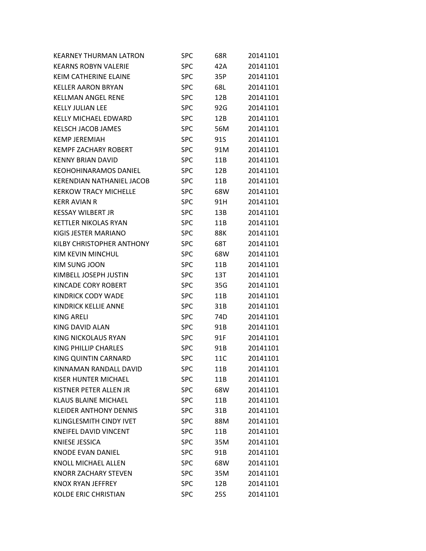| <b>KEARNEY THURMAN LATRON</b> | <b>SPC</b> | 68R | 20141101 |
|-------------------------------|------------|-----|----------|
| <b>KEARNS ROBYN VALERIE</b>   | <b>SPC</b> | 42A | 20141101 |
| KEIM CATHERINE ELAINE         | <b>SPC</b> | 35P | 20141101 |
| <b>KELLER AARON BRYAN</b>     | <b>SPC</b> | 68L | 20141101 |
| <b>KELLMAN ANGEL RENE</b>     | <b>SPC</b> | 12B | 20141101 |
| <b>KELLY JULIAN LEE</b>       | <b>SPC</b> | 92G | 20141101 |
| <b>KELLY MICHAEL EDWARD</b>   | <b>SPC</b> | 12B | 20141101 |
| KELSCH JACOB JAMES            | <b>SPC</b> | 56M | 20141101 |
| <b>KEMP JEREMIAH</b>          | <b>SPC</b> | 91S | 20141101 |
| <b>KEMPF ZACHARY ROBERT</b>   | <b>SPC</b> | 91M | 20141101 |
| <b>KENNY BRIAN DAVID</b>      | <b>SPC</b> | 11B | 20141101 |
| <b>KEOHOHINARAMOS DANIEL</b>  | <b>SPC</b> | 12B | 20141101 |
| KERENDIAN NATHANIEL JACOB     | <b>SPC</b> | 11B | 20141101 |
| <b>KERKOW TRACY MICHELLE</b>  | <b>SPC</b> | 68W | 20141101 |
| <b>KERR AVIAN R</b>           | <b>SPC</b> | 91H | 20141101 |
| <b>KESSAY WILBERT JR</b>      | <b>SPC</b> | 13B | 20141101 |
| <b>KETTLER NIKOLAS RYAN</b>   | <b>SPC</b> | 11B | 20141101 |
| KIGIS JESTER MARIANO          | <b>SPC</b> | 88K | 20141101 |
| KILBY CHRISTOPHER ANTHONY     | <b>SPC</b> | 68T | 20141101 |
| KIM KEVIN MINCHUL             | <b>SPC</b> | 68W | 20141101 |
| <b>KIM SUNG JOON</b>          | <b>SPC</b> | 11B | 20141101 |
| KIMBELL JOSEPH JUSTIN         | <b>SPC</b> | 13T | 20141101 |
| KINCADE CORY ROBERT           | <b>SPC</b> | 35G | 20141101 |
| KINDRICK CODY WADE            | <b>SPC</b> | 11B | 20141101 |
| KINDRICK KELLIE ANNE          | <b>SPC</b> | 31B | 20141101 |
| <b>KING ARELI</b>             | <b>SPC</b> | 74D | 20141101 |
| KING DAVID ALAN               | <b>SPC</b> | 91B | 20141101 |
| <b>KING NICKOLAUS RYAN</b>    | <b>SPC</b> | 91F | 20141101 |
| KING PHILLIP CHARLES          | <b>SPC</b> | 91B | 20141101 |
| KING QUINTIN CARNARD          | <b>SPC</b> | 11C | 20141101 |
| KINNAMAN RANDALL DAVID        | <b>SPC</b> | 11B | 20141101 |
| KISER HUNTER MICHAEL          | <b>SPC</b> | 11B | 20141101 |
| KISTNER PETER ALLEN JR        | <b>SPC</b> | 68W | 20141101 |
| <b>KLAUS BLAINE MICHAEL</b>   | <b>SPC</b> | 11B | 20141101 |
| <b>KLEIDER ANTHONY DENNIS</b> | <b>SPC</b> | 31B | 20141101 |
| KLINGLESMITH CINDY IVET       | <b>SPC</b> | 88M | 20141101 |
| KNEIFEL DAVID VINCENT         | <b>SPC</b> | 11B | 20141101 |
| KNIESE JESSICA                | <b>SPC</b> | 35M | 20141101 |
| KNODE EVAN DANIEL             | <b>SPC</b> | 91B | 20141101 |
| KNOLL MICHAEL ALLEN           | <b>SPC</b> | 68W | 20141101 |
| <b>KNORR ZACHARY STEVEN</b>   | <b>SPC</b> | 35M | 20141101 |
| KNOX RYAN JEFFREY             | <b>SPC</b> | 12B | 20141101 |
| <b>KOLDE ERIC CHRISTIAN</b>   | <b>SPC</b> | 25S | 20141101 |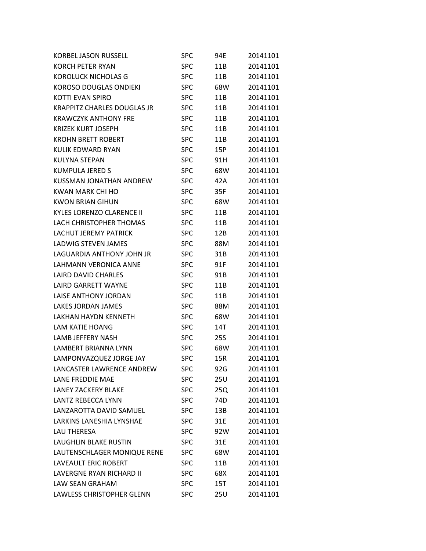| <b>KORBEL JASON RUSSELL</b>        | SPC        | 94E | 20141101 |
|------------------------------------|------------|-----|----------|
| <b>KORCH PETER RYAN</b>            | <b>SPC</b> | 11B | 20141101 |
| <b>KOROLUCK NICHOLAS G</b>         | <b>SPC</b> | 11B | 20141101 |
| <b>KOROSO DOUGLAS ONDIEKI</b>      | <b>SPC</b> | 68W | 20141101 |
| <b>KOTTI EVAN SPIRO</b>            | <b>SPC</b> | 11B | 20141101 |
| <b>KRAPPITZ CHARLES DOUGLAS JR</b> | <b>SPC</b> | 11B | 20141101 |
| <b>KRAWCZYK ANTHONY FRE</b>        | <b>SPC</b> | 11B | 20141101 |
| <b>KRIZEK KURT JOSEPH</b>          | <b>SPC</b> | 11B | 20141101 |
| <b>KROHN BRETT ROBERT</b>          | <b>SPC</b> | 11B | 20141101 |
| KULIK EDWARD RYAN                  | <b>SPC</b> | 15P | 20141101 |
| <b>KULYNA STEPAN</b>               | <b>SPC</b> | 91H | 20141101 |
| <b>KUMPULA JERED S</b>             | <b>SPC</b> | 68W | 20141101 |
| KUSSMAN JONATHAN ANDREW            | <b>SPC</b> | 42A | 20141101 |
| KWAN MARK CHI HO                   | <b>SPC</b> | 35F | 20141101 |
| <b>KWON BRIAN GIHUN</b>            | <b>SPC</b> | 68W | 20141101 |
| <b>KYLES LORENZO CLARENCE II</b>   | <b>SPC</b> | 11B | 20141101 |
| LACH CHRISTOPHER THOMAS            | <b>SPC</b> | 11B | 20141101 |
| LACHUT JEREMY PATRICK              | <b>SPC</b> | 12B | 20141101 |
| LADWIG STEVEN JAMES                | <b>SPC</b> | 88M | 20141101 |
| LAGUARDIA ANTHONY JOHN JR          | <b>SPC</b> | 31B | 20141101 |
| LAHMANN VERONICA ANNE              | <b>SPC</b> | 91F | 20141101 |
| LAIRD DAVID CHARLES                | <b>SPC</b> | 91B | 20141101 |
| <b>LAIRD GARRETT WAYNE</b>         | <b>SPC</b> | 11B | 20141101 |
| LAISE ANTHONY JORDAN               | <b>SPC</b> | 11B | 20141101 |
| LAKES JORDAN JAMES                 | <b>SPC</b> | 88M | 20141101 |
| <b>LAKHAN HAYDN KENNETH</b>        | <b>SPC</b> | 68W | 20141101 |
| <b>LAM KATIE HOANG</b>             | <b>SPC</b> | 14T | 20141101 |
| <b>LAMB JEFFERY NASH</b>           | <b>SPC</b> | 25S | 20141101 |
| LAMBERT BRIANNA LYNN               | <b>SPC</b> | 68W | 20141101 |
| LAMPONVAZQUEZ JORGE JAY            | <b>SPC</b> | 15R | 20141101 |
| LANCASTER LAWRENCE ANDREW          | <b>SPC</b> | 92G | 20141101 |
| LANE FREDDIE MAE                   | <b>SPC</b> | 25U | 20141101 |
| <b>LANEY ZACKERY BLAKE</b>         | <b>SPC</b> | 25Q | 20141101 |
| <b>LANTZ REBECCA LYNN</b>          | <b>SPC</b> | 74D | 20141101 |
| LANZAROTTA DAVID SAMUEL            | <b>SPC</b> | 13B | 20141101 |
| <b>LARKINS LANESHIA LYNSHAE</b>    | <b>SPC</b> | 31E | 20141101 |
| <b>LAU THERESA</b>                 | <b>SPC</b> | 92W | 20141101 |
| <b>LAUGHLIN BLAKE RUSTIN</b>       | <b>SPC</b> | 31E | 20141101 |
| LAUTENSCHLAGER MONIQUE RENE        | <b>SPC</b> | 68W | 20141101 |
| LAVEAULT ERIC ROBERT               | <b>SPC</b> | 11B | 20141101 |
| LAVERGNE RYAN RICHARD II           | <b>SPC</b> | 68X | 20141101 |
| LAW SEAN GRAHAM                    | <b>SPC</b> | 15T | 20141101 |
| LAWLESS CHRISTOPHER GLENN          | <b>SPC</b> | 25U | 20141101 |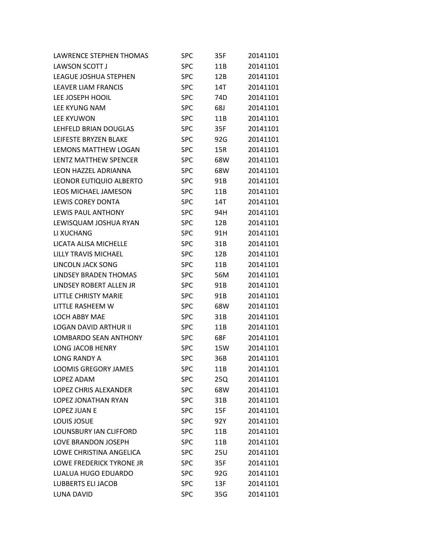| <b>LAWRENCE STEPHEN THOMAS</b> | <b>SPC</b> | 35F | 20141101 |
|--------------------------------|------------|-----|----------|
| LAWSON SCOTT J                 | <b>SPC</b> | 11B | 20141101 |
| <b>LEAGUE JOSHUA STEPHEN</b>   | <b>SPC</b> | 12B | 20141101 |
| <b>LEAVER LIAM FRANCIS</b>     | <b>SPC</b> | 14T | 20141101 |
| LEE JOSEPH HOOIL               | <b>SPC</b> | 74D | 20141101 |
| LEE KYUNG NAM                  | <b>SPC</b> | 68J | 20141101 |
| <b>LEE KYUWON</b>              | <b>SPC</b> | 11B | 20141101 |
| LEHFELD BRIAN DOUGLAS          | <b>SPC</b> | 35F | 20141101 |
| LEIFESTE BRYZEN BLAKE          | <b>SPC</b> | 92G | 20141101 |
| LEMONS MATTHEW LOGAN           | <b>SPC</b> | 15R | 20141101 |
| LENTZ MATTHEW SPENCER          | <b>SPC</b> | 68W | 20141101 |
| LEON HAZZEL ADRIANNA           | <b>SPC</b> | 68W | 20141101 |
| LEONOR EUTIQUIO ALBERTO        | <b>SPC</b> | 91B | 20141101 |
| <b>LEOS MICHAEL JAMESON</b>    | <b>SPC</b> | 11B | 20141101 |
| LEWIS COREY DONTA              | <b>SPC</b> | 14T | 20141101 |
| LEWIS PAUL ANTHONY             | <b>SPC</b> | 94H | 20141101 |
| LEWISQUAM JOSHUA RYAN          | <b>SPC</b> | 12B | 20141101 |
| LI XUCHANG                     | <b>SPC</b> | 91H | 20141101 |
| LICATA ALISA MICHELLE          | <b>SPC</b> | 31B | 20141101 |
| LILLY TRAVIS MICHAEL           | <b>SPC</b> | 12B | 20141101 |
| LINCOLN JACK SONG              | <b>SPC</b> | 11B | 20141101 |
| <b>LINDSEY BRADEN THOMAS</b>   | <b>SPC</b> | 56M | 20141101 |
| LINDSEY ROBERT ALLEN JR        | <b>SPC</b> | 91B | 20141101 |
| LITTLE CHRISTY MARIE           | <b>SPC</b> | 91B | 20141101 |
| LITTLE RASHEEM W               | <b>SPC</b> | 68W | 20141101 |
| LOCH ABBY MAE                  | <b>SPC</b> | 31B | 20141101 |
| <b>LOGAN DAVID ARTHUR II</b>   | <b>SPC</b> | 11B | 20141101 |
| <b>LOMBARDO SEAN ANTHONY</b>   | <b>SPC</b> | 68F | 20141101 |
| <b>LONG JACOB HENRY</b>        | <b>SPC</b> | 15W | 20141101 |
| <b>LONG RANDY A</b>            | <b>SPC</b> | 36B | 20141101 |
| <b>LOOMIS GREGORY JAMES</b>    | <b>SPC</b> | 11B | 20141101 |
| LOPEZ ADAM                     | <b>SPC</b> | 25Q | 20141101 |
| LOPEZ CHRIS ALEXANDER          | <b>SPC</b> | 68W | 20141101 |
| LOPEZ JONATHAN RYAN            | <b>SPC</b> | 31B | 20141101 |
| LOPEZ JUAN E                   | <b>SPC</b> | 15F | 20141101 |
| LOUIS JOSUE                    | <b>SPC</b> | 92Y | 20141101 |
| LOUNSBURY IAN CLIFFORD         | <b>SPC</b> | 11B | 20141101 |
| LOVE BRANDON JOSEPH            | <b>SPC</b> | 11B | 20141101 |
| LOWE CHRISTINA ANGELICA        | <b>SPC</b> | 25U | 20141101 |
| LOWE FREDERICK TYRONE JR       | <b>SPC</b> | 35F | 20141101 |
| LUALUA HUGO EDUARDO            | <b>SPC</b> | 92G | 20141101 |
| <b>LUBBERTS ELI JACOB</b>      | <b>SPC</b> | 13F | 20141101 |
| LUNA DAVID                     | <b>SPC</b> | 35G | 20141101 |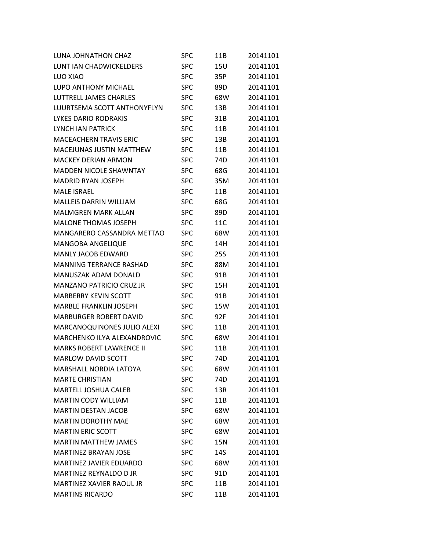| LUNA JOHNATHON CHAZ             | SPC        | 11B             | 20141101 |
|---------------------------------|------------|-----------------|----------|
| LUNT IAN CHADWICKELDERS         | SPC        | <b>15U</b>      | 20141101 |
| LUO XIAO                        | <b>SPC</b> | 35P             | 20141101 |
| <b>LUPO ANTHONY MICHAEL</b>     | SPC        | 89 <sub>D</sub> | 20141101 |
| LUTTRELL JAMES CHARLES          | <b>SPC</b> | 68W             | 20141101 |
| LUURTSEMA SCOTT ANTHONYFLYN     | <b>SPC</b> | 13B             | 20141101 |
| LYKES DARIO RODRAKIS            | <b>SPC</b> | 31B             | 20141101 |
| <b>LYNCH JAN PATRICK</b>        | <b>SPC</b> | 11B             | 20141101 |
| <b>MACEACHERN TRAVIS ERIC</b>   | <b>SPC</b> | 13B             | 20141101 |
| <b>MACEJUNAS JUSTIN MATTHEW</b> | <b>SPC</b> | 11B             | 20141101 |
| <b>MACKEY DERIAN ARMON</b>      | <b>SPC</b> | 74D             | 20141101 |
| <b>MADDEN NICOLE SHAWNTAY</b>   | <b>SPC</b> | 68G             | 20141101 |
| <b>MADRID RYAN JOSEPH</b>       | SPC        | 35M             | 20141101 |
| <b>MALE ISRAEL</b>              | <b>SPC</b> | 11B             | 20141101 |
| <b>MALLEIS DARRIN WILLIAM</b>   | <b>SPC</b> | 68G             | 20141101 |
| <b>MALMGREN MARK ALLAN</b>      | SPC        | 89D             | 20141101 |
| <b>MALONE THOMAS JOSEPH</b>     | <b>SPC</b> | 11C             | 20141101 |
| MANGARERO CASSANDRA METTAO      | <b>SPC</b> | 68W             | 20141101 |
| <b>MANGOBA ANGELIQUE</b>        | <b>SPC</b> | 14H             | 20141101 |
| <b>MANLY JACOB EDWARD</b>       | <b>SPC</b> | 25S             | 20141101 |
| <b>MANNING TERRANCE RASHAD</b>  | <b>SPC</b> | 88M             | 20141101 |
| <b>MANUSZAK ADAM DONALD</b>     | <b>SPC</b> | 91B             | 20141101 |
| <b>MANZANO PATRICIO CRUZ JR</b> | <b>SPC</b> | 15H             | 20141101 |
| <b>MARBERRY KEVIN SCOTT</b>     | <b>SPC</b> | 91B             | 20141101 |
| <b>MARBLE FRANKLIN JOSEPH</b>   | <b>SPC</b> | 15W             | 20141101 |
| <b>MARBURGER ROBERT DAVID</b>   | <b>SPC</b> | 92F             | 20141101 |
| MARCANOQUINONES JULIO ALEXI     | <b>SPC</b> | 11B             | 20141101 |
| MARCHENKO ILYA ALEXANDROVIC     | <b>SPC</b> | 68W             | 20141101 |
| <b>MARKS ROBERT LAWRENCE II</b> | <b>SPC</b> | 11B             | 20141101 |
| <b>MARLOW DAVID SCOTT</b>       | <b>SPC</b> | 74D             | 20141101 |
| MARSHALL NORDIA LATOYA          | <b>SPC</b> | 68W             | 20141101 |
| <b>MARTE CHRISTIAN</b>          | <b>SPC</b> | 74D             | 20141101 |
| <b>MARTELL JOSHUA CALEB</b>     | <b>SPC</b> | 13R             | 20141101 |
| <b>MARTIN CODY WILLIAM</b>      | <b>SPC</b> | 11B             | 20141101 |
| <b>MARTIN DESTAN JACOB</b>      | <b>SPC</b> | 68W             | 20141101 |
| <b>MARTIN DOROTHY MAE</b>       | <b>SPC</b> | 68W             | 20141101 |
| <b>MARTIN ERIC SCOTT</b>        | <b>SPC</b> | 68W             | 20141101 |
| <b>MARTIN MATTHEW JAMES</b>     | <b>SPC</b> | 15N             | 20141101 |
| <b>MARTINEZ BRAYAN JOSE</b>     | <b>SPC</b> | 14S             | 20141101 |
| <b>MARTINEZ JAVIER EDUARDO</b>  | <b>SPC</b> | 68W             | 20141101 |
| MARTINEZ REYNALDO D JR          | <b>SPC</b> | 91D             | 20141101 |
| MARTINEZ XAVIER RAOUL JR        | <b>SPC</b> | 11B             | 20141101 |
| <b>MARTINS RICARDO</b>          | <b>SPC</b> | 11B             | 20141101 |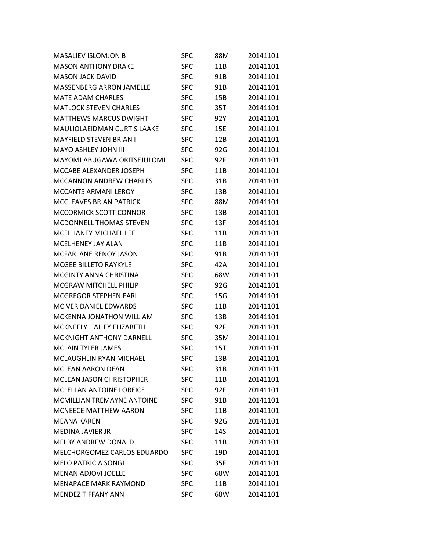| <b>MASALIEV ISLOMJON B</b>         | SPC        | 88M | 20141101 |
|------------------------------------|------------|-----|----------|
| <b>MASON ANTHONY DRAKE</b>         | <b>SPC</b> | 11B | 20141101 |
| <b>MASON JACK DAVID</b>            | <b>SPC</b> | 91B | 20141101 |
| <b>MASSENBERG ARRON JAMELLE</b>    | SPC        | 91B | 20141101 |
| MATE ADAM CHARLES                  | SPC        | 15B | 20141101 |
| <b>MATLOCK STEVEN CHARLES</b>      | <b>SPC</b> | 35T | 20141101 |
| <b>MATTHEWS MARCUS DWIGHT</b>      | <b>SPC</b> | 92Y | 20141101 |
| <b>MAULIOLAEIDMAN CURTIS LAAKE</b> | SPC        | 15E | 20141101 |
| <b>MAYFIELD STEVEN BRIAN II</b>    | <b>SPC</b> | 12B | 20141101 |
| <b>MAYO ASHLEY JOHN III</b>        | <b>SPC</b> | 92G | 20141101 |
| <b>MAYOMI ABUGAWA ORITSEJULOMI</b> | <b>SPC</b> | 92F | 20141101 |
| MCCABE ALEXANDER JOSEPH            | SPC        | 11B | 20141101 |
| <b>MCCANNON ANDREW CHARLES</b>     | <b>SPC</b> | 31B | 20141101 |
| <b>MCCANTS ARMANI LEROY</b>        | <b>SPC</b> | 13B | 20141101 |
| <b>MCCLEAVES BRIAN PATRICK</b>     | <b>SPC</b> | 88M | 20141101 |
| MCCORMICK SCOTT CONNOR             | SPC        | 13B | 20141101 |
| <b>MCDONNELL THOMAS STEVEN</b>     | <b>SPC</b> | 13F | 20141101 |
| <b>MCELHANEY MICHAEL LEE</b>       | <b>SPC</b> | 11B | 20141101 |
| MCELHENEY JAY ALAN                 | <b>SPC</b> | 11B | 20141101 |
| <b>MCFARLANE RENOY JASON</b>       | SPC        | 91B | 20141101 |
| <b>MCGEE BILLETO RAYKYLE</b>       | <b>SPC</b> | 42A | 20141101 |
| MCGINTY ANNA CHRISTINA             | <b>SPC</b> | 68W | 20141101 |
| <b>MCGRAW MITCHELL PHILIP</b>      | <b>SPC</b> | 92G | 20141101 |
| <b>MCGREGOR STEPHEN EARL</b>       | SPC        | 15G | 20141101 |
| MCIVER DANIEL EDWARDS              | SPC        | 11B | 20141101 |
| <b>MCKENNA JONATHON WILLIAM</b>    | <b>SPC</b> | 13B | 20141101 |
| MCKNEELY HAILEY ELIZABETH          | SPC        | 92F | 20141101 |
| <b>MCKNIGHT ANTHONY DARNELL</b>    | <b>SPC</b> | 35M | 20141101 |
| <b>MCLAIN TYLER JAMES</b>          | <b>SPC</b> | 15T | 20141101 |
| MCLAUGHLIN RYAN MICHAEL            | <b>SPC</b> | 13B | 20141101 |
| <b>MCLEAN AARON DEAN</b>           | <b>SPC</b> | 31B | 20141101 |
| <b>MCLEAN JASON CHRISTOPHER</b>    | <b>SPC</b> | 11B | 20141101 |
| MCLELLAN ANTOINE LOREICE           | <b>SPC</b> | 92F | 20141101 |
| MCMILLIAN TREMAYNE ANTOINE         | <b>SPC</b> | 91B | 20141101 |
| <b>MCNEECE MATTHEW AARON</b>       | <b>SPC</b> | 11B | 20141101 |
| <b>MEANA KAREN</b>                 | <b>SPC</b> | 92G | 20141101 |
| MEDINA JAVIER JR                   | <b>SPC</b> | 14S | 20141101 |
| <b>MELBY ANDREW DONALD</b>         | <b>SPC</b> | 11B | 20141101 |
| MELCHORGOMEZ CARLOS EDUARDO        | <b>SPC</b> | 19D | 20141101 |
| <b>MELO PATRICIA SONGI</b>         | <b>SPC</b> | 35F | 20141101 |
| <b>MENAN ADJOVI JOELLE</b>         | <b>SPC</b> | 68W | 20141101 |
| <b>MENAPACE MARK RAYMOND</b>       | <b>SPC</b> | 11B | 20141101 |
| <b>MENDEZ TIFFANY ANN</b>          | <b>SPC</b> | 68W | 20141101 |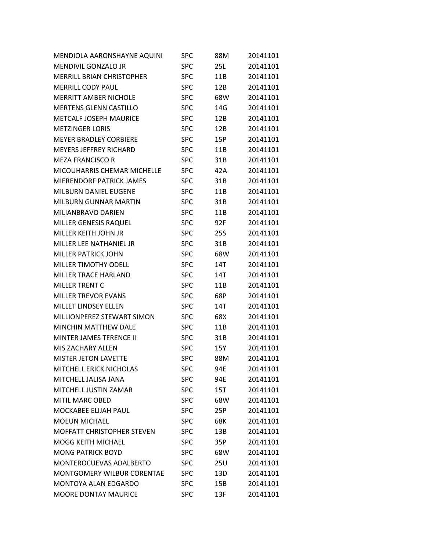| MENDIOLA AARONSHAYNE AQUINI       | SPC        | 88M | 20141101 |
|-----------------------------------|------------|-----|----------|
| MENDIVIL GONZALO JR               | <b>SPC</b> | 25L | 20141101 |
| <b>MERRILL BRIAN CHRISTOPHER</b>  | <b>SPC</b> | 11B | 20141101 |
| <b>MERRILL CODY PAUL</b>          | <b>SPC</b> | 12B | 20141101 |
| <b>MERRITT AMBER NICHOLE</b>      | <b>SPC</b> | 68W | 20141101 |
| <b>MERTENS GLENN CASTILLO</b>     | <b>SPC</b> | 14G | 20141101 |
| METCALF JOSEPH MAURICE            | <b>SPC</b> | 12B | 20141101 |
| <b>METZINGER LORIS</b>            | <b>SPC</b> | 12B | 20141101 |
| <b>MEYER BRADLEY CORBIERE</b>     | <b>SPC</b> | 15P | 20141101 |
| <b>MEYERS JEFFREY RICHARD</b>     | <b>SPC</b> | 11B | 20141101 |
| <b>MEZA FRANCISCO R</b>           | <b>SPC</b> | 31B | 20141101 |
| MICOUHARRIS CHEMAR MICHELLE       | <b>SPC</b> | 42A | 20141101 |
| MIERENDORF PATRICK JAMES          | <b>SPC</b> | 31B | 20141101 |
| MILBURN DANIEL EUGENE             | <b>SPC</b> | 11B | 20141101 |
| MILBURN GUNNAR MARTIN             | <b>SPC</b> | 31B | 20141101 |
| MILIANBRAVO DARIEN                | <b>SPC</b> | 11B | 20141101 |
| MILLER GENESIS RAQUEL             | <b>SPC</b> | 92F | 20141101 |
| MILLER KEITH JOHN JR              | <b>SPC</b> | 25S | 20141101 |
| MILLER LEE NATHANIEL JR           | <b>SPC</b> | 31B | 20141101 |
| <b>MILLER PATRICK JOHN</b>        | <b>SPC</b> | 68W | 20141101 |
| <b>MILLER TIMOTHY ODELL</b>       | <b>SPC</b> | 14T | 20141101 |
| <b>MILLER TRACE HARLAND</b>       | <b>SPC</b> | 14T | 20141101 |
| <b>MILLER TRENT C</b>             | <b>SPC</b> | 11B | 20141101 |
| <b>MILLER TREVOR EVANS</b>        | <b>SPC</b> | 68P | 20141101 |
| <b>MILLET LINDSEY ELLEN</b>       | <b>SPC</b> | 14T | 20141101 |
| MILLIONPEREZ STEWART SIMON        | <b>SPC</b> | 68X | 20141101 |
| <b>MINCHIN MATTHEW DALE</b>       | <b>SPC</b> | 11B | 20141101 |
| <b>MINTER JAMES TERENCE II</b>    | <b>SPC</b> | 31B | 20141101 |
| MIS ZACHARY ALLEN                 | <b>SPC</b> | 15Y | 20141101 |
| <b>MISTER JETON LAVETTE</b>       | <b>SPC</b> | 88M | 20141101 |
| MITCHELL ERICK NICHOLAS           | <b>SPC</b> | 94E | 20141101 |
| MITCHELL JALISA JANA              | <b>SPC</b> | 94E | 20141101 |
| MITCHELL JUSTIN ZAMAR             | <b>SPC</b> | 15T | 20141101 |
| <b>MITIL MARC OBED</b>            | <b>SPC</b> | 68W | 20141101 |
| <b>MOCKABEE ELIJAH PAUL</b>       | <b>SPC</b> | 25P | 20141101 |
| <b>MOEUN MICHAEL</b>              | <b>SPC</b> | 68K | 20141101 |
| <b>MOFFATT CHRISTOPHER STEVEN</b> | <b>SPC</b> | 13B | 20141101 |
| <b>MOGG KEITH MICHAEL</b>         | <b>SPC</b> | 35P | 20141101 |
| <b>MONG PATRICK BOYD</b>          | <b>SPC</b> | 68W | 20141101 |
| MONTEROCUEVAS ADALBERTO           | <b>SPC</b> | 25U | 20141101 |
| MONTGOMERY WILBUR CORENTAE        | <b>SPC</b> | 13D | 20141101 |
| <b>MONTOYA ALAN EDGARDO</b>       | <b>SPC</b> | 15B | 20141101 |
| <b>MOORE DONTAY MAURICE</b>       | <b>SPC</b> | 13F | 20141101 |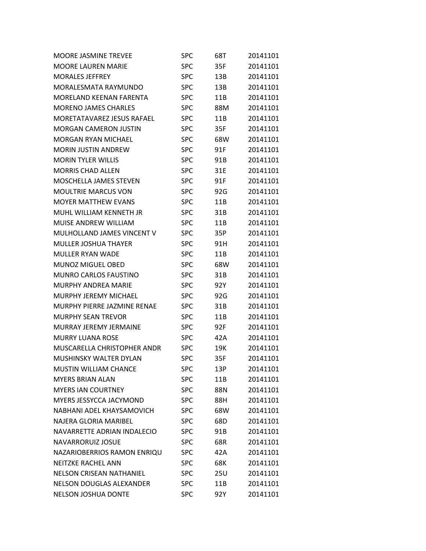| <b>MOORE JASMINE TREVEE</b>     | SPC        | 68T        | 20141101 |
|---------------------------------|------------|------------|----------|
| <b>MOORE LAUREN MARIE</b>       | <b>SPC</b> | 35F        | 20141101 |
| <b>MORALES JEFFREY</b>          | <b>SPC</b> | 13B        | 20141101 |
| MORALESMATA RAYMUNDO            | <b>SPC</b> | 13B        | 20141101 |
| MORELAND KEENAN FARENTA         | <b>SPC</b> | 11B        | 20141101 |
| <b>MORENO JAMES CHARLES</b>     | <b>SPC</b> | 88M        | 20141101 |
| MORETATAVAREZ JESUS RAFAEL      | <b>SPC</b> | 11B        | 20141101 |
| <b>MORGAN CAMERON JUSTIN</b>    | <b>SPC</b> | 35F        | 20141101 |
| <b>MORGAN RYAN MICHAEL</b>      | <b>SPC</b> | 68W        | 20141101 |
| <b>MORIN JUSTIN ANDREW</b>      | <b>SPC</b> | 91F        | 20141101 |
| <b>MORIN TYLER WILLIS</b>       | <b>SPC</b> | 91B        | 20141101 |
| <b>MORRIS CHAD ALLEN</b>        | SPC        | 31E        | 20141101 |
| <b>MOSCHELLA JAMES STEVEN</b>   | <b>SPC</b> | 91F        | 20141101 |
| <b>MOULTRIE MARCUS VON</b>      | <b>SPC</b> | 92G        | 20141101 |
| <b>MOYER MATTHEW EVANS</b>      | <b>SPC</b> | 11B        | 20141101 |
| MUHL WILLIAM KENNETH JR         | SPC        | 31B        | 20141101 |
| <b>MUISE ANDREW WILLIAM</b>     | SPC        | 11B        | 20141101 |
| MULHOLLAND JAMES VINCENT V      | <b>SPC</b> | 35P        | 20141101 |
| <b>MULLER JOSHUA THAYER</b>     | <b>SPC</b> | 91H        | 20141101 |
| <b>MULLER RYAN WADE</b>         | SPC        | 11B        | 20141101 |
| <b>MUNOZ MIGUEL OBED</b>        | <b>SPC</b> | 68W        | 20141101 |
| MUNRO CARLOS FAUSTINO           | <b>SPC</b> | 31B        | 20141101 |
| <b>MURPHY ANDREA MARIE</b>      | <b>SPC</b> | 92Y        | 20141101 |
| <b>MURPHY JEREMY MICHAEL</b>    | SPC        | 92G        | 20141101 |
| MURPHY PIERRE JAZMINE RENAE     | <b>SPC</b> | 31B        | 20141101 |
| <b>MURPHY SEAN TREVOR</b>       | <b>SPC</b> | 11B        | 20141101 |
| MURRAY JEREMY JERMAINE          | <b>SPC</b> | 92F        | 20141101 |
| <b>MURRY LUANA ROSE</b>         | <b>SPC</b> | 42A        | 20141101 |
| MUSCARELLA CHRISTOPHER ANDR     | <b>SPC</b> | 19K        | 20141101 |
| MUSHINSKY WALTER DYLAN          | <b>SPC</b> | 35F        | 20141101 |
| <b>MUSTIN WILLIAM CHANCE</b>    | <b>SPC</b> | 13P        | 20141101 |
| <b>MYERS BRIAN ALAN</b>         | <b>SPC</b> | 11B        | 20141101 |
| <b>MYERS IAN COURTNEY</b>       | <b>SPC</b> | 88N        | 20141101 |
| MYERS JESSYCCA JACYMOND         | <b>SPC</b> | 88H        | 20141101 |
| NABHANI ADEL KHAYSAMOVICH       | <b>SPC</b> | 68W        | 20141101 |
| NAJERA GLORIA MARIBEL           | <b>SPC</b> | 68D        | 20141101 |
| NAVARRETTE ADRIAN INDALECIO     | <b>SPC</b> | 91B        | 20141101 |
| NAVARRORUIZ JOSUE               | <b>SPC</b> | 68R        | 20141101 |
| NAZARIOBERRIOS RAMON ENRIQU     | <b>SPC</b> | 42A        | 20141101 |
| <b>NEITZKE RACHEL ANN</b>       | <b>SPC</b> | 68K        | 20141101 |
| <b>NELSON CRISEAN NATHANIEL</b> | <b>SPC</b> | <b>25U</b> | 20141101 |
| <b>NELSON DOUGLAS ALEXANDER</b> | <b>SPC</b> | 11B        | 20141101 |
| <b>NELSON JOSHUA DONTE</b>      | <b>SPC</b> | 92Y        | 20141101 |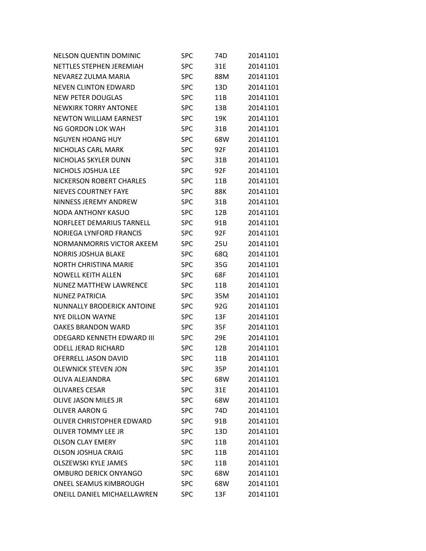| <b>NELSON QUENTIN DOMINIC</b>     | SPC        | 74D        | 20141101 |
|-----------------------------------|------------|------------|----------|
| NETTLES STEPHEN JEREMIAH          | <b>SPC</b> | 31E        | 20141101 |
| NEVAREZ ZULMA MARIA               | <b>SPC</b> | 88M        | 20141101 |
| <b>NEVEN CLINTON EDWARD</b>       | <b>SPC</b> | 13D        | 20141101 |
| <b>NEW PETER DOUGLAS</b>          | <b>SPC</b> | 11B        | 20141101 |
| <b>NEWKIRK TORRY ANTONEE</b>      | <b>SPC</b> | 13B        | 20141101 |
| <b>NEWTON WILLIAM EARNEST</b>     | <b>SPC</b> | 19K        | 20141101 |
| NG GORDON LOK WAH                 | <b>SPC</b> | 31B        | 20141101 |
| <b>NGUYEN HOANG HUY</b>           | <b>SPC</b> | 68W        | 20141101 |
| NICHOLAS CARL MARK                | <b>SPC</b> | 92F        | 20141101 |
| NICHOLAS SKYLER DUNN              | <b>SPC</b> | 31B        | 20141101 |
| NICHOLS JOSHUA LEE                | <b>SPC</b> | 92F        | 20141101 |
| NICKERSON ROBERT CHARLES          | <b>SPC</b> | 11B        | 20141101 |
| <b>NIEVES COURTNEY FAYE</b>       | <b>SPC</b> | 88K        | 20141101 |
| NINNESS JEREMY ANDREW             | <b>SPC</b> | 31B        | 20141101 |
| <b>NODA ANTHONY KASUO</b>         | <b>SPC</b> | 12B        | 20141101 |
| <b>NORFLEET DEMARIUS TARNELL</b>  | <b>SPC</b> | 91B        | 20141101 |
| <b>NORIEGA LYNFORD FRANCIS</b>    | <b>SPC</b> | 92F        | 20141101 |
| NORMANMORRIS VICTOR AKEEM         | <b>SPC</b> | <b>25U</b> | 20141101 |
| <b>NORRIS JOSHUA BLAKE</b>        | <b>SPC</b> | 68Q        | 20141101 |
| <b>NORTH CHRISTINA MARIE</b>      | <b>SPC</b> | 35G        | 20141101 |
| <b>NOWELL KEITH ALLEN</b>         | <b>SPC</b> | 68F        | 20141101 |
| <b>NUNEZ MATTHEW LAWRENCE</b>     | <b>SPC</b> | 11B        | 20141101 |
| <b>NUNEZ PATRICIA</b>             | <b>SPC</b> | 35M        | 20141101 |
| <b>NUNNALLY BRODERICK ANTOINE</b> | <b>SPC</b> | 92G        | 20141101 |
| <b>NYE DILLON WAYNE</b>           | <b>SPC</b> | 13F        | 20141101 |
| <b>OAKES BRANDON WARD</b>         | <b>SPC</b> | 35F        | 20141101 |
| <b>ODEGARD KENNETH EDWARD III</b> | <b>SPC</b> | 29E        | 20141101 |
| <b>ODELL JERAD RICHARD</b>        | <b>SPC</b> | 12B        | 20141101 |
| OFERRELL JASON DAVID              | <b>SPC</b> | 11B        | 20141101 |
| <b>OLEWNICK STEVEN JON</b>        | SPC        | 35P        | 20141101 |
| OLIVA ALEJANDRA                   | <b>SPC</b> | 68W        | 20141101 |
| <b>OLIVARES CESAR</b>             | <b>SPC</b> | 31E        | 20141101 |
| <b>OLIVE JASON MILES JR</b>       | <b>SPC</b> | 68W        | 20141101 |
| <b>OLIVER AARON G</b>             | <b>SPC</b> | 74D        | 20141101 |
| OLIVER CHRISTOPHER EDWARD         | <b>SPC</b> | 91B        | 20141101 |
| <b>OLIVER TOMMY LEE JR</b>        | <b>SPC</b> | 13D        | 20141101 |
| <b>OLSON CLAY EMERY</b>           | <b>SPC</b> | 11B        | 20141101 |
| <b>OLSON JOSHUA CRAIG</b>         | <b>SPC</b> | 11B        | 20141101 |
| <b>OLSZEWSKI KYLE JAMES</b>       | <b>SPC</b> | 11B        | 20141101 |
| <b>OMBURO DERICK ONYANGO</b>      | <b>SPC</b> | 68W        | 20141101 |
| ONEEL SEAMUS KIMBROUGH            | <b>SPC</b> | 68W        | 20141101 |
| ONEILL DANIEL MICHAELLAWREN       | <b>SPC</b> | 13F        | 20141101 |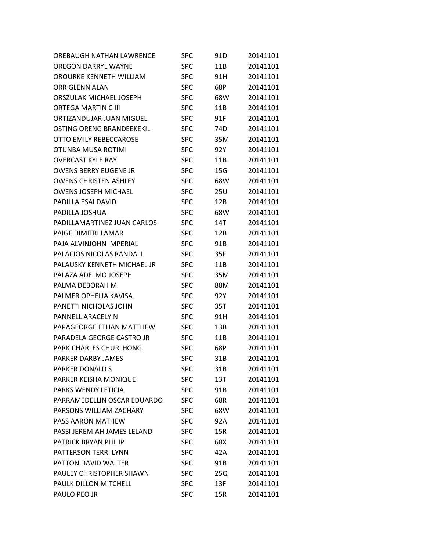| OREBAUGH NATHAN LAWRENCE         | SPC        | 91D | 20141101 |
|----------------------------------|------------|-----|----------|
| <b>OREGON DARRYL WAYNE</b>       | <b>SPC</b> | 11B | 20141101 |
| OROURKE KENNETH WILLIAM          | <b>SPC</b> | 91H | 20141101 |
| <b>ORR GLENN ALAN</b>            | <b>SPC</b> | 68P | 20141101 |
| ORSZULAK MICHAEL JOSEPH          | <b>SPC</b> | 68W | 20141101 |
| <b>ORTEGA MARTIN C III</b>       | <b>SPC</b> | 11B | 20141101 |
| ORTIZANDUJAR JUAN MIGUEL         | <b>SPC</b> | 91F | 20141101 |
| <b>OSTING ORENG BRANDEEKEKIL</b> | <b>SPC</b> | 74D | 20141101 |
| OTTO EMILY REBECCAROSE           | <b>SPC</b> | 35M | 20141101 |
| OTUNBA MUSA ROTIMI               | <b>SPC</b> | 92Y | 20141101 |
| <b>OVERCAST KYLE RAY</b>         | <b>SPC</b> | 11B | 20141101 |
| <b>OWENS BERRY EUGENE JR</b>     | <b>SPC</b> | 15G | 20141101 |
| <b>OWENS CHRISTEN ASHLEY</b>     | <b>SPC</b> | 68W | 20141101 |
| <b>OWENS JOSEPH MICHAEL</b>      | <b>SPC</b> | 25U | 20141101 |
| PADILLA ESAI DAVID               | <b>SPC</b> | 12B | 20141101 |
| PADILLA JOSHUA                   | <b>SPC</b> | 68W | 20141101 |
| PADILLAMARTINEZ JUAN CARLOS      | <b>SPC</b> | 14T | 20141101 |
| PAIGE DIMITRI LAMAR              | <b>SPC</b> | 12B | 20141101 |
| PAJA ALVINJOHN IMPERIAL          | <b>SPC</b> | 91B | 20141101 |
| PALACIOS NICOLAS RANDALL         | <b>SPC</b> | 35F | 20141101 |
| PALAUSKY KENNETH MICHAEL JR      | <b>SPC</b> | 11B | 20141101 |
| PALAZA ADELMO JOSEPH             | <b>SPC</b> | 35M | 20141101 |
| PALMA DEBORAH M                  | <b>SPC</b> | 88M | 20141101 |
| PALMER OPHELIA KAVISA            | <b>SPC</b> | 92Y | 20141101 |
| PANETTI NICHOLAS JOHN            | <b>SPC</b> | 35T | 20141101 |
| PANNELL ARACELY N                | <b>SPC</b> | 91H | 20141101 |
| PAPAGEORGE ETHAN MATTHEW         | <b>SPC</b> | 13B | 20141101 |
| PARADELA GEORGE CASTRO JR        | <b>SPC</b> | 11B | 20141101 |
| PARK CHARLES CHURLHONG           | <b>SPC</b> | 68P | 20141101 |
| PARKER DARBY JAMES               | <b>SPC</b> | 31B | 20141101 |
| <b>PARKER DONALD S</b>           | <b>SPC</b> | 31B | 20141101 |
| PARKER KEISHA MONIQUE            | <b>SPC</b> | 13T | 20141101 |
| PARKS WENDY LETICIA              | <b>SPC</b> | 91B | 20141101 |
| PARRAMEDELLIN OSCAR EDUARDO      | <b>SPC</b> | 68R | 20141101 |
| PARSONS WILLIAM ZACHARY          | <b>SPC</b> | 68W | 20141101 |
| PASS AARON MATHEW                | <b>SPC</b> | 92A | 20141101 |
| PASSI JEREMIAH JAMES LELAND      | <b>SPC</b> | 15R | 20141101 |
| PATRICK BRYAN PHILIP             | <b>SPC</b> | 68X | 20141101 |
| PATTERSON TERRI LYNN             | <b>SPC</b> | 42A | 20141101 |
| PATTON DAVID WALTER              | <b>SPC</b> | 91B | 20141101 |
| PAULEY CHRISTOPHER SHAWN         | <b>SPC</b> | 25Q | 20141101 |
| PAULK DILLON MITCHELL            | <b>SPC</b> | 13F | 20141101 |
| PAULO PEO JR                     | <b>SPC</b> | 15R | 20141101 |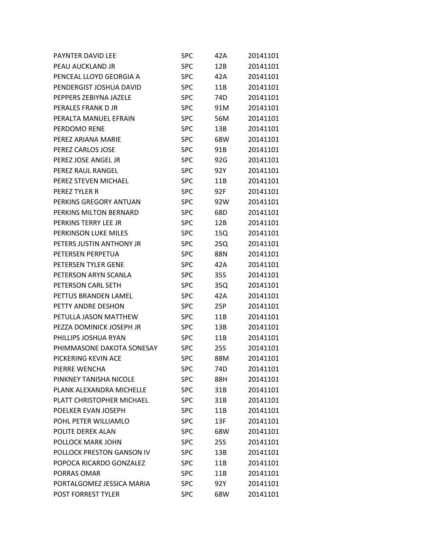| <b>PAYNTER DAVID LEE</b>  | SPC        | 42A | 20141101 |
|---------------------------|------------|-----|----------|
| PEAU AUCKLAND JR          | <b>SPC</b> | 12B | 20141101 |
| PENCEAL LLOYD GEORGIA A   | <b>SPC</b> | 42A | 20141101 |
| PENDERGIST JOSHUA DAVID   | <b>SPC</b> | 11B | 20141101 |
| PEPPERS ZEBIYNA JAZELE    | <b>SPC</b> | 74D | 20141101 |
| PERALES FRANK D JR        | <b>SPC</b> | 91M | 20141101 |
| PERALTA MANUEL EFRAIN     | <b>SPC</b> | 56M | 20141101 |
| PERDOMO RENE              | <b>SPC</b> | 13B | 20141101 |
| PEREZ ARIANA MARIE        | <b>SPC</b> | 68W | 20141101 |
| PEREZ CARLOS JOSE         | <b>SPC</b> | 91B | 20141101 |
| PEREZ JOSE ANGEL JR       | <b>SPC</b> | 92G | 20141101 |
| PEREZ RAUL RANGEL         | <b>SPC</b> | 92Y | 20141101 |
| PEREZ STEVEN MICHAEL      | <b>SPC</b> | 11B | 20141101 |
| PEREZ TYLER R             | <b>SPC</b> | 92F | 20141101 |
| PERKINS GREGORY ANTUAN    | <b>SPC</b> | 92W | 20141101 |
| PERKINS MILTON BERNARD    | <b>SPC</b> | 68D | 20141101 |
| PERKINS TERRY LEE JR      | <b>SPC</b> | 12B | 20141101 |
| PERKINSON LUKE MILES      | <b>SPC</b> | 15Q | 20141101 |
| PETERS JUSTIN ANTHONY JR  | <b>SPC</b> | 25Q | 20141101 |
| PETERSEN PERPETUA         | <b>SPC</b> | 88N | 20141101 |
| PETERSEN TYLER GENE       | <b>SPC</b> | 42A | 20141101 |
| PETERSON ARYN SCANLA      | <b>SPC</b> | 35S | 20141101 |
| PETERSON CARL SETH        | <b>SPC</b> | 35Q | 20141101 |
| PETTUS BRANDEN LAMEL      | <b>SPC</b> | 42A | 20141101 |
| PETTY ANDRE DESHON        | <b>SPC</b> | 25P | 20141101 |
| PETULLA JASON MATTHEW     | <b>SPC</b> | 11B | 20141101 |
| PEZZA DOMINICK JOSEPH JR  | <b>SPC</b> | 13B | 20141101 |
| PHILLIPS JOSHUA RYAN      | <b>SPC</b> | 11B | 20141101 |
| PHIMMASONE DAKOTA SONESAY | <b>SPC</b> | 25S | 20141101 |
| PICKERING KEVIN ACE       | <b>SPC</b> | 88M | 20141101 |
| PIERRE WENCHA             | <b>SPC</b> | 74D | 20141101 |
| PINKNEY TANISHA NICOLE    | <b>SPC</b> | 88H | 20141101 |
| PLANK ALEXANDRA MICHELLE  | <b>SPC</b> | 31B | 20141101 |
| PLATT CHRISTOPHER MICHAEL | <b>SPC</b> | 31B | 20141101 |
| POELKER EVAN JOSEPH       | <b>SPC</b> | 11B | 20141101 |
| POHL PETER WILLIAMLO      | <b>SPC</b> | 13F | 20141101 |
| POLITE DEREK ALAN         | <b>SPC</b> | 68W | 20141101 |
| POLLOCK MARK JOHN         | <b>SPC</b> | 25S | 20141101 |
| POLLOCK PRESTON GANSON IV | <b>SPC</b> | 13B | 20141101 |
| POPOCA RICARDO GONZALEZ   | <b>SPC</b> | 11B | 20141101 |
| PORRAS OMAR               | <b>SPC</b> | 11B | 20141101 |
| PORTALGOMEZ JESSICA MARIA | <b>SPC</b> | 92Y | 20141101 |
| POST FORREST TYLER        | SPC        | 68W | 20141101 |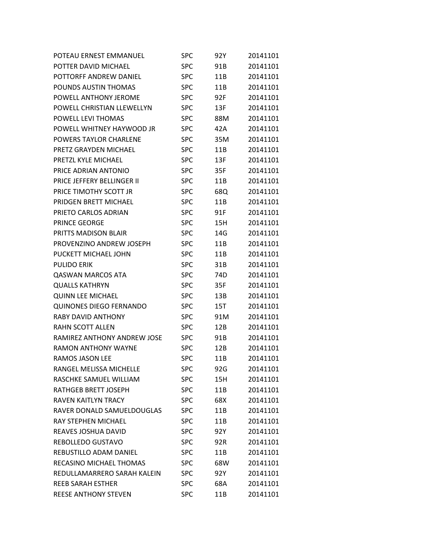| POTEAU ERNEST EMMANUEL         | <b>SPC</b> | 92Y | 20141101 |
|--------------------------------|------------|-----|----------|
| POTTER DAVID MICHAEL           | <b>SPC</b> | 91B | 20141101 |
| POTTORFF ANDREW DANIEL         | <b>SPC</b> | 11B | 20141101 |
| POUNDS AUSTIN THOMAS           | <b>SPC</b> | 11B | 20141101 |
| POWELL ANTHONY JEROME          | <b>SPC</b> | 92F | 20141101 |
| POWELL CHRISTIAN LLEWELLYN     | <b>SPC</b> | 13F | 20141101 |
| POWELL LEVI THOMAS             | <b>SPC</b> | 88M | 20141101 |
| POWELL WHITNEY HAYWOOD JR      | <b>SPC</b> | 42A | 20141101 |
| POWERS TAYLOR CHARLENE         | <b>SPC</b> | 35M | 20141101 |
| PRETZ GRAYDEN MICHAEL          | <b>SPC</b> | 11B | 20141101 |
| PRETZL KYLE MICHAEL            | <b>SPC</b> | 13F | 20141101 |
| PRICE ADRIAN ANTONIO           | <b>SPC</b> | 35F | 20141101 |
| PRICE JEFFERY BELLINGER II     | <b>SPC</b> | 11B | 20141101 |
| PRICE TIMOTHY SCOTT JR         | <b>SPC</b> | 68Q | 20141101 |
| PRIDGEN BRETT MICHAEL          | <b>SPC</b> | 11B | 20141101 |
| PRIETO CARLOS ADRIAN           | <b>SPC</b> | 91F | 20141101 |
| <b>PRINCE GEORGE</b>           | <b>SPC</b> | 15H | 20141101 |
| PRITTS MADISON BLAIR           | <b>SPC</b> | 14G | 20141101 |
| PROVENZINO ANDREW JOSEPH       | <b>SPC</b> | 11B | 20141101 |
| PUCKETT MICHAEL JOHN           | <b>SPC</b> | 11B | 20141101 |
| <b>PULIDO ERIK</b>             | <b>SPC</b> | 31B | 20141101 |
| <b>QASWAN MARCOS ATA</b>       | <b>SPC</b> | 74D | 20141101 |
| <b>QUALLS KATHRYN</b>          | <b>SPC</b> | 35F | 20141101 |
| <b>QUINN LEE MICHAEL</b>       | <b>SPC</b> | 13B | 20141101 |
| <b>QUINONES DIEGO FERNANDO</b> | <b>SPC</b> | 15T | 20141101 |
| <b>RABY DAVID ANTHONY</b>      | <b>SPC</b> | 91M | 20141101 |
| RAHN SCOTT ALLEN               | <b>SPC</b> | 12B | 20141101 |
| RAMIREZ ANTHONY ANDREW JOSE    | <b>SPC</b> | 91B | 20141101 |
| <b>RAMON ANTHONY WAYNE</b>     | <b>SPC</b> | 12B | 20141101 |
| RAMOS JASON LEE                | <b>SPC</b> | 11B | 20141101 |
| RANGEL MELISSA MICHELLE        | <b>SPC</b> | 92G | 20141101 |
| RASCHKE SAMUEL WILLIAM         | <b>SPC</b> | 15H | 20141101 |
| RATHGEB BRETT JOSEPH           | <b>SPC</b> | 11B | 20141101 |
| <b>RAVEN KAITLYN TRACY</b>     | <b>SPC</b> | 68X | 20141101 |
| RAVER DONALD SAMUELDOUGLAS     | <b>SPC</b> | 11B | 20141101 |
| RAY STEPHEN MICHAEL            | <b>SPC</b> | 11B | 20141101 |
| REAVES JOSHUA DAVID            | <b>SPC</b> | 92Y | 20141101 |
| REBOLLEDO GUSTAVO              | <b>SPC</b> | 92R | 20141101 |
| <b>REBUSTILLO ADAM DANIEL</b>  | <b>SPC</b> | 11B | 20141101 |
| RECASINO MICHAEL THOMAS        | <b>SPC</b> | 68W | 20141101 |
| REDULLAMARRERO SARAH KALEIN    | <b>SPC</b> | 92Y | 20141101 |
| <b>REEB SARAH ESTHER</b>       | <b>SPC</b> | 68A | 20141101 |
| <b>REESE ANTHONY STEVEN</b>    | <b>SPC</b> | 11B | 20141101 |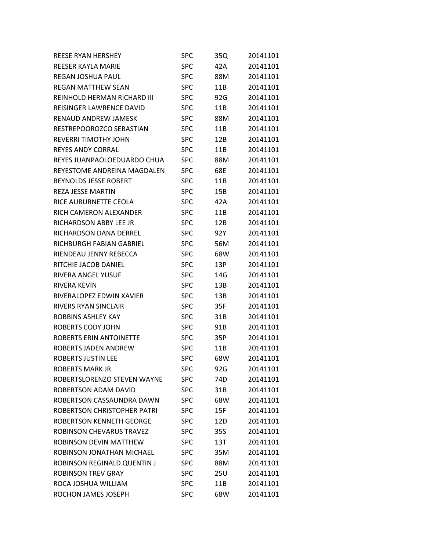| <b>REESE RYAN HERSHEY</b>    | <b>SPC</b> | 35Q | 20141101 |
|------------------------------|------------|-----|----------|
| REESER KAYLA MARIE           | <b>SPC</b> | 42A | 20141101 |
| <b>REGAN JOSHUA PAUL</b>     | <b>SPC</b> | 88M | 20141101 |
| <b>REGAN MATTHEW SEAN</b>    | <b>SPC</b> | 11B | 20141101 |
| REINHOLD HERMAN RICHARD III  | <b>SPC</b> | 92G | 20141101 |
| REISINGER LAWRENCE DAVID     | <b>SPC</b> | 11B | 20141101 |
| RENAUD ANDREW JAMESK         | <b>SPC</b> | 88M | 20141101 |
| RESTREPOOROZCO SEBASTIAN     | <b>SPC</b> | 11B | 20141101 |
| <b>REVERRI TIMOTHY JOHN</b>  | <b>SPC</b> | 12B | 20141101 |
| <b>REYES ANDY CORRAL</b>     | <b>SPC</b> | 11B | 20141101 |
| REYES JUANPAOLOEDUARDO CHUA  | <b>SPC</b> | 88M | 20141101 |
| REYESTOME ANDREINA MAGDALEN  | <b>SPC</b> | 68E | 20141101 |
| <b>REYNOLDS JESSE ROBERT</b> | <b>SPC</b> | 11B | 20141101 |
| <b>REZA JESSE MARTIN</b>     | <b>SPC</b> | 15B | 20141101 |
| RICE AUBURNETTE CEOLA        | <b>SPC</b> | 42A | 20141101 |
| RICH CAMERON ALEXANDER       | <b>SPC</b> | 11B | 20141101 |
| RICHARDSON ABBY LEE JR       | <b>SPC</b> | 12B | 20141101 |
| RICHARDSON DANA DERREL       | <b>SPC</b> | 92Y | 20141101 |
| RICHBURGH FABIAN GABRIEL     | <b>SPC</b> | 56M | 20141101 |
| RIENDEAU JENNY REBECCA       | <b>SPC</b> | 68W | 20141101 |
| RITCHIE JACOB DANIEL         | <b>SPC</b> | 13P | 20141101 |
| RIVERA ANGEL YUSUF           | <b>SPC</b> | 14G | 20141101 |
| RIVERA KEVIN                 | <b>SPC</b> | 13B | 20141101 |
| RIVERALOPEZ EDWIN XAVIER     | <b>SPC</b> | 13B | 20141101 |
| RIVERS RYAN SINCLAIR         | <b>SPC</b> | 35F | 20141101 |
| ROBBINS ASHLEY KAY           | <b>SPC</b> | 31B | 20141101 |
| ROBERTS CODY JOHN            | <b>SPC</b> | 91B | 20141101 |
| ROBERTS ERIN ANTOINETTE      | <b>SPC</b> | 35P | 20141101 |
| ROBERTS JADEN ANDREW         | <b>SPC</b> | 11B | 20141101 |
| <b>ROBERTS JUSTIN LEE</b>    | <b>SPC</b> | 68W | 20141101 |
| <b>ROBERTS MARK JR</b>       | <b>SPC</b> | 92G | 20141101 |
| ROBERTSLORENZO STEVEN WAYNE  | <b>SPC</b> | 74D | 20141101 |
| ROBERTSON ADAM DAVID         | <b>SPC</b> | 31B | 20141101 |
| ROBERTSON CASSAUNDRA DAWN    | <b>SPC</b> | 68W | 20141101 |
| ROBERTSON CHRISTOPHER PATRI  | <b>SPC</b> | 15F | 20141101 |
| ROBERTSON KENNETH GEORGE     | <b>SPC</b> | 12D | 20141101 |
| ROBINSON CHEVARUS TRAVEZ     | <b>SPC</b> | 35S | 20141101 |
| ROBINSON DEVIN MATTHEW       | <b>SPC</b> | 13T | 20141101 |
| ROBINSON JONATHAN MICHAEL    | <b>SPC</b> | 35M | 20141101 |
| ROBINSON REGINALD QUENTIN J  | <b>SPC</b> | 88M | 20141101 |
| <b>ROBINSON TREV GRAY</b>    | <b>SPC</b> | 25U | 20141101 |
| ROCA JOSHUA WILLIAM          | <b>SPC</b> | 11B | 20141101 |
| ROCHON JAMES JOSEPH          | <b>SPC</b> | 68W | 20141101 |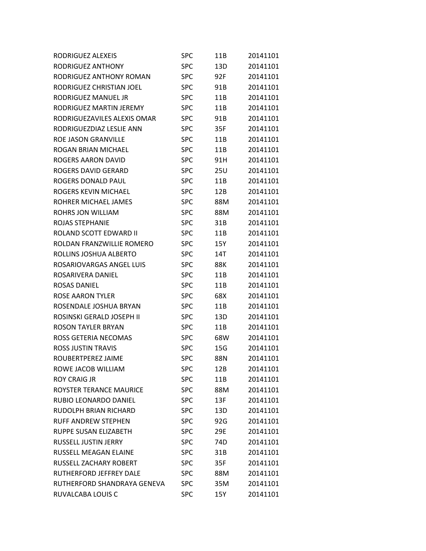| RODRIGUEZ ALEXEIS            | <b>SPC</b> | 11B | 20141101 |
|------------------------------|------------|-----|----------|
| RODRIGUEZ ANTHONY            | <b>SPC</b> | 13D | 20141101 |
| RODRIGUEZ ANTHONY ROMAN      | <b>SPC</b> | 92F | 20141101 |
| RODRIGUEZ CHRISTIAN JOEL     | <b>SPC</b> | 91B | 20141101 |
| RODRIGUEZ MANUEL JR          | <b>SPC</b> | 11B | 20141101 |
| RODRIGUEZ MARTIN JEREMY      | <b>SPC</b> | 11B | 20141101 |
| RODRIGUEZAVILES ALEXIS OMAR  | <b>SPC</b> | 91B | 20141101 |
| RODRIGUEZDIAZ LESLIE ANN     | <b>SPC</b> | 35F | 20141101 |
| <b>ROE JASON GRANVILLE</b>   | <b>SPC</b> | 11B | 20141101 |
| ROGAN BRIAN MICHAEL          | <b>SPC</b> | 11B | 20141101 |
| <b>ROGERS AARON DAVID</b>    | <b>SPC</b> | 91H | 20141101 |
| ROGERS DAVID GERARD          | <b>SPC</b> | 25U | 20141101 |
| ROGERS DONALD PAUL           | <b>SPC</b> | 11B | 20141101 |
| ROGERS KEVIN MICHAEL         | <b>SPC</b> | 12B | 20141101 |
| ROHRER MICHAEL JAMES         | <b>SPC</b> | 88M | 20141101 |
| ROHRS JON WILLIAM            | <b>SPC</b> | 88M | 20141101 |
| ROJAS STEPHANIE              | <b>SPC</b> | 31B | 20141101 |
| ROLAND SCOTT EDWARD II       | <b>SPC</b> | 11B | 20141101 |
| ROLDAN FRANZWILLIE ROMERO    | <b>SPC</b> | 15Y | 20141101 |
| ROLLINS JOSHUA ALBERTO       | <b>SPC</b> | 14T | 20141101 |
| ROSARIOVARGAS ANGEL LUIS     | <b>SPC</b> | 88K | 20141101 |
| ROSARIVERA DANIEL            | <b>SPC</b> | 11B | 20141101 |
| <b>ROSAS DANIEL</b>          | <b>SPC</b> | 11B | 20141101 |
| <b>ROSE AARON TYLER</b>      | <b>SPC</b> | 68X | 20141101 |
| ROSENDALE JOSHUA BRYAN       | <b>SPC</b> | 11B | 20141101 |
| ROSINSKI GERALD JOSEPH II    | <b>SPC</b> | 13D | 20141101 |
| ROSON TAYLER BRYAN           | <b>SPC</b> | 11B | 20141101 |
| ROSS GETERIA NECOMAS         | <b>SPC</b> | 68W | 20141101 |
| ROSS JUSTIN TRAVIS           | <b>SPC</b> | 15G | 20141101 |
| ROUBERTPEREZ JAIME           | <b>SPC</b> | 88N | 20141101 |
| ROWE JACOB WILLIAM           | <b>SPC</b> | 12B | 20141101 |
| <b>ROY CRAIG JR</b>          | <b>SPC</b> | 11B | 20141101 |
| ROYSTER TERANCE MAURICE      | <b>SPC</b> | 88M | 20141101 |
| RUBIO LEONARDO DANIEL        | <b>SPC</b> | 13F | 20141101 |
| <b>RUDOLPH BRIAN RICHARD</b> | <b>SPC</b> | 13D | 20141101 |
| <b>RUFF ANDREW STEPHEN</b>   | <b>SPC</b> | 92G | 20141101 |
| RUPPE SUSAN ELIZABETH        | <b>SPC</b> | 29E | 20141101 |
| <b>RUSSELL JUSTIN JERRY</b>  | <b>SPC</b> | 74D | 20141101 |
| RUSSELL MEAGAN ELAINE        | <b>SPC</b> | 31B | 20141101 |
| RUSSELL ZACHARY ROBERT       | <b>SPC</b> | 35F | 20141101 |
| RUTHERFORD JEFFREY DALE      | <b>SPC</b> | 88M | 20141101 |
| RUTHERFORD SHANDRAYA GENEVA  | <b>SPC</b> | 35M | 20141101 |
| RUVALCABA LOUIS C            | <b>SPC</b> | 15Y | 20141101 |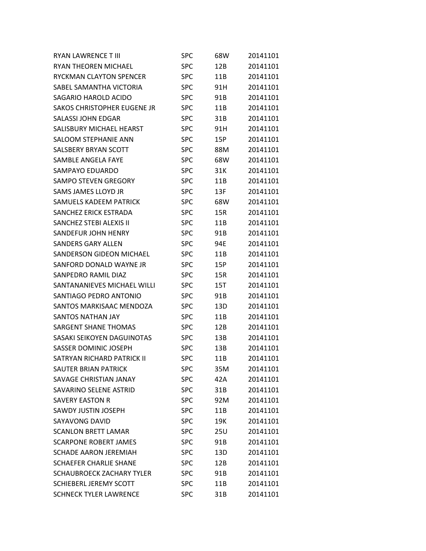| <b>RYAN LAWRENCE T III</b>    | SPC        | 68W | 20141101 |
|-------------------------------|------------|-----|----------|
| RYAN THEOREN MICHAEL          | <b>SPC</b> | 12B | 20141101 |
| RYCKMAN CLAYTON SPENCER       | <b>SPC</b> | 11B | 20141101 |
| SABEL SAMANTHA VICTORIA       | <b>SPC</b> | 91H | 20141101 |
| SAGARIO HAROLD ACIDO          | <b>SPC</b> | 91B | 20141101 |
| SAKOS CHRISTOPHER EUGENE JR   | <b>SPC</b> | 11B | 20141101 |
| <b>SALASSI JOHN EDGAR</b>     | <b>SPC</b> | 31B | 20141101 |
| SALISBURY MICHAEL HEARST      | <b>SPC</b> | 91H | 20141101 |
| <b>SALOOM STEPHANIE ANN</b>   | <b>SPC</b> | 15P | 20141101 |
| SALSBERY BRYAN SCOTT          | <b>SPC</b> | 88M | 20141101 |
| <b>SAMBLE ANGELA FAYE</b>     | <b>SPC</b> | 68W | 20141101 |
| SAMPAYO EDUARDO               | <b>SPC</b> | 31K | 20141101 |
| SAMPO STEVEN GREGORY          | <b>SPC</b> | 11B | 20141101 |
| SAMS JAMES LLOYD JR           | <b>SPC</b> | 13F | 20141101 |
| <b>SAMUELS KADEEM PATRICK</b> | <b>SPC</b> | 68W | 20141101 |
| SANCHEZ ERICK ESTRADA         | <b>SPC</b> | 15R | 20141101 |
| SANCHEZ STEBI ALEXIS II       | <b>SPC</b> | 11B | 20141101 |
| SANDEFUR JOHN HENRY           | <b>SPC</b> | 91B | 20141101 |
| <b>SANDERS GARY ALLEN</b>     | <b>SPC</b> | 94E | 20141101 |
| SANDERSON GIDEON MICHAEL      | <b>SPC</b> | 11B | 20141101 |
| SANFORD DONALD WAYNE JR       | <b>SPC</b> | 15P | 20141101 |
| SANPEDRO RAMIL DIAZ           | <b>SPC</b> | 15R | 20141101 |
| SANTANANIEVES MICHAEL WILLI   | <b>SPC</b> | 15T | 20141101 |
| SANTIAGO PEDRO ANTONIO        | <b>SPC</b> | 91B | 20141101 |
| SANTOS MARKISAAC MENDOZA      | <b>SPC</b> | 13D | 20141101 |
| <b>SANTOS NATHAN JAY</b>      | <b>SPC</b> | 11B | 20141101 |
| <b>SARGENT SHANE THOMAS</b>   | <b>SPC</b> | 12B | 20141101 |
| SASAKI SEIKOYEN DAGUINOTAS    | <b>SPC</b> | 13B | 20141101 |
| <b>SASSER DOMINIC JOSEPH</b>  | <b>SPC</b> | 13B | 20141101 |
| SATRYAN RICHARD PATRICK II    | <b>SPC</b> | 11B | 20141101 |
| <b>SAUTER BRIAN PATRICK</b>   | SPC        | 35M | 20141101 |
| SAVAGE CHRISTIAN JANAY        | <b>SPC</b> | 42A | 20141101 |
| SAVARINO SELENE ASTRID        | <b>SPC</b> | 31B | 20141101 |
| <b>SAVERY EASTON R</b>        | <b>SPC</b> | 92M | 20141101 |
| SAWDY JUSTIN JOSEPH           | <b>SPC</b> | 11B | 20141101 |
| <b>SAYAVONG DAVID</b>         | <b>SPC</b> | 19K | 20141101 |
| <b>SCANLON BRETT LAMAR</b>    | <b>SPC</b> | 25U | 20141101 |
| <b>SCARPONE ROBERT JAMES</b>  | <b>SPC</b> | 91B | 20141101 |
| <b>SCHADE AARON JEREMIAH</b>  | <b>SPC</b> | 13D | 20141101 |
| <b>SCHAEFER CHARLIE SHANE</b> | <b>SPC</b> | 12B | 20141101 |
| SCHAUBROECK ZACHARY TYLER     | <b>SPC</b> | 91B | 20141101 |
| SCHIEBERL JEREMY SCOTT        | <b>SPC</b> | 11B | 20141101 |
| <b>SCHNECK TYLER LAWRENCE</b> | <b>SPC</b> | 31B | 20141101 |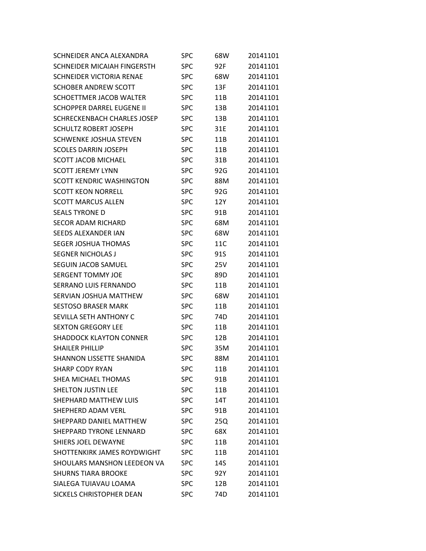| SCHNEIDER ANCA ALEXANDRA         | SPC        | 68W | 20141101 |
|----------------------------------|------------|-----|----------|
| SCHNEIDER MICAIAH FINGERSTH      | <b>SPC</b> | 92F | 20141101 |
| SCHNEIDER VICTORIA RENAE         | <b>SPC</b> | 68W | 20141101 |
| <b>SCHOBER ANDREW SCOTT</b>      | <b>SPC</b> | 13F | 20141101 |
| SCHOETTMER JACOB WALTER          | <b>SPC</b> | 11B | 20141101 |
| <b>SCHOPPER DARREL EUGENE II</b> | <b>SPC</b> | 13B | 20141101 |
| SCHRECKENBACH CHARLES JOSEP      | <b>SPC</b> | 13B | 20141101 |
| <b>SCHULTZ ROBERT JOSEPH</b>     | SPC        | 31E | 20141101 |
| SCHWENKE JOSHUA STEVEN           | <b>SPC</b> | 11B | 20141101 |
| <b>SCOLES DARRIN JOSEPH</b>      | <b>SPC</b> | 11B | 20141101 |
| <b>SCOTT JACOB MICHAEL</b>       | <b>SPC</b> | 31B | 20141101 |
| <b>SCOTT JEREMY LYNN</b>         | SPC        | 92G | 20141101 |
| <b>SCOTT KENDRIC WASHINGTON</b>  | <b>SPC</b> | 88M | 20141101 |
| <b>SCOTT KEON NORRELL</b>        | <b>SPC</b> | 92G | 20141101 |
| <b>SCOTT MARCUS ALLEN</b>        | <b>SPC</b> | 12Y | 20141101 |
| <b>SEALS TYRONE D</b>            | <b>SPC</b> | 91B | 20141101 |
| <b>SECOR ADAM RICHARD</b>        | <b>SPC</b> | 68M | 20141101 |
| SEEDS ALEXANDER IAN              | <b>SPC</b> | 68W | 20141101 |
| <b>SEGER JOSHUA THOMAS</b>       | <b>SPC</b> | 11C | 20141101 |
| <b>SEGNER NICHOLAS J</b>         | <b>SPC</b> | 91S | 20141101 |
| <b>SEGUIN JACOB SAMUEL</b>       | <b>SPC</b> | 25V | 20141101 |
| <b>SERGENT TOMMY JOE</b>         | <b>SPC</b> | 89D | 20141101 |
| <b>SERRANO LUIS FERNANDO</b>     | <b>SPC</b> | 11B | 20141101 |
| SERVIAN JOSHUA MATTHEW           | <b>SPC</b> | 68W | 20141101 |
| <b>SESTOSO BRASER MARK</b>       | <b>SPC</b> | 11B | 20141101 |
| SEVILLA SETH ANTHONY C           | <b>SPC</b> | 74D | 20141101 |
| <b>SEXTON GREGORY LEE</b>        | <b>SPC</b> | 11B | 20141101 |
| <b>SHADDOCK KLAYTON CONNER</b>   | <b>SPC</b> | 12B | 20141101 |
| SHAILER PHILLIP                  | <b>SPC</b> | 35M | 20141101 |
| SHANNON LISSETTE SHANIDA         | <b>SPC</b> | 88M | 20141101 |
| <b>SHARP CODY RYAN</b>           | <b>SPC</b> | 11B | 20141101 |
| SHEA MICHAEL THOMAS              | <b>SPC</b> | 91B | 20141101 |
| <b>SHELTON JUSTIN LEE</b>        | <b>SPC</b> | 11B | 20141101 |
| <b>SHEPHARD MATTHEW LUIS</b>     | <b>SPC</b> | 14T | 20141101 |
| <b>SHEPHERD ADAM VERL</b>        | <b>SPC</b> | 91B | 20141101 |
| SHEPPARD DANIEL MATTHEW          | <b>SPC</b> | 25Q | 20141101 |
| <b>SHEPPARD TYRONE LENNARD</b>   | <b>SPC</b> | 68X | 20141101 |
| <b>SHIERS JOEL DEWAYNE</b>       | <b>SPC</b> | 11B | 20141101 |
| SHOTTENKIRK JAMES ROYDWIGHT      | <b>SPC</b> | 11B | 20141101 |
| SHOULARS MANSHON LEEDEON VA      | <b>SPC</b> | 14S | 20141101 |
| <b>SHURNS TIARA BROOKE</b>       | <b>SPC</b> | 92Y | 20141101 |
| SIALEGA TUIAVAU LOAMA            | <b>SPC</b> | 12B | 20141101 |
| SICKELS CHRISTOPHER DEAN         | <b>SPC</b> | 74D | 20141101 |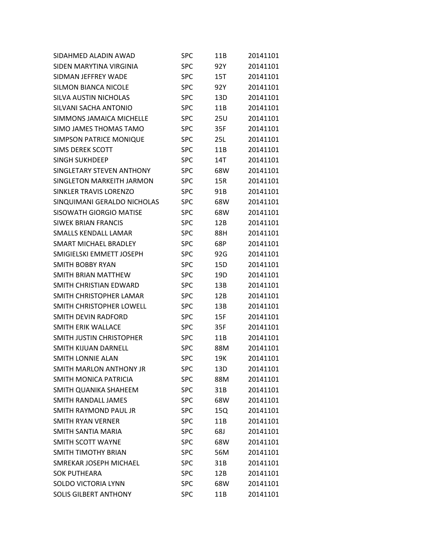| SIDAHMED ALADIN AWAD           | <b>SPC</b> | 11B | 20141101 |
|--------------------------------|------------|-----|----------|
| SIDEN MARYTINA VIRGINIA        | <b>SPC</b> | 92Y | 20141101 |
| SIDMAN JEFFREY WADE            | <b>SPC</b> | 15T | 20141101 |
| <b>SILMON BIANCA NICOLE</b>    | <b>SPC</b> | 92Y | 20141101 |
| SILVA AUSTIN NICHOLAS          | <b>SPC</b> | 13D | 20141101 |
| SILVANI SACHA ANTONIO          | <b>SPC</b> | 11B | 20141101 |
| SIMMONS JAMAICA MICHELLE       | <b>SPC</b> | 25U | 20141101 |
| SIMO JAMES THOMAS TAMO         | <b>SPC</b> | 35F | 20141101 |
| <b>SIMPSON PATRICE MONIQUE</b> | <b>SPC</b> | 25L | 20141101 |
| <b>SIMS DEREK SCOTT</b>        | <b>SPC</b> | 11B | 20141101 |
| <b>SINGH SUKHDEEP</b>          | <b>SPC</b> | 14T | 20141101 |
| SINGLETARY STEVEN ANTHONY      | <b>SPC</b> | 68W | 20141101 |
| SINGLETON MARKEITH JARMON      | <b>SPC</b> | 15R | 20141101 |
| SINKLER TRAVIS LORENZO         | <b>SPC</b> | 91B | 20141101 |
| SINQUIMANI GERALDO NICHOLAS    | <b>SPC</b> | 68W | 20141101 |
| SISOWATH GIORGIO MATISE        | <b>SPC</b> | 68W | 20141101 |
| SIWEK BRIAN FRANCIS            | <b>SPC</b> | 12B | 20141101 |
| <b>SMALLS KENDALL LAMAR</b>    | <b>SPC</b> | 88H | 20141101 |
| SMART MICHAEL BRADLEY          | <b>SPC</b> | 68P | 20141101 |
| SMIGIELSKI EMMETT JOSEPH       | <b>SPC</b> | 92G | 20141101 |
| SMITH BOBBY RYAN               | <b>SPC</b> | 15D | 20141101 |
| SMITH BRIAN MATTHEW            | <b>SPC</b> | 19D | 20141101 |
| SMITH CHRISTIAN EDWARD         | <b>SPC</b> | 13B | 20141101 |
| SMITH CHRISTOPHER LAMAR        | <b>SPC</b> | 12B | 20141101 |
| SMITH CHRISTOPHER LOWELL       | <b>SPC</b> | 13B | 20141101 |
| SMITH DEVIN RADFORD            | <b>SPC</b> | 15F | 20141101 |
| <b>SMITH ERIK WALLACE</b>      | <b>SPC</b> | 35F | 20141101 |
| SMITH JUSTIN CHRISTOPHER       | <b>SPC</b> | 11B | 20141101 |
| SMITH KIJUAN DARNELL           | <b>SPC</b> | 88M | 20141101 |
| SMITH LONNIE ALAN              | <b>SPC</b> | 19K | 20141101 |
| SMITH MARLON ANTHONY JR        | <b>SPC</b> | 13D | 20141101 |
| <b>SMITH MONICA PATRICIA</b>   | <b>SPC</b> | 88M | 20141101 |
| SMITH QUANIKA SHAHEEM          | <b>SPC</b> | 31B | 20141101 |
| <b>SMITH RANDALL JAMES</b>     | <b>SPC</b> | 68W | 20141101 |
| SMITH RAYMOND PAUL JR          | <b>SPC</b> | 15Q | 20141101 |
| SMITH RYAN VERNER              | <b>SPC</b> | 11B | 20141101 |
| SMITH SANTIA MARIA             | <b>SPC</b> | 68J | 20141101 |
| <b>SMITH SCOTT WAYNE</b>       | <b>SPC</b> | 68W | 20141101 |
| SMITH TIMOTHY BRIAN            | <b>SPC</b> | 56M | 20141101 |
| SMREKAR JOSEPH MICHAEL         | <b>SPC</b> | 31B | 20141101 |
| <b>SOK PUTHEARA</b>            | <b>SPC</b> | 12B | 20141101 |
| <b>SOLDO VICTORIA LYNN</b>     | <b>SPC</b> | 68W | 20141101 |
| <b>SOLIS GILBERT ANTHONY</b>   | <b>SPC</b> | 11B | 20141101 |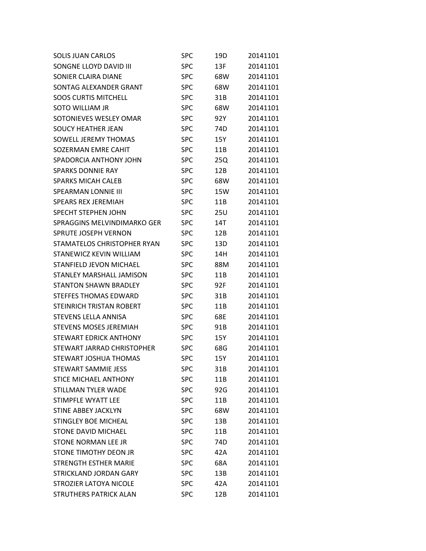| <b>SOLIS JUAN CARLOS</b>          | <b>SPC</b> | 19D | 20141101 |
|-----------------------------------|------------|-----|----------|
| SONGNE LLOYD DAVID III            | <b>SPC</b> | 13F | 20141101 |
| SONIER CLAIRA DIANE               | <b>SPC</b> | 68W | 20141101 |
| SONTAG ALEXANDER GRANT            | <b>SPC</b> | 68W | 20141101 |
| <b>SOOS CURTIS MITCHELL</b>       | <b>SPC</b> | 31B | 20141101 |
| SOTO WILLIAM JR                   | <b>SPC</b> | 68W | 20141101 |
| SOTONIEVES WESLEY OMAR            | <b>SPC</b> | 92Y | 20141101 |
| <b>SOUCY HEATHER JEAN</b>         | SPC        | 74D | 20141101 |
| SOWELL JEREMY THOMAS              | <b>SPC</b> | 15Y | 20141101 |
| SOZERMAN EMRE CAHIT               | <b>SPC</b> | 11B | 20141101 |
| SPADORCIA ANTHONY JOHN            | <b>SPC</b> | 25Q | 20141101 |
| <b>SPARKS DONNIE RAY</b>          | SPC        | 12B | 20141101 |
| <b>SPARKS MICAH CALEB</b>         | <b>SPC</b> | 68W | 20141101 |
| <b>SPEARMAN LONNIE III</b>        | <b>SPC</b> | 15W | 20141101 |
| <b>SPEARS REX JEREMIAH</b>        | <b>SPC</b> | 11B | 20141101 |
| <b>SPECHT STEPHEN JOHN</b>        | SPC        | 25U | 20141101 |
| SPRAGGINS MELVINDIMARKO GER       | <b>SPC</b> | 14T | 20141101 |
| <b>SPRUTE JOSEPH VERNON</b>       | <b>SPC</b> | 12B | 20141101 |
| STAMATELOS CHRISTOPHER RYAN       | <b>SPC</b> | 13D | 20141101 |
| STANEWICZ KEVIN WILLIAM           | <b>SPC</b> | 14H | 20141101 |
| STANFIELD JEVON MICHAEL           | <b>SPC</b> | 88M | 20141101 |
| STANLEY MARSHALL JAMISON          | <b>SPC</b> | 11B | 20141101 |
| <b>STANTON SHAWN BRADLEY</b>      | <b>SPC</b> | 92F | 20141101 |
| <b>STEFFES THOMAS EDWARD</b>      | SPC        | 31B | 20141101 |
| <b>STEINRICH TRISTAN ROBERT</b>   | <b>SPC</b> | 11B | 20141101 |
| <b>STEVENS LELLA ANNISA</b>       | <b>SPC</b> | 68E | 20141101 |
| <b>STEVENS MOSES JEREMIAH</b>     | <b>SPC</b> | 91B | 20141101 |
| <b>STEWART EDRICK ANTHONY</b>     | <b>SPC</b> | 15Y | 20141101 |
| <b>STEWART JARRAD CHRISTOPHER</b> | <b>SPC</b> | 68G | 20141101 |
| <b>STEWART JOSHUA THOMAS</b>      | <b>SPC</b> | 15Y | 20141101 |
| <b>STEWART SAMMIE JESS</b>        | <b>SPC</b> | 31B | 20141101 |
| <b>STICE MICHAEL ANTHONY</b>      | <b>SPC</b> | 11B | 20141101 |
| <b>STILLMAN TYLER WADE</b>        | <b>SPC</b> | 92G | 20141101 |
| <b>STIMPFLE WYATT LEE</b>         | <b>SPC</b> | 11B | 20141101 |
| <b>STINE ABBEY JACKLYN</b>        | <b>SPC</b> | 68W | 20141101 |
| <b>STINGLEY BOE MICHEAL</b>       | <b>SPC</b> | 13B | 20141101 |
| <b>STONE DAVID MICHAEL</b>        | <b>SPC</b> | 11B | 20141101 |
| <b>STONE NORMAN LEE JR</b>        | <b>SPC</b> | 74D | 20141101 |
| STONE TIMOTHY DEON JR             | <b>SPC</b> | 42A | 20141101 |
| <b>STRENGTH ESTHER MARIE</b>      | <b>SPC</b> | 68A | 20141101 |
| <b>STRICKLAND JORDAN GARY</b>     | <b>SPC</b> | 13B | 20141101 |
| <b>STROZIER LATOYA NICOLE</b>     | <b>SPC</b> | 42A | 20141101 |
| <b>STRUTHERS PATRICK ALAN</b>     | <b>SPC</b> | 12B | 20141101 |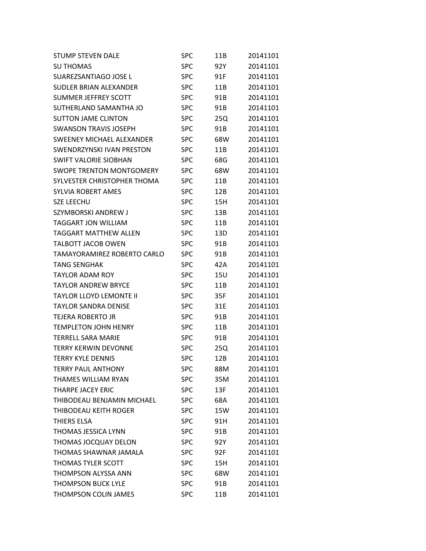| STUMP STEVEN DALE               | <b>SPC</b> | 11B | 20141101 |
|---------------------------------|------------|-----|----------|
| <b>SU THOMAS</b>                | <b>SPC</b> | 92Y | 20141101 |
| SUAREZSANTIAGO JOSE L           | <b>SPC</b> | 91F | 20141101 |
| SUDLER BRIAN ALEXANDER          | <b>SPC</b> | 11B | 20141101 |
| <b>SUMMER JEFFREY SCOTT</b>     | <b>SPC</b> | 91B | 20141101 |
| SUTHERLAND SAMANTHA JO          | <b>SPC</b> | 91B | 20141101 |
| <b>SUTTON JAME CLINTON</b>      | <b>SPC</b> | 25Q | 20141101 |
| <b>SWANSON TRAVIS JOSEPH</b>    | <b>SPC</b> | 91B | 20141101 |
| SWEENEY MICHAEL ALEXANDER       | <b>SPC</b> | 68W | 20141101 |
| SWENDRZYNSKI IVAN PRESTON       | <b>SPC</b> | 11B | 20141101 |
| <b>SWIFT VALORIE SIOBHAN</b>    | <b>SPC</b> | 68G | 20141101 |
| <b>SWOPE TRENTON MONTGOMERY</b> | <b>SPC</b> | 68W | 20141101 |
| SYLVESTER CHRISTOPHER THOMA     | <b>SPC</b> | 11B | 20141101 |
| <b>SYLVIA ROBERT AMES</b>       | <b>SPC</b> | 12B | 20141101 |
| <b>SZE LEECHU</b>               | <b>SPC</b> | 15H | 20141101 |
| SZYMBORSKI ANDREW J             | <b>SPC</b> | 13B | 20141101 |
| <b>TAGGART JON WILLIAM</b>      | <b>SPC</b> | 11B | 20141101 |
| <b>TAGGART MATTHEW ALLEN</b>    | <b>SPC</b> | 13D | 20141101 |
| <b>TALBOTT JACOB OWEN</b>       | <b>SPC</b> | 91B | 20141101 |
| TAMAYORAMIREZ ROBERTO CARLO     | <b>SPC</b> | 91B | 20141101 |
| <b>TANG SENGHAK</b>             | <b>SPC</b> | 42A | 20141101 |
| <b>TAYLOR ADAM ROY</b>          | <b>SPC</b> | 15U | 20141101 |
| <b>TAYLOR ANDREW BRYCE</b>      | <b>SPC</b> | 11B | 20141101 |
| TAYLOR LLOYD LEMONTE II         | <b>SPC</b> | 35F | 20141101 |
| <b>TAYLOR SANDRA DENISE</b>     | <b>SPC</b> | 31E | 20141101 |
| TEJERA ROBERTO JR               | <b>SPC</b> | 91B | 20141101 |
| <b>TEMPLETON JOHN HENRY</b>     | <b>SPC</b> | 11B | 20141101 |
| TERRELL SARA MARIE              | <b>SPC</b> | 91B | 20141101 |
| <b>TERRY KERWIN DEVONNE</b>     | <b>SPC</b> | 25Q | 20141101 |
| <b>TERRY KYLE DENNIS</b>        | <b>SPC</b> | 12B | 20141101 |
| <b>TERRY PAUL ANTHONY</b>       | <b>SPC</b> | 88M | 20141101 |
| <b>THAMES WILLIAM RYAN</b>      | <b>SPC</b> | 35M | 20141101 |
| <b>THARPE JACEY ERIC</b>        | <b>SPC</b> | 13F | 20141101 |
| THIBODEAU BENJAMIN MICHAEL      | <b>SPC</b> | 68A | 20141101 |
| THIBODEAU KEITH ROGER           | <b>SPC</b> | 15W | 20141101 |
| THIERS ELSA                     | <b>SPC</b> | 91H | 20141101 |
| <b>THOMAS JESSICA LYNN</b>      | <b>SPC</b> | 91B | 20141101 |
| THOMAS JOCQUAY DELON            | <b>SPC</b> | 92Y | 20141101 |
| THOMAS SHAWNAR JAMALA           | <b>SPC</b> | 92F | 20141101 |
| THOMAS TYLER SCOTT              | <b>SPC</b> | 15H | 20141101 |
| <b>THOMPSON ALYSSA ANN</b>      | <b>SPC</b> | 68W | 20141101 |
| <b>THOMPSON BUCK LYLE</b>       | <b>SPC</b> | 91B | 20141101 |
| <b>THOMPSON COLIN JAMES</b>     | <b>SPC</b> | 11B | 20141101 |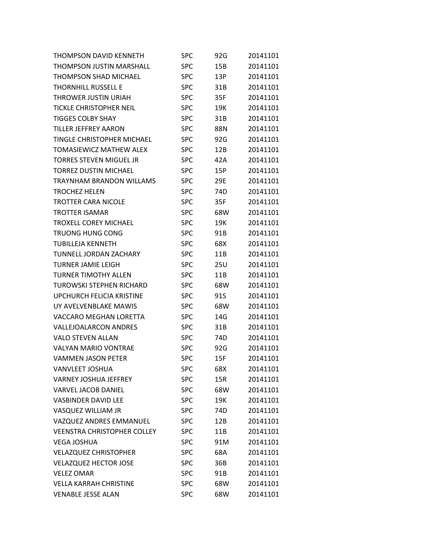| <b>THOMPSON DAVID KENNETH</b>      | <b>SPC</b> | 92G | 20141101 |
|------------------------------------|------------|-----|----------|
| <b>THOMPSON JUSTIN MARSHALL</b>    | <b>SPC</b> | 15B | 20141101 |
| <b>THOMPSON SHAD MICHAEL</b>       | <b>SPC</b> | 13P | 20141101 |
| <b>THORNHILL RUSSELL E</b>         | <b>SPC</b> | 31B | 20141101 |
| THROWER JUSTIN URIAH               | <b>SPC</b> | 35F | 20141101 |
| <b>TICKLE CHRISTOPHER NEIL</b>     | <b>SPC</b> | 19K | 20141101 |
| <b>TIGGES COLBY SHAY</b>           | <b>SPC</b> | 31B | 20141101 |
| <b>TILLER JEFFREY AARON</b>        | <b>SPC</b> | 88N | 20141101 |
| <b>TINGLE CHRISTOPHER MICHAEL</b>  | <b>SPC</b> | 92G | 20141101 |
| <b>TOMASIEWICZ MATHEW ALEX</b>     | <b>SPC</b> | 12B | 20141101 |
| <b>TORRES STEVEN MIGUEL JR</b>     | <b>SPC</b> | 42A | 20141101 |
| <b>TORREZ DUSTIN MICHAEL</b>       | SPC        | 15P | 20141101 |
| TRAYNHAM BRANDON WILLAMS           | <b>SPC</b> | 29E | 20141101 |
| <b>TROCHEZ HELEN</b>               | <b>SPC</b> | 74D | 20141101 |
| <b>TROTTER CARA NICOLE</b>         | <b>SPC</b> | 35F | 20141101 |
| <b>TROTTER ISAMAR</b>              | <b>SPC</b> | 68W | 20141101 |
| <b>TROXELL COREY MICHAEL</b>       | <b>SPC</b> | 19K | 20141101 |
| <b>TRUONG HUNG CONG</b>            | <b>SPC</b> | 91B | 20141101 |
| <b>TUBILLEJA KENNETH</b>           | <b>SPC</b> | 68X | 20141101 |
| TUNNELL JORDAN ZACHARY             | <b>SPC</b> | 11B | 20141101 |
| <b>TURNER JAMIE LEIGH</b>          | <b>SPC</b> | 25U | 20141101 |
| <b>TURNER TIMOTHY ALLEN</b>        | <b>SPC</b> | 11B | 20141101 |
| <b>TUROWSKI STEPHEN RICHARD</b>    | <b>SPC</b> | 68W | 20141101 |
| <b>UPCHURCH FELICIA KRISTINE</b>   | <b>SPC</b> | 91S | 20141101 |
| UY AVELVENBLAKE MAWIS              | <b>SPC</b> | 68W | 20141101 |
| <b>VACCARO MEGHAN LORETTA</b>      | <b>SPC</b> | 14G | 20141101 |
| <b>VALLEJOALARCON ANDRES</b>       | <b>SPC</b> | 31B | 20141101 |
| <b>VALO STEVEN ALLAN</b>           | <b>SPC</b> | 74D | 20141101 |
| <b>VALYAN MARIO VONTRAE</b>        | <b>SPC</b> | 92G | 20141101 |
| <b>VAMMEN JASON PETER</b>          | <b>SPC</b> | 15F | 20141101 |
| <b>VANVLEET JOSHUA</b>             | <b>SPC</b> | 68X | 20141101 |
| <b>VARNEY JOSHUA JEFFREY</b>       | <b>SPC</b> | 15R | 20141101 |
| <b>VARVEL JACOB DANIEL</b>         | <b>SPC</b> | 68W | 20141101 |
| <b>VASBINDER DAVID LEE</b>         | <b>SPC</b> | 19K | 20141101 |
| VASQUEZ WILLIAM JR                 | <b>SPC</b> | 74D | 20141101 |
| VAZQUEZ ANDRES EMMANUEL            | <b>SPC</b> | 12B | 20141101 |
| <b>VEENSTRA CHRISTOPHER COLLEY</b> | <b>SPC</b> | 11B | 20141101 |
| <b>VEGA JOSHUA</b>                 | <b>SPC</b> | 91M | 20141101 |
| <b>VELAZQUEZ CHRISTOPHER</b>       | <b>SPC</b> | 68A | 20141101 |
| <b>VELAZQUEZ HECTOR JOSE</b>       | <b>SPC</b> | 36B | 20141101 |
| <b>VELEZ OMAR</b>                  | <b>SPC</b> | 91B | 20141101 |
| <b>VELLA KARRAH CHRISTINE</b>      | <b>SPC</b> | 68W | 20141101 |
| <b>VENABLE JESSE ALAN</b>          | <b>SPC</b> | 68W | 20141101 |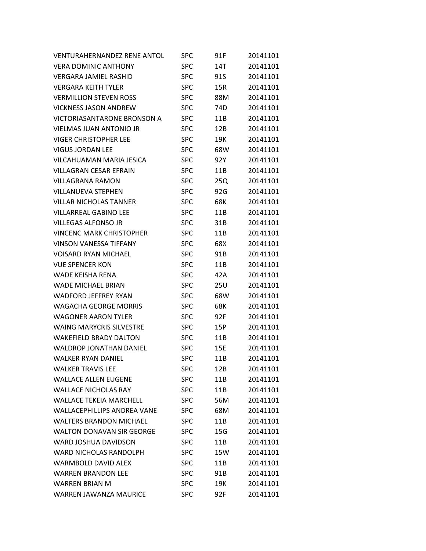| <b>VENTURAHERNANDEZ RENE ANTOL</b> | SPC        | 91F | 20141101 |
|------------------------------------|------------|-----|----------|
| <b>VERA DOMINIC ANTHONY</b>        | <b>SPC</b> | 14T | 20141101 |
| <b>VERGARA JAMIEL RASHID</b>       | <b>SPC</b> | 91S | 20141101 |
| <b>VERGARA KEITH TYLER</b>         | <b>SPC</b> | 15R | 20141101 |
| <b>VERMILLION STEVEN ROSS</b>      | <b>SPC</b> | 88M | 20141101 |
| <b>VICKNESS JASON ANDREW</b>       | <b>SPC</b> | 74D | 20141101 |
| <b>VICTORIASANTARONE BRONSON A</b> | <b>SPC</b> | 11B | 20141101 |
| <b>VIELMAS JUAN ANTONIO JR</b>     | <b>SPC</b> | 12B | 20141101 |
| <b>VIGER CHRISTOPHER LEE</b>       | <b>SPC</b> | 19K | 20141101 |
| <b>VIGUS JORDAN LEE</b>            | <b>SPC</b> | 68W | 20141101 |
| VILCAHUAMAN MARIA JESICA           | <b>SPC</b> | 92Y | 20141101 |
| <b>VILLAGRAN CESAR EFRAIN</b>      | <b>SPC</b> | 11B | 20141101 |
| <b>VILLAGRANA RAMON</b>            | <b>SPC</b> | 25Q | 20141101 |
| <b>VILLANUEVA STEPHEN</b>          | <b>SPC</b> | 92G | 20141101 |
| <b>VILLAR NICHOLAS TANNER</b>      | <b>SPC</b> | 68K | 20141101 |
| <b>VILLARREAL GABINO LEE</b>       | <b>SPC</b> | 11B | 20141101 |
| <b>VILLEGAS ALFONSO JR</b>         | <b>SPC</b> | 31B | 20141101 |
| <b>VINCENC MARK CHRISTOPHER</b>    | <b>SPC</b> | 11B | 20141101 |
| <b>VINSON VANESSA TIFFANY</b>      | <b>SPC</b> | 68X | 20141101 |
| <b>VOISARD RYAN MICHAEL</b>        | <b>SPC</b> | 91B | 20141101 |
| <b>VUE SPENCER KON</b>             | <b>SPC</b> | 11B | 20141101 |
| WADE KEISHA RENA                   | <b>SPC</b> | 42A | 20141101 |
| <b>WADE MICHAEL BRIAN</b>          | <b>SPC</b> | 25U | 20141101 |
| <b>WADFORD JEFFREY RYAN</b>        | <b>SPC</b> | 68W | 20141101 |
| <b>WAGACHA GEORGE MORRIS</b>       | <b>SPC</b> | 68K | 20141101 |
| <b>WAGONER AARON TYLER</b>         | <b>SPC</b> | 92F | 20141101 |
| <b>WAING MARYCRIS SILVESTRE</b>    | <b>SPC</b> | 15P | 20141101 |
| <b>WAKEFIELD BRADY DALTON</b>      | <b>SPC</b> | 11B | 20141101 |
| <b>WALDROP JONATHAN DANIEL</b>     | <b>SPC</b> | 15E | 20141101 |
| <b>WALKER RYAN DANIEL</b>          | <b>SPC</b> | 11B | 20141101 |
| <b>WALKER TRAVIS LEE</b>           | <b>SPC</b> | 12B | 20141101 |
| <b>WALLACE ALLEN EUGENE</b>        | <b>SPC</b> | 11B | 20141101 |
| <b>WALLACE NICHOLAS RAY</b>        | <b>SPC</b> | 11B | 20141101 |
| <b>WALLACE TEKEIA MARCHELL</b>     | <b>SPC</b> | 56M | 20141101 |
| <b>WALLACFPHILLIPS ANDRFA VANF</b> | <b>SPC</b> | 68M | 20141101 |
| <b>WALTERS BRANDON MICHAEL</b>     | <b>SPC</b> | 11B | 20141101 |
| <b>WALTON DONAVAN SIR GEORGE</b>   | <b>SPC</b> | 15G | 20141101 |
| <b>WARD JOSHUA DAVIDSON</b>        | <b>SPC</b> | 11B | 20141101 |
| <b>WARD NICHOLAS RANDOLPH</b>      | <b>SPC</b> | 15W | 20141101 |
| WARMBOLD DAVID ALEX                | <b>SPC</b> | 11B | 20141101 |
| <b>WARREN BRANDON LEE</b>          | <b>SPC</b> | 91B | 20141101 |
| <b>WARREN BRIAN M</b>              | <b>SPC</b> | 19K | 20141101 |
| WARREN JAWANZA MAURICE             | <b>SPC</b> | 92F | 20141101 |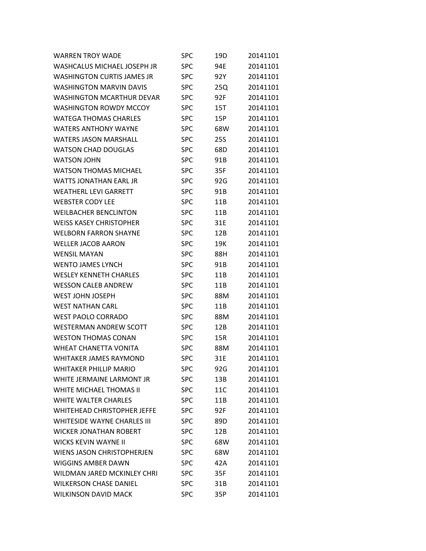| <b>WARREN TROY WADE</b>            | SPC        | 19D | 20141101 |
|------------------------------------|------------|-----|----------|
| WASHCALUS MICHAEL JOSEPH JR        | <b>SPC</b> | 94E | 20141101 |
| <b>WASHINGTON CURTIS JAMES JR</b>  | <b>SPC</b> | 92Y | 20141101 |
| <b>WASHINGTON MARVIN DAVIS</b>     | <b>SPC</b> | 25Q | 20141101 |
| <b>WASHINGTON MCARTHUR DEVAR</b>   | <b>SPC</b> | 92F | 20141101 |
| <b>WASHINGTON ROWDY MCCOY</b>      | <b>SPC</b> | 15T | 20141101 |
| <b>WATEGA THOMAS CHARLES</b>       | <b>SPC</b> | 15P | 20141101 |
| <b>WATERS ANTHONY WAYNE</b>        | <b>SPC</b> | 68W | 20141101 |
| <b>WATERS JASON MARSHALL</b>       | <b>SPC</b> | 25S | 20141101 |
| <b>WATSON CHAD DOUGLAS</b>         | <b>SPC</b> | 68D | 20141101 |
| <b>WATSON JOHN</b>                 | <b>SPC</b> | 91B | 20141101 |
| <b>WATSON THOMAS MICHAEL</b>       | <b>SPC</b> | 35F | 20141101 |
| <b>WATTS JONATHAN EARL JR</b>      | <b>SPC</b> | 92G | 20141101 |
| <b>WEATHERL LEVI GARRETT</b>       | <b>SPC</b> | 91B | 20141101 |
| <b>WEBSTER CODY LEE</b>            | <b>SPC</b> | 11B | 20141101 |
| <b>WEILBACHER BENCLINTON</b>       | <b>SPC</b> | 11B | 20141101 |
| <b>WEISS KASEY CHRISTOPHER</b>     | <b>SPC</b> | 31E | 20141101 |
| <b>WELBORN FARRON SHAYNE</b>       | <b>SPC</b> | 12B | 20141101 |
| <b>WELLER JACOB AARON</b>          | <b>SPC</b> | 19K | 20141101 |
| <b>WENSIL MAYAN</b>                | <b>SPC</b> | 88H | 20141101 |
| <b>WENTO JAMES LYNCH</b>           | <b>SPC</b> | 91B | 20141101 |
| <b>WESLEY KENNETH CHARLES</b>      | <b>SPC</b> | 11B | 20141101 |
| <b>WESSON CALEB ANDREW</b>         | <b>SPC</b> | 11B | 20141101 |
| WEST JOHN JOSEPH                   | <b>SPC</b> | 88M | 20141101 |
| <b>WEST NATHAN CARL</b>            | <b>SPC</b> | 11B | 20141101 |
| <b>WEST PAOLO CORRADO</b>          | <b>SPC</b> | 88M | 20141101 |
| <b>WESTERMAN ANDREW SCOTT</b>      | <b>SPC</b> | 12B | 20141101 |
| <b>WESTON THOMAS CONAN</b>         | <b>SPC</b> | 15R | 20141101 |
| <b>WHEAT CHANETTA VONITA</b>       | <b>SPC</b> | 88M | 20141101 |
| <b>WHITAKER JAMES RAYMOND</b>      | <b>SPC</b> | 31E | 20141101 |
| <b>WHITAKER PHILLIP MARIO</b>      | <b>SPC</b> | 92G | 20141101 |
| WHITE JERMAINE LARMONT JR          | <b>SPC</b> | 13B | 20141101 |
| <b>WHITE MICHAEL THOMAS II</b>     | <b>SPC</b> | 11C | 20141101 |
| <b>WHITE WALTER CHARLES</b>        | <b>SPC</b> | 11B | 20141101 |
| <b>WHITEHEAD CHRISTOPHER JEFFE</b> | <b>SPC</b> | 92F | 20141101 |
| <b>WHITESIDE WAYNE CHARLES III</b> | <b>SPC</b> | 89D | 20141101 |
| <b>WICKER JONATHAN ROBERT</b>      | <b>SPC</b> | 12B | 20141101 |
| <b>WICKS KEVIN WAYNE II</b>        | <b>SPC</b> | 68W | 20141101 |
| <b>WIENS JASON CHRISTOPHERJEN</b>  | <b>SPC</b> | 68W | 20141101 |
| <b>WIGGINS AMBER DAWN</b>          | <b>SPC</b> | 42A | 20141101 |
| WILDMAN JARED MCKINLEY CHRI        | <b>SPC</b> | 35F | 20141101 |
| <b>WILKERSON CHASE DANIEL</b>      | <b>SPC</b> | 31B | 20141101 |
| <b>WILKINSON DAVID MACK</b>        | <b>SPC</b> | 35P | 20141101 |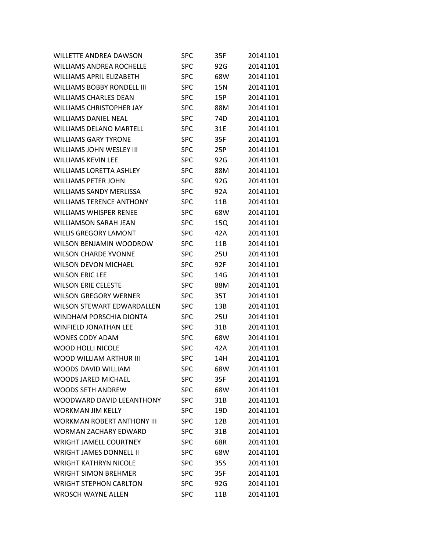| <b>WILLETTE ANDREA DAWSON</b>     | SPC        | 35F | 20141101 |
|-----------------------------------|------------|-----|----------|
| <b>WILLIAMS ANDREA ROCHELLE</b>   | <b>SPC</b> | 92G | 20141101 |
| <b>WILLIAMS APRIL ELIZABETH</b>   | <b>SPC</b> | 68W | 20141101 |
| WILLIAMS BOBBY RONDELL III        | <b>SPC</b> | 15N | 20141101 |
| <b>WILLIAMS CHARLES DEAN</b>      | <b>SPC</b> | 15P | 20141101 |
| <b>WILLIAMS CHRISTOPHER JAY</b>   | <b>SPC</b> | 88M | 20141101 |
| <b>WILLIAMS DANIEL NEAL</b>       | <b>SPC</b> | 74D | 20141101 |
| <b>WILLIAMS DELANO MARTELL</b>    | <b>SPC</b> | 31E | 20141101 |
| <b>WILLIAMS GARY TYRONE</b>       | <b>SPC</b> | 35F | 20141101 |
| WILLIAMS JOHN WESLEY III          | <b>SPC</b> | 25P | 20141101 |
| <b>WILLIAMS KEVIN LEE</b>         | <b>SPC</b> | 92G | 20141101 |
| <b>WILLIAMS LORETTA ASHLEY</b>    | <b>SPC</b> | 88M | 20141101 |
| <b>WILLIAMS PETER JOHN</b>        | <b>SPC</b> | 92G | 20141101 |
| <b>WILLIAMS SANDY MERLISSA</b>    | <b>SPC</b> | 92A | 20141101 |
| <b>WILLIAMS TERENCE ANTHONY</b>   | <b>SPC</b> | 11B | 20141101 |
| <b>WILLIAMS WHISPER RENEE</b>     | <b>SPC</b> | 68W | 20141101 |
| <b>WILLIAMSON SARAH JEAN</b>      | <b>SPC</b> | 15Q | 20141101 |
| <b>WILLIS GREGORY LAMONT</b>      | <b>SPC</b> | 42A | 20141101 |
| WILSON BENJAMIN WOODROW           | <b>SPC</b> | 11B | 20141101 |
| <b>WILSON CHARDE YVONNE</b>       | <b>SPC</b> | 25U | 20141101 |
| <b>WILSON DEVON MICHAEL</b>       | <b>SPC</b> | 92F | 20141101 |
| <b>WILSON ERIC LEE</b>            | <b>SPC</b> | 14G | 20141101 |
| <b>WILSON ERIE CELESTE</b>        | <b>SPC</b> | 88M | 20141101 |
| <b>WILSON GREGORY WERNER</b>      | <b>SPC</b> | 35T | 20141101 |
| <b>WILSON STEWART EDWARDALLEN</b> | <b>SPC</b> | 13B | 20141101 |
| WINDHAM PORSCHIA DIONTA           | <b>SPC</b> | 25U | 20141101 |
| <b>WINFIELD JONATHAN LEE</b>      | <b>SPC</b> | 31B | 20141101 |
| <b>WONES CODY ADAM</b>            | <b>SPC</b> | 68W | 20141101 |
| <b>WOOD HOLLI NICOLE</b>          | <b>SPC</b> | 42A | 20141101 |
| WOOD WILLIAM ARTHUR III           | <b>SPC</b> | 14H | 20141101 |
| <b>WOODS DAVID WILLIAM</b>        | <b>SPC</b> | 68W | 20141101 |
| <b>WOODS JARED MICHAEL</b>        | <b>SPC</b> | 35F | 20141101 |
| <b>WOODS SETH ANDREW</b>          | <b>SPC</b> | 68W | 20141101 |
| WOODWARD DAVID LEEANTHONY         | <b>SPC</b> | 31B | 20141101 |
| <b>WORKMAN JIM KFLLY</b>          | <b>SPC</b> | 19D | 20141101 |
| <b>WORKMAN ROBERT ANTHONY III</b> | <b>SPC</b> | 12B | 20141101 |
| <b>WORMAN ZACHARY EDWARD</b>      | <b>SPC</b> | 31B | 20141101 |
| <b>WRIGHT JAMELL COURTNEY</b>     | <b>SPC</b> | 68R | 20141101 |
| <b>WRIGHT JAMES DONNELL II</b>    | <b>SPC</b> | 68W | 20141101 |
| <b>WRIGHT KATHRYN NICOLE</b>      | <b>SPC</b> | 35S | 20141101 |
| <b>WRIGHT SIMON BREHMER</b>       | <b>SPC</b> | 35F | 20141101 |
| <b>WRIGHT STEPHON CARLTON</b>     | <b>SPC</b> | 92G | 20141101 |
| <b>WROSCH WAYNE ALLEN</b>         | <b>SPC</b> | 11B | 20141101 |